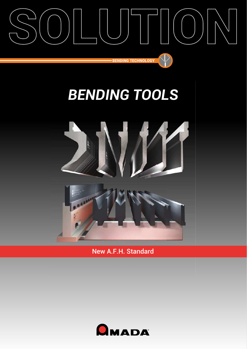

# *BENDING TOOLS*



New A.F.H. Standard

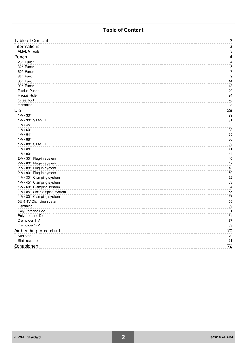### **Table of Content**

| <b>Table of Content</b>        | $\overline{c}$ |
|--------------------------------|----------------|
| Informations                   | 3              |
| <b>AMADA Tools</b>             | 3              |
| Punch                          | 4              |
| 26° Punch                      | 4              |
| 30° Punch                      | 5              |
| 60° Punch                      | $\overline{7}$ |
| 86° Punch                      | 9              |
| 88° Punch                      | 14             |
| 90° Punch                      | 18             |
| Radius Punch                   | 20             |
| Radius Ruler                   | 24             |
| Offset tool                    | 26             |
| Hemming                        | 28             |
| Die                            | 29             |
| $1-V/30°$                      | 29             |
| 1-V / 30° STAGED               | 31             |
| $1-V/45^{\circ}$               | 32             |
| $1-V/60°$                      | 33             |
| $1-V/84°$                      | 35             |
| $1-V/86°$                      | 36             |
| 1-V / 86° STAGED               | 39             |
| $1-V/88°$                      | 41             |
| $1-V/90°$                      | 44             |
| 2-V / 30° Plug-in system       | 46             |
| 2-V / 60° Plug-in system       | 47             |
| 2-V / 88° Plug-in system       | 48             |
| 2-V / 90° Plug-in system       | 50             |
| 1-V / 30° Clamping system      | 52             |
| 1-V / 45° Clamping system      | 53             |
| 1-V / 60° Clamping system      | 54             |
| 1-V / 85° Slot clamping system | 55             |
| 1-V / 80° Clamping system      | 57             |
| 3U & 4V Clamping system        | 58             |
| Hemming                        | 59             |
| Polyurethane Pad               | 61             |
| Polyurethane Die               | 64             |
| Die holder 1-V                 | 67             |
| Die holder 2-V                 | 69             |
| Air bending force chart        | 70             |
| Mild steel                     | 70             |
| Stainless steel                | 71             |
| Schablonen                     | 72             |
|                                |                |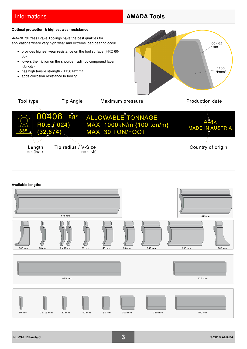### **Informations AMADA Tools**

#### <span id="page-2-0"></span>**Optimal protection & highest wear resistance**

*AMANIT®* Press Brake Toolings have the best qualities for applications where very high wear and extreme load bearing occur.

- provides highest wear resistance on the tool surface (HRC 60- 65)
- lowers the friction on the shoulder radii (by compound layer  $\bullet$ lubricity)
- has high tensile strength 1150 N/mm<sup>2</sup>

0406

• adds corrosion resistance to tooling



Length  $mm$  (inch)

Tool type



**Tip Angle** 

 $88^\circ$ 

 $.024)$ 

Country of origin

#### **Available lengths**

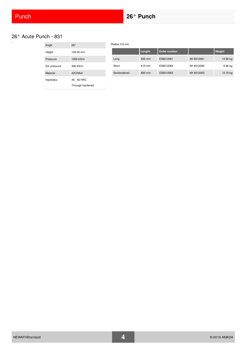## <span id="page-3-1"></span><span id="page-3-0"></span>26° Acute Punch - 831

| Angle        | $26^\circ$       |
|--------------|------------------|
| Height       | 120.00 mm        |
| Pressure     | 1000 kN/m        |
| Ear pressure | 300 kN/m         |
| Material     | 42CrMo4          |
| Hardness     | 45 - 50 HRC      |
|              | Through hardened |

| Radius 0.6 mm |                  |              |            |          |
|---------------|------------------|--------------|------------|----------|
|               | Length           | Order number |            | Weight   |
| Long          | 835 mm           | ES8312061    | 6H 8312061 | 13.90 kg |
| Short         | 415 mm           | ES8312062    | 6H 8312062 | 6.90 kg  |
| Sectionalized | $800 \text{ mm}$ | ES8312063    | 6H 8312063 | 12.70 kg |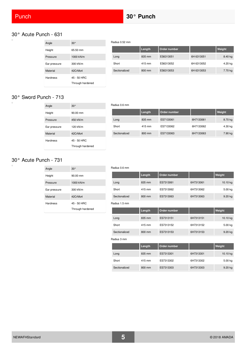$\Box$ 

 $\Box$ 

### <span id="page-4-1"></span><span id="page-4-0"></span>30° Acute Punch - 631

| Angle        | $30^\circ$                      |
|--------------|---------------------------------|
| Height       | 65.50 mm                        |
| Pressure     | 1000 kN/m                       |
| Ear pressure | 300 kN/m                        |
| Material     | 42CrMo4                         |
| Hardness     | 45 - 50 HRC<br>Through hardened |

|               | Length | Order number |            | Weight  |
|---------------|--------|--------------|------------|---------|
| Long          | 835 mm | ES6313051    | 6H 6313051 | 8.40 kg |
| Short         | 415 mm | ES6313052    | 6H 6313052 | 4.20 kg |
| Sectionalized | 800 mm | ES6313053    | 6H 6313053 | 7.70 kg |

## 30° Sword Punch - 713

| Angle        | $30^{\circ}$                    |
|--------------|---------------------------------|
| Height       | $90.00 \, \text{mm}$            |
| Pressure     | 450 kN/m                        |
| Ear pressure | 120 kN/m                        |
| Material     | 42CrMo4                         |
| Hardness     | 45 - 50 HRC<br>Through hardened |

#### Radius 0.6 mm

Radius 0.52 mm

|               | Length | Order number |           | Weight  |
|---------------|--------|--------------|-----------|---------|
| Long          | 835 mm | ES7133061    | 6H7133061 | 8.70 kg |
| Short         | 415 mm | ES7133062    | 6H7133062 | 4.30 kg |
| Sectionalized | 800 mm | ES7133063    | 6H7133063 | 7.90 kg |

## 30° Acute Punch - 731

| Angle        | $30^\circ$           |
|--------------|----------------------|
| Height       | $90.00 \, \text{mm}$ |
| Pressure     | 1000 kN/m            |
| Ear pressure | 300 kN/m             |
| Material     | 42CrMo4              |
| Hardness     | 45 - 50 HRC          |
|              | Through hardened     |

|               | Length | Order number |           | Weight    |
|---------------|--------|--------------|-----------|-----------|
| Long          | 835 mm | ES7313061    | 6H7313061 | 10.10 kg  |
| Short         | 415 mm | ES7313062    | 6H7313062 | 5.00 kg   |
| Sectionalized | 800 mm | ES7313063    | 6H7313063 | $9.20$ kg |
| Radius 1.5 mm |        |              |           |           |
|               | Length | Order number |           | Weight    |
| Long          | 835 mm | ES7313151    | 6H7313151 | 10.10 kg  |
| Short         | 415 mm | ES7313152    | 6H7313152 | 5.00 kg   |
| Sectionalized | 800 mm | ES7313153    | 6H7313153 | 9.20 kg   |
| Radius 3 mm   |        |              |           |           |
|               | Length | Order number |           | Weight    |
| Long          | 835 mm | ES7313301    | 6H7313301 | 10.10 kg  |
| Short         | 415 mm | ES7313302    | 6H7313302 | 5.00 kg   |
| Sectionalized | 800 mm | ES7313303    | 6H7313303 | 9.20 kg   |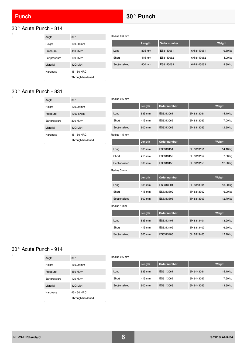#### <span id="page-5-0"></span>30° Acute Punch - 814  $\overline{a}$

| Angle        | $30^{\circ}$                    |
|--------------|---------------------------------|
| Height       | 120.00 mm                       |
| Pressure     | 450 kN/m                        |
| Ear pressure | 120 kN/m                        |
| Material     | 42CrMo4                         |
| Hardness     | 45 - 50 HRC<br>Through hardened |

|               | Length | Order number |            | Weight    |
|---------------|--------|--------------|------------|-----------|
| Long          | 835 mm | ES8143061    | 6H 8143061 | $9.80$ kg |
| Short         | 415 mm | ES8143062    | 6H 8143062 | 4.90 kg   |
| Sectionalized | 800 mm | ES8143063    | 6H 8143063 | 8.80 kg   |
|               |        |              |            |           |

#### 30° Acute Punch - 831

 $\Box$ 

| Angle        | $30^{\circ}$                    |
|--------------|---------------------------------|
| Height       | 120.00 mm                       |
| Pressure     | 1000 kN/m                       |
| Ear pressure | 300 kN/m                        |
| Material     | 42CrMo4                         |
| Hardness     | 45 - 50 HRC<br>Through hardened |

| Radius 0.6 mm |        |              |            |          |
|---------------|--------|--------------|------------|----------|
|               | Length | Order number |            | Weight   |
| Long          | 835 mm | ES8313061    | 6H 8313061 | 14.10 kg |
| Short         | 415 mm | ES8313062    | 6H 8313062 | 7.00 kg  |
| Sectionalized | 800 mm | ES8313063    | 6H 8313063 | 12.90 kg |
| Radius 1.5 mm |        |              |            |          |
|               | Length | Order number |            | Weight   |
| Long          | 835 mm | ES8313151    | 6H 8313151 | 14.10 kg |
| Short         | 415 mm | ES8313152    | 6H 8313152 | 7.00 kg  |
| Sectionalized | 800 mm | ES8313153    | 6H 8313153 | 12.90 kg |
| Radius 3 mm   |        |              |            |          |
|               | Length | Order number |            | Weight   |
| Long          | 835 mm | ES8313301    | 6H 8313301 | 13.90 kg |
| Short         | 415 mm | ES8313302    | 6H 8313302 | 6.90 kg  |
| Sectionalized | 800 mm | ES8313303    | 6H 8313303 | 12.70 kg |
| Radius 4 mm   |        |              |            |          |
|               | Length | Order number |            | Weight   |
| Long          | 835 mm | ES8313401    | 6H 8313401 | 13.90 kg |
| Short         | 415 mm | ES8313402    | 6H 8313402 | 6.90 kg  |

#### 30° Acute Punch - 914

 $\blacksquare$ 

| Angle           | $30^{\circ}$                    |
|-----------------|---------------------------------|
| Height          | 160.00 mm                       |
| Pressure        | 450 kN/m                        |
| Ear pressure    | 120 kN/m                        |
| <b>Material</b> | 42CrMo4                         |
| Hardness        | 45 - 50 HRC<br>Through hardened |

#### Radius 0.6 mm

Radius 0.6 mm

|               | Length | Order number |            | Weight   |
|---------------|--------|--------------|------------|----------|
| Long          | 835 mm | ES9143061    | 6H 9143061 | 15.10 kg |
| Short         | 415 mm | ES9143062    | 6H 9143062 | 7.50 kg  |
| Sectionalized | 800 mm | ES9143063    | 6H 9143063 | 13.60 kg |

Sectionalized 800 mm ES8313403 6H 8313403 12.70 kg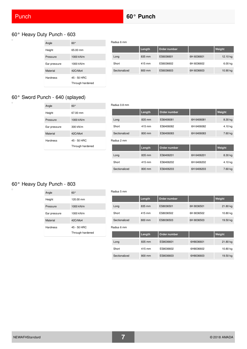i.

 $\Box$ 

 $\Box$ 

## 60° Heavy Duty Punch - 603

| Angle        | $60^{\circ}$     |
|--------------|------------------|
| Height       | 65.00 mm         |
| Pressure     | 1000 kN/m        |
| Ear pressure | 1000 kN/m        |
| Material     | 42CrMo4          |
| Hardness     | 45 - 50 HRC      |
|              | Through hardened |

|               | Length | Order number |            | Weight   |
|---------------|--------|--------------|------------|----------|
| Long          | 835 mm | ES6036601    | 6H 6036601 | 12.10 kg |
| Short         | 415 mm | ES6036602    | 6H 6036602 | 6.00 kg  |
| Sectionalized | 800 mm | ES6036603    | 6H 6036603 | 10.90 kg |

## 60° Sword Punch - 640 (splayed)

| $60^{\circ}$                    |
|---------------------------------|
| 67.00 mm                        |
| 1000 kN/m                       |
| 300 kN/m                        |
| 42CrMo4                         |
| 45 - 50 HRC<br>Through hardened |
|                                 |

#### Radius 0.8 mm

Radius 6 mm

|               | Length | Order number |            | Weight  |
|---------------|--------|--------------|------------|---------|
| Long          | 835 mm | ES6406081    | 6H 6406081 | 8.30 kg |
| Short         | 415 mm | ES6406082    | 6H 6406082 | 4.10 kg |
| Sectionalized | 800 mm | ES6406083    | 6H 6406083 | 7.60 kg |
| Radius 2 mm   |        |              |            |         |
|               | Length | Order number |            | Weight  |
| Long          | 835 mm | ES6406201    | 6H 6406201 | 8.30 kg |
| Short         | 415 mm | ES6406202    | 6H 6406202 | 4.10 kg |
| Sectionalized | 800 mm | ES6406203    | 6H 6406203 | 7.60 kg |

### 60° Heavy Duty Punch - 803

| Angle        | $60^{\circ}$     |
|--------------|------------------|
| Height       | 120.00 mm        |
| Pressure     | 1000 kN/m        |
| Ear pressure | 1000 kN/m        |
| Material     | 42CrMo4          |
| Hardness     | 45 - 50 HRC      |
|              | Through hardened |

|             | Radius 5 mm   |        |              |            |          |  |
|-------------|---------------|--------|--------------|------------|----------|--|
|             |               | Length | Order number |            | Weight   |  |
|             | Long          | 835 mm | ES8036501    | 6H 8036501 | 21.80 kg |  |
|             | Short         | 415 mm | ES8036502    | 6H 8036502 | 10.80 kg |  |
|             | Sectionalized | 800 mm | ES8036503    | 6H 8036503 | 19.50 kg |  |
| Radius 6 mm |               |        |              |            |          |  |
|             |               | Length | Order number |            | Weight   |  |
|             | Long          | 835 mm | ES8036601    | 6H8036601  | 21.80 kg |  |
|             | Short         | 415 mm | ES8036602    | 6H8036602  | 10.80 kg |  |

Sectionalized 800 mm ES8036603 6H8036603 19.50 kg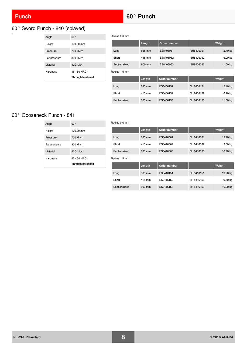$\alpha$ 

## Punch **60° Punch**

Radius 0.6 mm

#### <span id="page-7-0"></span>60° Sword Punch - 840 (splayed)  $\Box$

| Angle        | $60^{\circ}$     |
|--------------|------------------|
| Height       | 120.00 mm        |
| Pressure     | 700 kN/m         |
| Ear pressure | 300 kN/m         |
| Material     | 42CrMo4          |
| Hardness     | 45 - 50 HRC      |
|              | Through hardened |

|               |               | Length | Order number |            | Weight   |
|---------------|---------------|--------|--------------|------------|----------|
|               | Long          | 835 mm | ES8406061    | 6H8406061  | 12.40 kg |
|               | Short         | 415 mm | ES8406062    | 6H8406062  | 6.20 kg  |
|               | Sectionalized | 800 mm | ES8406063    | 6H8406063  | 11.00 kg |
| Radius 1.5 mm |               |        |              |            |          |
|               |               | Length | Order number |            | Weight   |
|               | Long          | 835 mm | ES8406151    | 6H 8406151 | 12.40 kg |
|               | Short         | 415 mm | ES8406152    | 6H 8406152 | 6.20 kg  |
|               | Sectionalized | 800 mm | ES8406153    | 6H 8406153 | 11.00 kg |

#### 60° Gooseneck Punch - 841

| Angle        | $60^\circ$                      |
|--------------|---------------------------------|
| Height       | 120.00 mm                       |
| Pressure     | 700 kN/m                        |
| Ear pressure | 300 kN/m                        |
| Material     | 42CrMo4                         |
| Hardness     | 45 - 50 HRC<br>Through hardened |

| Radius 0.6 mm |        |              |            |          |  |
|---------------|--------|--------------|------------|----------|--|
|               | Length | Order number |            | Weight   |  |
| Long          | 835 mm | ES8416061    | 6H 8416061 | 19.20 kg |  |
| Short         | 415 mm | ES8416062    | 6H 8416062 | 9.50 kg  |  |
| Sectionalized | 800 mm | ES8416063    | 6H 8416063 | 16.90 kg |  |
| Radius 1.5 mm |        |              |            |          |  |
|               | Length | Order number |            | Weight   |  |
| Long          | 835 mm | ES8416151    | 6H 8416151 | 19.20 kg |  |
| Short         | 415 mm | ES8416152    | 6H 8416152 | 9.50 kg  |  |
|               |        |              |            |          |  |
| Sectionalized | 800 mm | ES8416153    | 6H 8416153 | 16.90 kg |  |

## NEWAFHStandard **8** © 2018 AMADA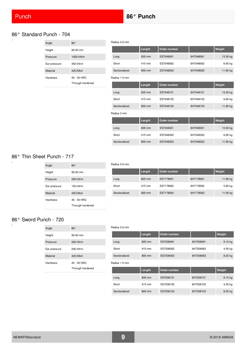Radius 0.6 mm

#### 86° Standard Punch - 704

| Angle        | 86°                             |
|--------------|---------------------------------|
| Height       | $90.00 \, \text{mm}$            |
| Pressure     | 1000 kN/m                       |
| Ear pressure | 450 kN/m                        |
| Material     | 42CrMo4                         |
| Hardness     | 45 - 50 HRC<br>Through hardened |

|               | Length | Order number |           | Weight   |
|---------------|--------|--------------|-----------|----------|
| Long          | 835 mm | ES7048061    | 6H7048061 | 13.30 kg |
| Short         | 415 mm | ES7048062    | 6H7048062 | 6.60 kg  |
| Sectionalized | 800 mm | ES7048063    | 6H7048063 | 11.80 kg |
| Radius 1.5 mm |        |              |           |          |
|               | Length | Order number |           | Weight   |
| Long          | 835 mm | ES7048151    | 6H7048151 | 13.30 kg |
| Short         | 415 mm | ES7048152    | 6H7048152 | 6.60 kg  |
| Sectionalized | 800 mm | ES7048153    | 6H7048153 | 11.80 kg |
| Radius 3 mm   |        |              |           |          |
|               | Length | Order number |           | Weight   |
| Long          | 835 mm | ES7048301    | 6H7048301 | 13.30 kg |
| Short         | 415 mm | ES7048302    | 6H7048302 | 6.60 kg  |
| Sectionalized | 800 mm | ES7048303    | 6H7048303 | 11.80 kg |

### 86° Thin Sheet Punch - 717

| Angle           | $86^\circ$           |
|-----------------|----------------------|
| Height          | $90.00 \, \text{mm}$ |
| Pressure        | 200 kN/m             |
| Ear pressure    | 150 kN/m             |
| Material        | 42CrMo4              |
| <b>Hardness</b> | 45 - 50 HRC          |
|                 | Through hardened     |

## Radius 0.6 mm **Length Order number | Weight** Long 835 mm ES7178061 6H7178061 11.80 kg Short 415 mm ES7178062 6H7178062 5.80 kg Sectionalized 800 mm ES7178063 6H7178063 11.00 kg

### 86° Sword Punch - 720

| Angle        | 86°                             |
|--------------|---------------------------------|
| Height       | $90.00 \, \text{mm}$            |
| Pressure     | 500 kN/m                        |
| Ear pressure | 200 kN/m                        |
| Material     | 42CrMo4                         |
| Hardness     | 45 - 50 HRC<br>Through hardened |
|              |                                 |

|               | Length | Order number |           | Weight    |
|---------------|--------|--------------|-----------|-----------|
| Long          | 835 mm | ES7208061    | 6H7208061 | 9.10 kg   |
| Short         | 415 mm | ES7208062    | 6H7208062 | 4.50 kg   |
| Sectionalized | 800 mm | ES7208063    | 6H7208063 | 8.20 kg   |
| Radius 1.5 mm |        |              |           |           |
|               | Length | Order number |           | Weight    |
| Long          | 835 mm | ES7208151    | 6H7208151 | $9.10$ kg |
| Short         | 415 mm | ES7208152    | 6H7208152 | 4.50 kg   |
| Sectionalized | 800 mm | ES7208153    | 6H7208153 | 8.20 kg   |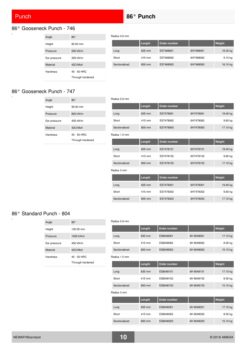$\Box$ 

## **Punch <b>86°** Punch **86°** Punch

Radius 0.6 mm

#### <span id="page-9-0"></span>86° Gooseneck Punch - 746  $\overline{a}$

| Angle        | 86°                  |
|--------------|----------------------|
| Height       | $90.00 \, \text{mm}$ |
| Pressure     | 550 kN/m             |
| Ear pressure | 350 kN/m             |
| Material     | 42CrMo4              |
| Hardness     | 45 - 50 HRC          |
|              | Through hardened     |

|               | Length | Order number |           | Weight   |
|---------------|--------|--------------|-----------|----------|
| Long          | 835 mm | ES7468061    | 6H7468061 | 18.30 kg |
| Short         | 415 mm | ES7468062    | 6H7468062 | 9.10 kg  |
| Sectionalized | 800 mm | ES7468063    | 6H7468063 | 16.10 kg |

## 86° Gooseneck Punch - 747

| Angle        | $86^\circ$                      |
|--------------|---------------------------------|
| Height       | $90.00 \, \text{mm}$            |
| Pressure     | 800 kN/m                        |
| Ear pressure | 450 kN/m                        |
| Material     | 42CrMo4                         |
| Hardness     | 45 - 50 HRC<br>Through hardened |

| Radius 0.6 mm |        |              |           |          |
|---------------|--------|--------------|-----------|----------|
|               | Length | Order number |           | Weight   |
| Long          | 835 mm | ES7478061    | 6H7478061 | 19.40 kg |
| Short         | 415 mm | ES7478062    | 6H7478062 | 9.60 kg  |
| Sectionalized | 800 mm | ES7478063    | 6H7478063 | 17.10 kg |
| Radius 1.5 mm |        |              |           |          |
|               | Length | Order number |           | Weight   |
| Long          | 835 mm | ES7478151    | 6H7478151 | 19.40 kg |
| Short         | 415 mm | ES7478152    | 6H7478152 | 9.60 kg  |
| Sectionalized | 800 mm | ES7478153    | 6H7478153 | 17.10 kg |
| Radius 3 mm   |        |              |           |          |
|               | Length | Order number |           | Weight   |
| Long          | 835 mm | ES7478301    | 6H7478301 | 19.40 kg |
| Short         | 415 mm | ES7478302    | 6H7478302 | 9.60 kg  |
| Sectionalized | 800 mm | ES7478303    | 6H7478303 | 17.10 kg |

### 86° Standard Punch - 804

| Angle        | $86^{\circ}$     |
|--------------|------------------|
| Height       | 120.00 mm        |
| Pressure     | 1000 kN/m        |
| Ear pressure | 450 kN/m         |
| Material     | 42CrMo4          |
| Hardness     | 45 - 50 HRC      |
|              | Through hardened |

|               | Length | Order number |            | Weight   |
|---------------|--------|--------------|------------|----------|
| Long          | 835 mm | ES8048061    | 6H 8048061 | 17.10 kg |
| Short         | 415 mm | ES8048062    | 6H 8048062 | 8.50 kg  |
| Sectionalized | 800 mm | ES8048063    | 6H 8048063 | 15.10 kg |
| Radius 1.5 mm |        |              |            |          |
|               | Length | Order number |            | Weight   |
| Long          | 835 mm | ES8048151    | 6H 8048151 | 17.10 kg |
| Short         | 415 mm | ES8048152    | 6H 8048152 | 8.50 kg  |
| Sectionalized | 800 mm | ES8048153    | 6H 8048153 | 15.10 kg |
| Radius 3 mm   |        |              |            |          |
|               | Length | Order number |            | Weight   |
| Long          | 835 mm | ES8048301    | 6H 8048301 | 17.10 kg |
| Short         | 415 mm | ES8048302    | 6H 8048302 | 8.50 kg  |
| Sectionalized | 800 mm | ES8048303    | 6H 8048303 | 15.10 kg |
|               |        |              |            |          |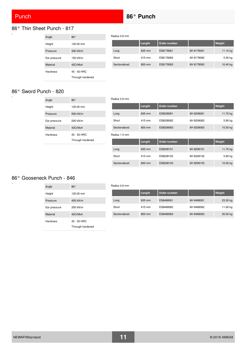## **Punch <b>86°** Punch **86°** Punch

Radius 0.6 mm

Radius 0.6 mm

#### 86° Thin Sheet Punch - 817  $\overline{a}$

| Angle        | 86°              |
|--------------|------------------|
| Height       | 120.00 mm        |
| Pressure     | 300 kN/m         |
| Ear pressure | 150 kN/m         |
| Material     | 42CrMo4          |
| Hardness     | 45 - 50 HRC      |
|              | Through hardened |

|               | Length | Order number |            | Weight   |
|---------------|--------|--------------|------------|----------|
| Long          | 835 mm | ES8178061    | 6H 8178061 | 11.10 kg |
| Short         | 415 mm | ES8178062    | 6H 8178062 | 5.50 kg  |
| Sectionalized | 800 mm | ES8178063    | 6H 8178063 | 10.40 kg |

#### 86° Sword Punch - 820

 $\Box$ 

 $\overline{a}$ 

| Angle        | $86^\circ$                      |
|--------------|---------------------------------|
| Height       | 120.00 mm                       |
| Pressure     | 500 kN/m                        |
| Ear pressure | 200 kN/m                        |
| Material     | 42CrMo4                         |
| Hardness     | 45 - 50 HRC<br>Through hardened |

|               | Length | Order number |            | Weight   |
|---------------|--------|--------------|------------|----------|
| Long          | 835 mm | ES8208061    | 6H 8208061 | 11.70 kg |
| Short         | 415 mm | ES8208062    | 6H 8208062 | 5.80 kg  |
| Sectionalized | 800 mm | ES8208063    | 6H 8208063 | 10.50 kg |
| Radius 1.5 mm |        |              |            |          |

|               | Length           | Order number |            | Weight   |
|---------------|------------------|--------------|------------|----------|
|               |                  |              |            |          |
| Long          | 835 mm           | ES8208151    | 6H 8208151 | 11.70 kg |
| Short         | 415 mm           | ES8208152    | 6H 8208152 | 5.80 kg  |
| Sectionalized | $800 \text{ mm}$ | ES8208153    | 6H 8208153 | 10.50 kg |

### 86° Gooseneck Punch - 846

| Angle        | $86^\circ$                      |
|--------------|---------------------------------|
| Height       | 120.00 mm                       |
| Pressure     | 450 kN/m                        |
| Ear pressure | 350 kN/m                        |
| Material     | 42CrMo4                         |
| Hardness     | 45 - 50 HRC<br>Through hardened |

|  |               | Length | Order number |            | Weight   |
|--|---------------|--------|--------------|------------|----------|
|  | Long          | 835 mm | ES8468061    | 6H 8468061 | 23.30 kg |
|  | Short         | 415 mm | ES8468062    | 6H 8468062 | 11.60 kg |
|  | Sectionalized | 800 mm | ES8468063    | 6H 8468063 | 20.50 kg |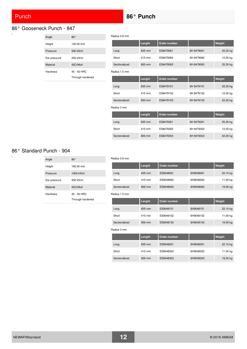## **Punch <b>86°** Punch **86°** Punch

#### 86° Gooseneck Punch - 847  $\overline{a}$

| Angle        | 86°                             |
|--------------|---------------------------------|
| Height       | 120.00 mm                       |
| Pressure     | 500 kN/m                        |
| Ear pressure | 450 kN/m                        |
| Material     | 42CrMo4                         |
| Hardness     | 45 - 50 HRC<br>Through hardened |

Radius 0.6 mm

|               | Length | Order number |            | Weight   |
|---------------|--------|--------------|------------|----------|
| Long          | 835 mm | ES8478061    | 6H 8478061 | 25.20 kg |
| Short         | 415 mm | ES8478062    | 6H 8478062 | 12.50 kg |
| Sectionalized | 800 mm | ES8478063    | 6H 8478063 | 22.20 kg |
| Radius 1.5 mm |        |              |            |          |
|               | Length | Order number |            | Weight   |
| Long          | 835 mm | ES8478151    | 6H 8478151 | 25.20 kg |
| Short         | 415 mm | ES8478152    | 6H 8478152 | 12.50 kg |
| Sectionalized | 800 mm | ES8478153    | 6H 8478153 | 22.20 kg |
| Radius 3 mm   |        |              |            |          |
|               | Length | Order number |            | Weight   |
| Long          | 835 mm | ES8478301    | 6H 8478301 | 25.20 kg |
| Short         | 415 mm | ES8478302    | 6H 8478302 | 12.50 kg |
| Sectionalized | 800 mm | ES8478303    | 6H 8478303 | 22.20 kg |

### 86° Standard Punch - 904

 $\overline{\square}$ 

| Angle        | $86^\circ$       |
|--------------|------------------|
| Height       | 160.00 mm        |
| Pressure     | 1000 kN/m        |
| Ear pressure | 450 kN/m         |
| Material     | 42CrMo4          |
| Hardness     | 45 - 50 HRC      |
|              | Through hardened |

#### Radius 0.6 mm

|               | Length | Order number |           | Weight   |
|---------------|--------|--------------|-----------|----------|
| Long          | 835 mm | ES9048061    | 6H9048061 | 22.10 kg |
| Short         | 415 mm | ES9048062    | 6H9048062 | 11.00 kg |
| Sectionalized | 800 mm | ES9048063    | 6H9048063 | 19.50 kg |
| Radius 1.5 mm |        |              |           |          |
|               | Length | Order number |           | Weight   |
| Long          | 835 mm | ES9048151    | 6H9048151 | 22.10 kg |
| Short         | 415 mm | ES9048152    | 6H9048152 | 11.00 kg |
| Sectionalized | 800 mm | ES9048153    | 6H9048153 | 19.50 kg |

#### Radius 3 mm

|               | Length | Order number |           | Weight   |
|---------------|--------|--------------|-----------|----------|
| Long          | 835 mm | ES9048301    | 6H9048301 | 22.10 kg |
| Short         | 415 mm | ES9048302    | 6H9048302 | 11.00 kg |
| Sectionalized | 800 mm | ES9048303    | 6H9048303 | 19.50 kg |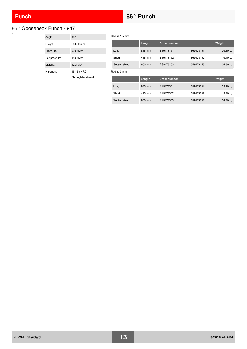## **Punch <b>86°** Punch **86°** Punch

#### 86° Gooseneck Punch - 947  $\overline{a}$

| Angle        | 86°              |
|--------------|------------------|
| Height       | 160.00 mm        |
| Pressure     | 500 kN/m         |
| Ear pressure | 450 kN/m         |
| Material     | 42CrMo4          |
| Hardness     | 45 - 50 HRC      |
|              | Through hardened |

|               | Length                   | Order number       |           | Weight      |
|---------------|--------------------------|--------------------|-----------|-------------|
| Long          | 835 mm                   | ES9478151          | 6H9478151 | 39.10 kg    |
| Short         | 415 mm                   | ES9478152          | 6H9478152 | 19.40 kg    |
| Sectionalized | 800 mm                   | ES9478153          | 6H9478153 | 34.30 kg    |
| Radius 3 mm   |                          |                    |           |             |
|               | <b>The contract form</b> | Ouslaw were a laws |           | Materials & |

|               | Length | Order number |           | Weight   |
|---------------|--------|--------------|-----------|----------|
| Long          | 835 mm | ES9478301    | 6H9478301 | 39.10 kg |
| Short         | 415 mm | ES9478302    | 6H9478302 | 19.40 kg |
| Sectionalized | 800 mm | ES9478303    | 6H9478303 | 34.30 kg |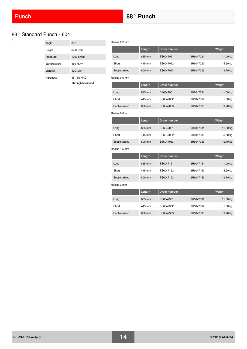Radius 0.2 mm

#### 88° Standard Punch - 604

| Angle        | $88^{\circ}$     |
|--------------|------------------|
| Height       | 67.00 mm         |
| Pressure     | 1000 kN/m        |
| Ear pressure | 450 kN/m         |
| Material     | 42CrMo4          |
| Hardness     | 45 - 50 HRC      |
|              | Through hardened |

Length Order number **No. 1986** Neight Long 835 mm ES6047021 6H6047021 11.00 kg Short 415 mm ES6047022 6H6047022 5.50 kg Sectionalized 800 mm ES6047023 6H6047023 9.70 kg Radius 0.6 mm **Length Order number | Weight** Long 835 mm ES6047061 6H6047061 11.00 kg Short 415 mm ES6047062 6H6047062 5.50 kg Sectionalized 800 mm ES6047063 6H6047063 9.70 kg Radius 0.8 mm **Length Order number | Weight** Long 835 mm ES6047081 6H6047081 11.00 kg Short 415 mm ES6047082 6H6047082 5.50 kg Sectionalized 800 mm ES6047083 6H6047083 9.70 kg Radius 1.5 mm **Length Order number | Weight** Long 835 mm ES6047151 6H6047151 11.00 kg Short 415 mm ES6047152 6H6047152 5.50 kg Sectionalized 800 mm ES6047153 6H6047153 9.70 kg Radius 3 mm **Length Order number Communist Communist Communist Communist Communist Communist Communist Communist Communist Communist Communist Communist Communist Communist Communist Communist Communist Communist Communist Communist C** 

Long 835 mm ES6047301 6H6047301 11.00 kg Short 415 mm ES6047302 6H6047302 5.50 kg Sectionalized 800 mm ES6047303 6H6047303 9.70 kg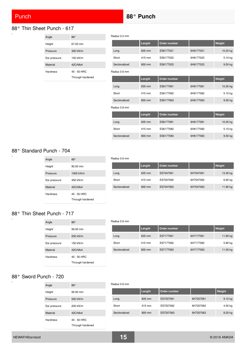$\overline{\square}$ 

 $\Box$ 

 $\overline{\phantom{0}}$ 

## Punch **88° Punch**

### <span id="page-14-0"></span>88° Thin Sheet Punch - 617

| Angle        | $88^\circ$       |
|--------------|------------------|
| Height       | 67.00 mm         |
| Pressure     | 300 kN/m         |
| Ear pressure | 150 kN/m         |
| Material     | 42CrMo4          |
| Hardness     | 45 - 50 HRC      |
|              | Through hardened |

Radius 0.2 mm

|               | Length | Order number |           | Weight    |
|---------------|--------|--------------|-----------|-----------|
| Long          | 835 mm | ES6177021    | 6H6177021 | 10.20 kg  |
| Short         | 415 mm | ES6177022    | 6H6177022 | 5.10 kg   |
| Sectionalized | 800 mm | ES6177023    | 6H6177023 | 9.50 kg   |
| Radius 0.6 mm |        |              |           |           |
|               | Length | Order number |           | Weight    |
| Long          | 835 mm | ES6177061    | 6H6177061 | 10.20 kg  |
| Short         | 415 mm | ES6177062    | 6H6177062 | 5.10 kg   |
| Sectionalized | 800 mm | ES6177063    | 6H6177063 | 9.50 kg   |
| Radius 0.8 mm |        |              |           |           |
|               | Length | Order number |           | Weight    |
| Long          | 835 mm | ES6177081    | 6H6177081 | 10.20 kg  |
| Short         | 415 mm | ES6177082    | 6H6177082 | 5.10 kg   |
| Sectionalized | 800 mm | ES6177083    | 6H6177083 | $9.50$ kg |

#### 88° Standard Punch - 704

| Angle        | $88^\circ$           |
|--------------|----------------------|
| Height       | $90.00 \, \text{mm}$ |
| Pressure     | 1000 kN/m            |
| Ear pressure | 450 kN/m             |
| Material     | 42CrMo4              |
| Hardness     | 45 - 50 HRC          |
|              | Through hardened     |

|               | Length | Order number |           | Weight   |
|---------------|--------|--------------|-----------|----------|
| Long          | 835 mm | ES7047061    | 6H7047061 | 13.30 kg |
| Short         | 415 mm | ES7047062    | 6H7047062 | 6.60 kg  |
| Sectionalized | 800 mm | ES7047063    | 6H7047063 | 11.80 kg |

#### 88° Thin Sheet Punch - 717

| Angle        | $88^\circ$           |
|--------------|----------------------|
| Height       | $90.00 \, \text{mm}$ |
| Pressure     | 200 kN/m             |
| Ear pressure | 150 kN/m             |
| Material     | 42CrMo4              |
| Hardness     | 45 - 50 HRC          |
|              | Through hardened     |

#### Radius 0.6 mm

Radius 0.6 mm

Radius 0.6 mm

|               | Length | Order number |           | Weight   |
|---------------|--------|--------------|-----------|----------|
| Long          | 835 mm | ES7177061    | 6H7177061 | 11.80 kg |
| Short         | 415 mm | ES7177062    | 6H7177062 | 5.80 kg  |
| Sectionalized | 800 mm | ES7177063    | 6H7177063 | 11.00 kg |

Sectionalized 800 mm ES7207063 6H7207063 8.20 kg

## 88° Sword Punch - 720

| Angle        | $88^\circ$           |
|--------------|----------------------|
| Height       | $90.00 \, \text{mm}$ |
| Pressure     | 500 kN/m             |
| Ear pressure | 200 kN/m             |
| Material     | 42CrMo4              |
| Hardness     | 45 - 50 HRC          |
|              | Through hardened     |

|       | Length | Order number |           | Weight    |
|-------|--------|--------------|-----------|-----------|
| Long  | 835 mm | ES7207061    | 6H7207061 | $9.10$ kg |
| Short | 415 mm | ES7207062    | 6H7207062 | 4.50 kg   |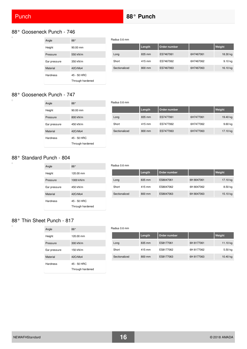ò

 $\overline{a}$ 

 $\overline{a}$ 

## Punch **88° Punch**

Radius 0.6 mm

Radius 0.6 mm

#### 88° Gooseneck Punch - 746

| Angle        | $88^\circ$                      |
|--------------|---------------------------------|
| Height       | 90.00 mm                        |
| Pressure     | 550 kN/m                        |
| Ear pressure | 350 kN/m                        |
| Material     | 42CrMo4                         |
| Hardness     | 45 - 50 HRC<br>Through hardened |

|               | Length | Order number |           | Weight   |
|---------------|--------|--------------|-----------|----------|
| Long          | 835 mm | ES7467061    | 6H7467061 | 18.30 kg |
| Short         | 415 mm | ES7467062    | 6H7467062 | 9.10 kg  |
| Sectionalized | 800 mm | ES7467063    | 6H7467063 | 16.10 kg |

### 88° Gooseneck Punch - 747

| Angle        | $88^\circ$                      |
|--------------|---------------------------------|
| Height       | $90.00 \, \text{mm}$            |
| Pressure     | 800 kN/m                        |
| Ear pressure | 450 kN/m                        |
| Material     | 42CrMo4                         |
| Hardness     | 45 - 50 HRC<br>Through hardened |

|               | Length | Order number |           | Weight   |
|---------------|--------|--------------|-----------|----------|
| Long          | 835 mm | ES7477061    | 6H7477061 | 19.40 kg |
| Short         | 415 mm | ES7477062    | 6H7477062 | 9.60 kg  |
| Sectionalized | 800 mm | ES7477063    | 6H7477063 | 17.10 kg |

#### 88° Standard Punch - 804

| Angle        | $88^\circ$       |
|--------------|------------------|
| Height       | 120.00 mm        |
| Pressure     | 1000 kN/m        |
| Ear pressure | 450 kN/m         |
| Material     | 42CrMo4          |
| Hardness     | 45 - 50 HRC      |
|              | Through hardened |

## **Length Order number Weight** Long 835 mm ES8047061 6H 8047061 17.10 kg Short 415 mm ES8047062 6H 8047062 8.50 kg Sectionalized 800 mm ES8047063 6H 8047063 15.10 kg

### 88° Thin Sheet Punch - 817

| Angle        | 88°                             |
|--------------|---------------------------------|
| Height       | 120.00 mm                       |
| Pressure     | 300 kN/m                        |
| Ear pressure | 150 kN/m                        |
| Material     | 42CrMo4                         |
| Hardness     | 45 - 50 HRC<br>Through hardened |

#### Radius 0.6 mm

|               | Length | Order number |            | Weight   |
|---------------|--------|--------------|------------|----------|
| Long          | 835 mm | ES8177061    | 6H 8177061 | 11.10 kg |
| Short         | 415 mm | ES8177062    | 6H 8177062 | 5.50 kg  |
| Sectionalized | 800 mm | ES8177063    | 6H 8177063 | 10.40 kg |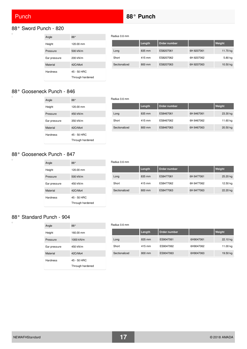### 88° Sword Punch - 820

| Angle           | $88^\circ$       |
|-----------------|------------------|
| Height          | 120.00 mm        |
| Pressure        | 500 kN/m         |
| Ear pressure    | 200 kN/m         |
| Material        | 42CrMo4          |
| <b>Hardness</b> | 45 - 50 HRC      |
|                 | Through hardened |

|               | Length | Order number |            | Weight   |
|---------------|--------|--------------|------------|----------|
| Long          | 835 mm | ES8207061    | 6H 8207061 | 11.70 kg |
| Short         | 415 mm | ES8207062    | 6H 8207062 | 5.80 kg  |
| Sectionalized | 800 mm | ES8207063    | 6H 8207063 | 10.50 kg |
|               |        |              |            |          |

#### 88° Gooseneck Punch - 846

| Angle        | $88^\circ$       |
|--------------|------------------|
| Height       | 120.00 mm        |
| Pressure     | 450 kN/m         |
| Ear pressure | 350 kN/m         |
| Material     | 42CrMo4          |
| Hardness     | 45 - 50 HRC      |
|              | Through hardened |

|               | Length           | Order number |            | Weight   |
|---------------|------------------|--------------|------------|----------|
| Long          | 835 mm           | ES8467061    | 6H 8467061 | 23.30 kg |
| Short         | 415 mm           | ES8467062    | 6H 8467062 | 11.60 kg |
| Sectionalized | $800 \text{ mm}$ | ES8467063    | 6H 8467063 | 20.50 kg |

#### 88° Gooseneck Punch - 847

| Angle           | $88^\circ$       |
|-----------------|------------------|
| Height          | 120.00 mm        |
| Pressure        | 500 kN/m         |
| Ear pressure    | 450 kN/m         |
| Material        | 42CrMo4          |
| <b>Hardness</b> | 45 - 50 HRC      |
|                 | Through hardened |

#### Radius 0.6 mm

Radius 0.6 mm

Radius 0.6 mm

|               | Length           | Order number |            | Weight   |
|---------------|------------------|--------------|------------|----------|
| Long          | $835 \text{ mm}$ | ES8477061    | 6H 8477061 | 25.20 kg |
| Short         | 415 mm           | ES8477062    | 6H 8477062 | 12.50 kg |
| Sectionalized | 800 mm           | ES8477063    | 6H 8477063 | 22.20 kg |

#### 88° Standard Punch - 904

| Angle        | $88^\circ$       |
|--------------|------------------|
| Height       | 160.00 mm        |
| Pressure     | 1000 kN/m        |
| Ear pressure | 450 kN/m         |
| Material     | 42CrMo4          |
| Hardness     | 45 - 50 HRC      |
|              | Through hardened |

## Radius 0.6 mm **Length Order number | Weight** Long 835 mm ES9047061 6H9047061 22.10 kg Short 415 mm ES9047062 6H9047062 11.00 kg Sectionalized 800 mm ES9047063 6H9047063 19.50 kg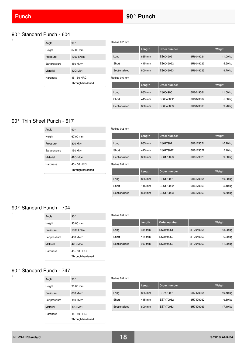i.

 $\overline{a}$ 

 $\Box$ 

 $\overline{a}$ 

#### 90° Standard Punch - 604

| Angle        | $90^\circ$       |
|--------------|------------------|
| Height       | 67.00 mm         |
| Pressure     | 1000 kN/m        |
| Ear pressure | 450 kN/m         |
| Material     | 42CrMo4          |
| Hardness     | 45 - 50 HRC      |
|              | Through hardened |

|               | Length | Order number |           | Weight   |
|---------------|--------|--------------|-----------|----------|
| Long          | 835 mm | ES6049021    | 6H6049021 | 11.00 kg |
| Short         | 415 mm | ES6049022    | 6H6049022 | 5.50 kg  |
| Sectionalized | 800 mm | ES6049023    | 6H6049023 | 9.70 kg  |
| Radius 0.6 mm |        |              |           |          |
|               | Length | Order number |           | Weight   |
| Long          | 835 mm | ES6049061    | 6H6049061 | 11.00 kg |
| Short         | 415 mm | ES6049062    | 6H6049062 | 5.50 kg  |
| Sectionalized | 800 mm | ES6049063    | 6H6049063 | 9.70 kg  |

## 90° Thin Sheet Punch - 617

| Angle        | $90^{\circ}$                    |
|--------------|---------------------------------|
| Height       | 67.00 mm                        |
| Pressure     | 300 kN/m                        |
| Ear pressure | 150 kN/m                        |
| Material     | 42CrMo4                         |
| Hardness     | 45 - 50 HRC<br>Through hardened |

| Radius 0.2 mm |        |              |           |           |
|---------------|--------|--------------|-----------|-----------|
|               | Length | Order number |           | Weight    |
| Long          | 835 mm | ES6179021    | 6H6179021 | 10.20 kg  |
| Short         | 415 mm | ES6179022    | 6H6179022 | 5.10 kg   |
| Sectionalized | 800 mm | ES6179023    | 6H6179023 | $9.50$ kg |
|               |        |              |           |           |

Radius 0.6 mm

Radius 0.2 mm

|               | Length | Order number |           | Weight    |
|---------------|--------|--------------|-----------|-----------|
| Long          | 835 mm | ES6179061    | 6H6179061 | 10.20 kg  |
| Short         | 415 mm | ES6179062    | 6H6179062 | 5.10 kg   |
| Sectionalized | 800 mm | ES6179063    | 6H6179063 | $9.50$ kg |

#### 90° Standard Punch - 704

| Angle        | $90^{\circ}$         |
|--------------|----------------------|
| Height       | $90.00 \, \text{mm}$ |
| Pressure     | 1000 kN/m            |
| Ear pressure | 450 kN/m             |
| Material     | 42CrMo4              |
| Hardness     | 45 - 50 HRC          |
|              | Through hardened     |

#### Radius 0.6 mm

|               | Length           | Order number |            | Weight    |
|---------------|------------------|--------------|------------|-----------|
| Long          | 835 mm           | ES7049061    | 6H 7049061 | 13.30 kg  |
| Short         | 415 mm           | ES7049062    | 6H 7049062 | $6.60$ kg |
| Sectionalized | $800 \text{ mm}$ | ES7049063    | 6H 7049063 | 11.80 kg  |

### 90° Standard Punch - 747

| Angle        | $90^{\circ}$         |
|--------------|----------------------|
| Height       | $90.00 \, \text{mm}$ |
| Pressure     | 800 kN/m             |
| Ear pressure | 450 kN/m             |
| Material     | 42CrMo4              |
| Hardness     | 45 - 50 HRC          |
|              | Through hardened     |

|               | Length | Order number |           | Weight    |
|---------------|--------|--------------|-----------|-----------|
| Long          | 835 mm | ES7479061    | 6H7479061 | 19.40 kg  |
| Short         | 415 mm | ES7479062    | 6H7479062 | $9.60$ kg |
| Sectionalized | 800 mm | ES7479063    | 6H7479063 | 17.10 kg  |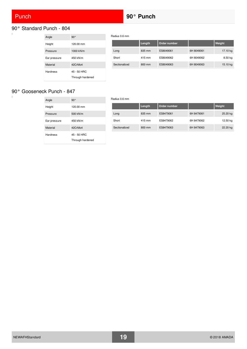$\overline{a}$ 

# <span id="page-18-0"></span>90° Standard Punch - 804

| Angle        | $90^{\circ}$     |
|--------------|------------------|
| Height       | 120.00 mm        |
| Pressure     | 1000 kN/m        |
| Ear pressure | 450 kN/m         |
| Material     | 42CrMo4          |
| Hardness     | 45 - 50 HRC      |
|              | Through hardened |

Radius 0.6 mm

Radius 0.6 mm

| Length | Order number |            | Weight   |
|--------|--------------|------------|----------|
| 835 mm | ES8049061    | 6H 8049061 | 17.10 kg |
| 415 mm | ES8049062    | 6H 8049062 | 8.50 kg  |
| 800 mm | ES8049063    | 6H 8049063 | 15.10 kg |
|        |              |            |          |

## 90° Gooseneck Punch - 847

| Angle           | $90^\circ$                      |
|-----------------|---------------------------------|
| Height          | 120.00 mm                       |
| Pressure        | 500 kN/m                        |
| Ear pressure    | 450 kN/m                        |
| Material        | 42CrMo4                         |
| <b>Hardness</b> | 45 - 50 HRC<br>Through hardened |

|               | Length | Order number |            | Weight   |
|---------------|--------|--------------|------------|----------|
| Long          | 835 mm | ES8479061    | 6H 8479061 | 25.20 kg |
| Short         | 415 mm | ES8479062    | 6H 8479062 | 12.50 kg |
| Sectionalized | 800 mm | ES8479063    | 6H 8479063 | 22.20 kg |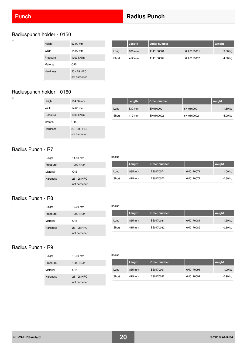$\Box$ 

 $\overline{\phantom{a}}$ 

 $\overline{a}$ 

 $\Box$ 

h

## **Punch <b>Radius Punch Radius Punch Radius Punch**

### Radiuspunch holder - 0150

| Height          | 67.00 mm                    |
|-----------------|-----------------------------|
| Width           | 14.00 mm                    |
| Pressure        | 1000 kN/m                   |
| Material        | C45                         |
| <b>Hardness</b> | 23 - 28 HRC<br>not hardened |

|       | Length | Order number |            | Weight    |
|-------|--------|--------------|------------|-----------|
| Long  | 830 mm | EH0150001    | 6H 0150001 | $9.80$ kg |
| Short | 412 mm | EH0150002    | 6H 0150002 | 4.90 kg   |

## Radiuspunch holder - 0160

| Height          | 104.00 mm    |
|-----------------|--------------|
| Width           | 14.00 mm     |
| Pressure        | 1000 kN/m    |
| Material        | C45          |
| <b>Hardness</b> | 23 - 28 HRC  |
|                 | not hardened |

|       | Length | Order number |            | Weight   |
|-------|--------|--------------|------------|----------|
| Long  | 830 mm | EH0160001    | 6H 0160001 | 11.80 kg |
| Short | 412 mm | EH0160002    | 6H 0160002 | 5.90 kg  |

#### Radius Punch - R7

| Height          | 11.50 mm      |
|-----------------|---------------|
| Pressure        | 1000 kN/m     |
| Material        | C45           |
| <b>Hardness</b> | $23 - 28$ HRC |
|                 | not hardened  |

|       | Length | Order number |           | Weight    |
|-------|--------|--------------|-----------|-----------|
| Long  | 835 mm | ES0170071    | 6H0170071 | 1.00 kg   |
| Short | 415 mm | ES0170072    | 6H0170072 | $0.60$ kg |

### Radius Punch - R8

Height 13.00 mm Pressure 1000 kN/m Material C45 Hardness 23 - 28 HRC not hardened

#### Radius

Radius

Radius

|       | Length | Order number |           | Weight    |
|-------|--------|--------------|-----------|-----------|
| Long  | 835 mm | ES0170081    | 6H0170081 | $1.50$ kg |
| Short | 415 mm | ES0170082    | 6H0170082 | $0.80$ kg |

### Radius Punch - R9

| Height          | 16.00 mm                      |
|-----------------|-------------------------------|
| Pressure        | 1000 kN/m                     |
| Material        | C45                           |
| <b>Hardness</b> | $23 - 28$ HRC<br>not hardened |

|       | Length | Order number |           | <b>Weight</b> |
|-------|--------|--------------|-----------|---------------|
| Long  | 835 mm | ES0170091    | 6H0170091 | $1.90$ kg     |
| Short | 415 mm | ES0170092    | 6H0170092 | $0.90$ kg     |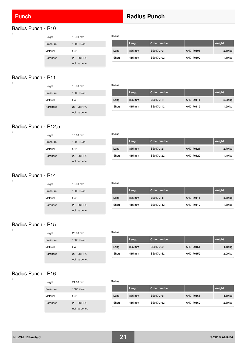## **Punch <b>Radius Punch Radius Punch Radius Punch**

#### <span id="page-20-0"></span>Radius Punch - R10  $\overline{a}$

| Height          | 16.00 mm    | Radius |        |              |           |         |
|-----------------|-------------|--------|--------|--------------|-----------|---------|
| Pressure        | 1000 kN/m   |        | Length | Order number |           | Weight  |
| Material        | C45         | Long   | 835 mm | ES0170101    | 6H0170101 | 2.10 kg |
| <b>Hardness</b> | 23 - 28 HRC | Short  | 415 mm | ES0170102    | 6H0170102 | 1.10 kg |

#### Radius Punch - R11  $\Box$

| Height          | 16.00 mm     | Radius |        |              |
|-----------------|--------------|--------|--------|--------------|
| Pressure        | 1000 kN/m    |        | Length | Order number |
| Material        | C45          | Long   | 835 mm | ES0170111    |
| <b>Hardness</b> | 23 - 28 HRC  | Short  | 415 mm | ES0170112    |
|                 | not hardened |        |        |              |

not hardened

## **Length Order number Weight** 6H0170111 2.30 kg 6H0170112 1.20 kg

## Radius Punch - R12,5

| Height   | 16.00 mm                    | Radius |        |              |           |           |
|----------|-----------------------------|--------|--------|--------------|-----------|-----------|
| Pressure | 1000 kN/m                   |        | Length | Order number |           | Weight    |
| Material | C45                         | Long   | 835 mm | ES0170121    | 6H0170121 | $2.70$ kg |
| Hardness | 23 - 28 HRC<br>not hardened | Short  | 415 mm | ES0170122    | 6H0170122 | 1.40 kg   |

## Radius Punch - R14

 $\overline{a}$ 

 $\overline{a}$ 

 $\overline{a}$ 

| Height   | 19.00 mm     | Radius |        |              |           |         |  |
|----------|--------------|--------|--------|--------------|-----------|---------|--|
| Pressure | 1000 kN/m    |        | Length | Order number |           | Weight  |  |
| Material | C45          | Long   | 835 mm | ES0170141    | 6H0170141 | 3.60 kg |  |
| Hardness | 23 - 28 HRC  | Short  | 415 mm | ES0170142    | 6H0170142 | 1.80 kg |  |
|          | not hardened |        |        |              |           |         |  |

#### Radius Punch - R15

| Height          | $20.00 \text{ mm}$ |
|-----------------|--------------------|
| Pressure        | 1000 kN/m          |
| Material        | C45                |
| <b>Hardness</b> | $23 - 28$ HRC      |
|                 | not hardened       |

| Radius |        |              |           |           |  |  |  |
|--------|--------|--------------|-----------|-----------|--|--|--|
|        | Length | Order number |           | Weight    |  |  |  |
| Long   | 835 mm | ES0170151    | 6H0170151 | $4.10$ kg |  |  |  |
| Short  | 415 mm | ES0170152    | 6H0170152 | 2.00 kg   |  |  |  |

#### Radius Punch - R16

| Height          | 21.00 mm      |
|-----------------|---------------|
| Pressure        | 1000 kN/m     |
| Material        | C45           |
| <b>Hardness</b> | $23 - 28$ HRC |
|                 | not hardened  |

| Radius |  |        |              |           |           |  |
|--------|--|--------|--------------|-----------|-----------|--|
|        |  | Length | Order number |           | Weight    |  |
| Long   |  | 835 mm | ES0170161    | 6H0170161 | $4.60$ kg |  |
| Short  |  | 415 mm | ES0170162    | 6H0170162 | $2.30$ kg |  |

## NEWAFHStandard **21** © 2018 AMADA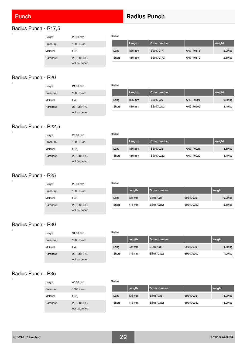## **Punch <b>Radius Punch Radius Punch Radius Punch**

#### Radius Punch - R17,5  $\Box$

| Height          | 22.00 mm     | Radius |        |              |           |        |  |
|-----------------|--------------|--------|--------|--------------|-----------|--------|--|
| Pressure        | 1000 kN/m    |        | Length | Order number |           | Weight |  |
| Material        | C45          | Long   | 835 mm | ES0170171    | 6H0170171 |        |  |
| <b>Hardness</b> | 23 - 28 HRC  | Short  | 415 mm | ES0170172    | 6H0170172 |        |  |
|                 | not hardened |        |        |              |           |        |  |

## Radius Punch - R20

 $\Box$ 

 $\blacksquare$ 

 $\overline{a}$ 

 $\overline{a}$ 

| Height          | 24.00 mm     | Radius |        |              |
|-----------------|--------------|--------|--------|--------------|
| Pressure        | 1000 kN/m    |        | Length | Order number |
| Material        | C45          | Long   | 835 mm | ES0170201    |
| <b>Hardness</b> | 23 - 28 HRC  | Short  | 415 mm | ES0170202    |
|                 | not hardened |        |        |              |

## **Length Order number Weight** Long 835 mm ES0170201 6H0170201 6.80 kg 6H0170202 3.40 kg

Long 835 mm ES0170171 6H0170171 5.20 kg 6H0170172 2.80 kg

## Radius Punch - R22,5

| Height   | 28.00 mm                    | Radius |        |              |           |         |
|----------|-----------------------------|--------|--------|--------------|-----------|---------|
| Pressure | 1000 kN/m                   |        | Length | Order number |           | Weight  |
| Material | C45                         | Long   | 835 mm | ES0170221    | 6H0170221 | 8.80 kg |
| Hardness | 23 - 28 HRC<br>not hardened | Short  | 415 mm | ES0170222    | 6H0170222 | 4.40 kg |

## Radius Punch - R25

| Height          | 29.00 mm     | R۶ |
|-----------------|--------------|----|
| Pressure        | 1000 kN/m    |    |
| Material        | C45          |    |
| <b>Hardness</b> | 23 - 28 HRC  |    |
|                 | not hardened |    |

| Radius |        |              |           |           |
|--------|--------|--------------|-----------|-----------|
|        | Length | Order number |           | Weight    |
| Long   | 835 mm | ES0170251    | 6H0170251 | 10.20 kg  |
| Short  | 415 mm | ES0170252    | 6H0170252 | $5.10$ kg |

#### Radius Punch - R30

| Height          | 34.00 mm     |
|-----------------|--------------|
| Pressure        | 1000 kN/m    |
| Material        | C45          |
| <b>Hardness</b> | 23 - 28 HRC  |
|                 | not hardened |

#### Radius

|       | Length | Order number |           | Weight   |
|-------|--------|--------------|-----------|----------|
| Long  | 835 mm | ES0170301    | 6H0170301 | 14.00 kg |
| Short | 415 mm | ES0170302    | 6H0170302 | 7.00 kg  |

#### Radius Punch - R35

| Height          | 40.00 mm      |
|-----------------|---------------|
| Pressure        | 1000 kN/m     |
| Material        | C45           |
| <b>Hardness</b> | $23 - 28$ HRC |
|                 | not hardened  |

| Radius |        |              |           |          |
|--------|--------|--------------|-----------|----------|
|        | Length | Order number |           | Weight   |
| Long   | 835 mm | ES0170351    | 6H0170351 | 18.90 kg |
| Short  | 415 mm | ES0170352    | 6H0170352 | 14.20 kg |

| NEWAFHStandard | 22 | © 2018 AMADA |
|----------------|----|--------------|
|                |    |              |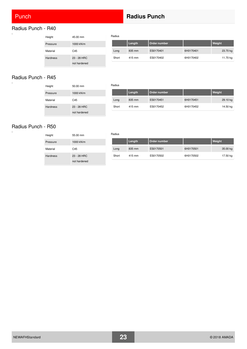## Punch **Radius Punch**

#### Radius Punch - R40  $\overline{a}$

| Height          | 45.00 mm      | Radius |  |
|-----------------|---------------|--------|--|
| Pressure        | 1000 kN/m     |        |  |
| Material        | C45           | Long   |  |
| <b>Hardness</b> | $23 - 28$ HRC | Short  |  |
|                 | not hardened  |        |  |

|       | Length | Order number |           | Weight   |
|-------|--------|--------------|-----------|----------|
| Long  | 835 mm | ES0170401    | 6H0170401 | 23.70 kg |
| Short | 415 mm | ES0170402    | 6H0170402 | 11.70 kg |

#### Radius Punch - R45  $\Box$

| Height          | 50.00 mm     | Radius |
|-----------------|--------------|--------|
| Pressure        | 1000 kN/m    |        |
| Material        | C45          | Long   |
| <b>Hardness</b> | 23 - 28 HRC  | Short  |
|                 | not hardened |        |

|       | Length | Order number |           | Weight   |
|-------|--------|--------------|-----------|----------|
| Long  | 835 mm | ES0170451    | 6H0170451 | 29.10 kg |
| Short | 415 mm | ES0170452    | 6H0170452 | 14.50 kg |

## Radius Punch - R50

| Height          | 55.00 mm                    | Radius |        |              |           |          |
|-----------------|-----------------------------|--------|--------|--------------|-----------|----------|
| Pressure        | 1000 kN/m                   |        | Length | Order number |           | Weight   |
| Material        | C45                         | Long   | 835 mm | ES0170501    | 6H0170501 | 35.00 kg |
| <b>Hardness</b> | 23 - 28 HRC<br>not hardened | Short  | 415 mm | ES0170502    | 6H0170502 | 17.50 kg |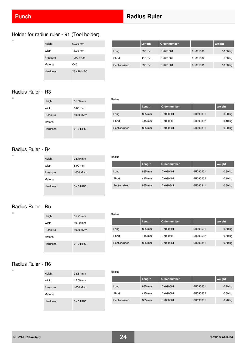$\Box$ 

 $\overline{\phantom{a}}$ 

 $\overline{a}$ 

 $\Box$ 

 $\Box$ 

## **Punch <b>Radius Ruler** Radius Ruler

## Holder for radius ruler - 91 (Tool holder)

| Height          | 60.00 mm      |
|-----------------|---------------|
| Width           | 13.00 mm      |
| Pressure        | 1000 kN/m     |
| Material        | C45           |
| <b>Hardness</b> | $23 - 28$ HRC |

|               | Length | Order number |          | Weight   |
|---------------|--------|--------------|----------|----------|
| Long          | 835 mm | DX091001     | 6H091001 | 10.00 kg |
| Short         | 415 mm | DX091002     | 6H091002 | 5.00 kg  |
| Sectionalized | 835 mm | DX091801     | 6H091801 | 10.00 kg |

### Radius Ruler - R3

| Height          | 31.50 mm    |
|-----------------|-------------|
| Width           | $6.00$ mm   |
| Pressure        | 1000 kN/m   |
| Material        |             |
| <b>Hardness</b> | $0 - 0$ HRC |
|                 |             |

|               | Length | Order number |          | Weight    |
|---------------|--------|--------------|----------|-----------|
| Long          | 835 mm | DX090301     | 6H090301 | $0.20$ kg |
| Short         | 415 mm | DX090302     | 6H090302 | $0.10$ kg |
| Sectionalized | 835 mm | DX090831     | 6H090831 | $0.20$ kg |

#### Radius Ruler - R4

| Height          | 33.70 mm    |
|-----------------|-------------|
| Width           | 8.00 mm     |
| Pressure        | 1000 kN/m   |
| Material        |             |
| <b>Hardness</b> | $0 - 0$ HRC |
|                 |             |

|               | Length | Order number |          | Weight    |
|---------------|--------|--------------|----------|-----------|
| Long          | 835 mm | DX090401     | 6H090401 | $0.30$ kg |
| Short         | 415 mm | DX090402     | 6H090402 | $0.10$ kg |
| Sectionalized | 835 mm | DX090841     | 6H090841 | $0.30$ kg |

### Radius Ruler - R5

| Height          | 35.71 mm    |
|-----------------|-------------|
| Width           | 10.00 mm    |
| Pressure        | 1000 kN/m   |
| Material        |             |
| <b>Hardness</b> | $0 - 0$ HRC |

|               | Length | Order number |          | Weight    |
|---------------|--------|--------------|----------|-----------|
| Long          | 835 mm | DX090501     | 6H090501 | $0.50$ kg |
| Short         | 415 mm | DX090502     | 6H090502 | $0.50$ kg |
| Sectionalized | 835 mm | DX090851     | 6H090851 | $0.50$ kg |

#### Radius Ruler - R6

| Height          | 33.61 mm    |
|-----------------|-------------|
| Width           | 12.00 mm    |
| Pressure        | 1000 kN/m   |
| Material        |             |
| <b>Hardness</b> | $0 - 0$ HRC |

#### Radius

Radius

Radius

Radius

|               | Length | Order number |          | Weight    |
|---------------|--------|--------------|----------|-----------|
| Long          | 835 mm | DX090601     | 6H090601 | $0.70$ kg |
| Short         | 415 mm | DX090602     | 6H090602 | $0.30$ kg |
| Sectionalized | 835 mm | DX090861     | 6H090861 | $0.70$ kg |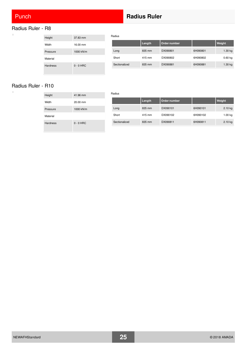$\Box$ 

## <span id="page-24-0"></span>Radius Ruler - R8

| Height          | 37.83 mm    |
|-----------------|-------------|
| Width           | 16.00 mm    |
| Pressure        | 1000 kN/m   |
| Material        |             |
| <b>Hardness</b> | $0 - 0$ HRC |

|               | Length | Order number |          | Weight    |
|---------------|--------|--------------|----------|-----------|
| Long          | 835 mm | DX090801     | 6H090801 | 1.30 kg   |
| Short         | 415 mm | DX090802     | 6H090802 | $0.60$ kg |
| Sectionalized | 835 mm | DX090881     | 6H090881 | 1.30 kg   |
|               |        |              |          |           |

#### Radius Ruler - R10

| Height          | 41.96 mm    |
|-----------------|-------------|
| Width           | 20.00 mm    |
| Pressure        | 1000 kN/m   |
| Material        |             |
| <b>Hardness</b> | $0 - 0$ HRC |

#### Radius

Radius

|               | Length | Order number |          | Weight    |
|---------------|--------|--------------|----------|-----------|
| Long          | 835 mm | DX090101     | 6H090101 | $2.10$ kg |
| Short         | 415 mm | DX090102     | 6H090102 | 1.00 kg   |
| Sectionalized | 835 mm | DX090811     | 6H090811 | $2.10$ kg |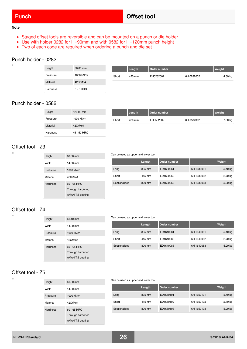#### **Note**

 $\overline{a}$ 

- Staged offset tools are reversible and can be mounted on a punch or die holder
- Use with holder 0282 for H=90mm and with 0582 for H=120mm punch height
- Two of each code are required when ordering a punch and die set

#### Punch holder - 0282

| Height   | 90.00 mm    |       | Length | Order number |            | Weight  |
|----------|-------------|-------|--------|--------------|------------|---------|
| Pressure | 1000 kN/m   | Short | 420 mm | EH0282002    | 6H 0282002 | 4.30 kg |
| Material | 42CrMo4     |       |        |              |            |         |
| Hardness | $0 - 0$ HRC |       |        |              |            |         |

#### Punch holder - 0582

| Height   | 120.00 mm   |
|----------|-------------|
| Pressure | 1000 kN/m   |
| Material | 42CrMo4     |
| Hardness | 45 - 50 HRC |

|       | Length | Order number |            | <b>Weight</b> |
|-------|--------|--------------|------------|---------------|
| Short | 420 mm | EH0582002    | 6H 0582002 | 7.50 kg       |

### Offset tool - Z3

h

 $\overline{a}$ 

 $\overline{\phantom{a}}$ 

| Height          | 60.80 mm                    |
|-----------------|-----------------------------|
| Width           | 14.00 mm                    |
| Pressure        | 1000 kN/m                   |
| Material        | 42CrMo4                     |
| <b>Hardness</b> | $60 - 65$ HRC               |
|                 | Through hardened            |
|                 | AMANIT <sup>®</sup> coating |

#### Can be used as upper and lower tool

|               | Length | Order number |            | Weight  |
|---------------|--------|--------------|------------|---------|
| Long          | 835 mm | ED1630061    | 6H 1630061 | 5.40 kg |
| Short         | 415 mm | ED1630062    | 6H 1630062 | 2.70 kg |
| Sectionalized | 800 mm | ED1630063    | 6H 1630063 | 5.20 kg |

#### Offset tool - Z4

| Height          | 61.10 mm                    |
|-----------------|-----------------------------|
| Width           | 14.00 mm                    |
| Pressure        | 1000 kN/m                   |
| Material        | 42CrMo4                     |
| <b>Hardness</b> | $60 - 65$ HRC               |
|                 | Through hardened            |
|                 | AMANIT <sup>®</sup> coating |

#### Can be used as upper and lower tool

|               | Length | Order number |            | Weight  |
|---------------|--------|--------------|------------|---------|
| Long          | 835 mm | ED1640081    | 6H 1640081 | 5.40 kg |
| Short         | 415 mm | ED1640082    | 6H 1640082 | 2.70 kg |
| Sectionalized | 800 mm | ED1640083    | 6H 1640083 | 5.20 kg |

### Offset tool - Z5

| Height          | 61.30 mm                    |
|-----------------|-----------------------------|
| Width           | 14.00 mm                    |
| Pressure        | 1000 kN/m                   |
| Material        | 42CrMo4                     |
| <b>Hardness</b> | $60 - 65$ HRC               |
|                 | Through hardened            |
|                 | AMANIT <sup>®</sup> coating |

#### Can be used as upper and lower tool

|               | Length | Order number |            | Weight    |
|---------------|--------|--------------|------------|-----------|
| Long          | 835 mm | ED1650101    | 6H 1650101 | $5.40$ kg |
| Short         | 415 mm | ED1650102    | 6H 1650102 | 2.70 kg   |
| Sectionalized | 800 mm | ED1650103    | 6H 1650103 | 5.20 kg   |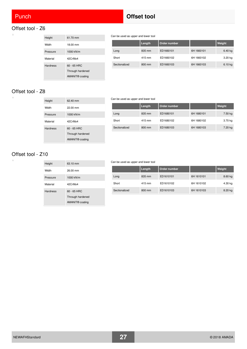'n.

i.

### <span id="page-26-0"></span>Offset tool - Z6



#### Can be used as upper and lower tool

|               | Length | Order number |            | Weight    |
|---------------|--------|--------------|------------|-----------|
| Long          | 835 mm | ED1660101    | 6H 1660101 | $6.40$ kg |
| Short         | 415 mm | ED1660102    | 6H 1660102 | $3.20$ kg |
| Sectionalized | 800 mm | ED1660103    | 6H 1660103 | $6.10$ kg |

### Offset tool - Z8

| Height          | 62.40 mm                    |
|-----------------|-----------------------------|
| Width           | $22.00 \text{ mm}$          |
| Pressure        | 1000 kN/m                   |
| Material        | 42CrMo4                     |
| <b>Hardness</b> | $60 - 65$ HRC               |
|                 | Through hardened            |
|                 | AMANIT <sup>®</sup> coating |

#### Can be used as upper and lower tool

|               | Length | Order number |            | Weight  |
|---------------|--------|--------------|------------|---------|
| Long          | 835 mm | ED1680101    | 6H 1680101 | 7.50 kg |
| Short         | 415 mm | ED1680102    | 6H 1680102 | 3.70 kg |
| Sectionalized | 800 mm | ED1680103    | 6H 1680103 | 7.20 kg |

## Offset tool - Z10

| Height          | 63.10 mm                    |
|-----------------|-----------------------------|
| Width           | 26.00 mm                    |
| Pressure        | 1000 kN/m                   |
| Material        | 42CrMo4                     |
| <b>Hardness</b> | $60 - 65$ HRC               |
|                 | Through hardened            |
|                 | AMANIT <sup>®</sup> coating |

#### Can be used as upper and lower tool

|               | Length | Order number |            | Weight  |
|---------------|--------|--------------|------------|---------|
| Long          | 835 mm | ED1610101    | 6H 1610101 | 8.60 kg |
| Short         | 415 mm | ED1610102    | 6H 1610102 | 4.30 kg |
| Sectionalized | 800 mm | ED1610103    | 6H 1610103 | 8.20 kg |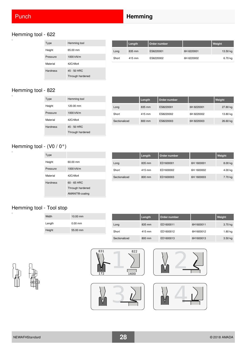## **Punch <b>Hemming Hemming**

### Hemming tool - 622

| Type            | Hemming tool     |
|-----------------|------------------|
| Height          | 65.00 mm         |
| Pressure        | 1000 kN/m        |
| Material        | 42CrMo4          |
| <b>Hardness</b> | $45 - 50$ HRC    |
|                 | Through hardened |

|       | Length | Order number |            | Weight   |
|-------|--------|--------------|------------|----------|
| Long  | 835 mm | ES6220001    | 6H 6220001 | 13.50 kg |
| Short | 415 mm | ES6220002    | 6H 6220002 | 6.70 kg  |

## Hemming tool - 822

| Type            | Hemming tool     |               | Length | Order number |            | Weight   |
|-----------------|------------------|---------------|--------|--------------|------------|----------|
| Height          | 120.00 mm        | Long          | 835 mm | ES8220001    | 6H 8220001 | 27.80 kg |
| Pressure        | 1000 kN/m        | Short         | 415 mm | ES8220002    | 6H 8220002 | 13.80 kg |
| Material        | 42CrMo4          | Sectionalized | 800 mm | ES8220003    | 6H 8220003 | 26.60 kg |
| <b>Hardness</b> | 45 - 50 HRC      |               |        |              |            |          |
|                 | Through hardened |               |        |              |            |          |

## Hemming tool - (V0 / 0°)

| Type            |                             |
|-----------------|-----------------------------|
| Height          | 60.00 mm                    |
| Pressure        | 1000 kN/m                   |
| Material        | 42CrMo4                     |
| <b>Hardness</b> | $60 - 65$ HRC               |
|                 | Through hardened            |
|                 | AMANIT <sup>®</sup> coating |

|               | Length | Order number |            | Weight    |
|---------------|--------|--------------|------------|-----------|
| Long          | 835 mm | ED1600001    | 6H 1600001 | $8.00$ kg |
| Short         | 415 mm | ED1600002    | 6H 1600002 | $4.00$ kg |
| Sectionalized | 800 mm | ED1600003    | 6H 1600003 | 7.70 kg   |

## Hemming tool - Tool stop

| Width  | $10.00$ mm |               | Length | Order number |           | Weight    |
|--------|------------|---------------|--------|--------------|-----------|-----------|
| Length | $0.00$ mm  | Long          | 835 mm | ED1600011    | 6H1600011 | 3.70 kg   |
| Height | 55.00 mm   | Short         | 415 mm | ED1600012    | 6H1600012 | 1.80 kg   |
|        |            | Sectionalized | 800 mm | ED1600013    | 6H1600013 | $3.50$ kg |



 $\overline{a}$ 







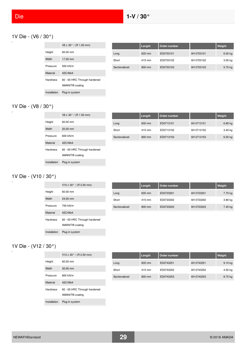$\overline{\square}$ 

## <span id="page-28-0"></span>1V Die - (V6 / 30°)

|          | $V6 \times 30^{\circ}$ / (R 1.00 mm) |               | Length | Order number |            | Weight  |
|----------|--------------------------------------|---------------|--------|--------------|------------|---------|
| Height   | 60.00 mm                             | Long          | 835 mm | ED0703101    | 6H 0703101 | 6.00 kg |
| Width    | 17.00 mm                             | Short         | 415 mm | ED0703102    | 6H 0703102 | 3.00 kg |
| Pressure | 500 kN/m                             | Sectionalized | 800 mm | ED0703103    | 6H 0703103 | 5.70 kg |
| Material | 42CrMo4                              |               |        |              |            |         |
| Hardness | 60 - 65 HRC Through hardened         |               |        |              |            |         |

#### 1V Die - (V8 / 30°)  $\Box$

|              | $V8 \times 30^{\circ}$ / (R 1.50 mm)                        |
|--------------|-------------------------------------------------------------|
| Height       | $60.00 \text{ mm}$                                          |
| Width        | $20.00$ mm                                                  |
| Pressure     | 600 kN/m                                                    |
| Material     | 42CrMo4                                                     |
| Hardness     | 60 - 65 HRC Through hardened<br>AMANIT <sup>®</sup> coating |
| Installation | Plug-in system                                              |

AMANIT® coating

Installation Plug-in system

|               | Length | Order number |            | Weight    |
|---------------|--------|--------------|------------|-----------|
| Long          | 835 mm | ED0713151    | 6H 0713151 | 6.80 kg   |
| Short         | 415 mm | ED0713152    | 6H 0713152 | 3.40 kg   |
| Sectionalized | 800 mm | ED0713153    | 6H 0713153 | $6.50$ kg |

#### 1V Die - (V10 / 30°)  $\overline{\square}$

|                 | $V10 \times 30^{\circ}$ / (R 2.00 mm)                       |
|-----------------|-------------------------------------------------------------|
| Height          | 60.00 mm                                                    |
| Width           | 24.00 mm                                                    |
| Pressure        | 700 kN/m                                                    |
| Material        | 42CrMo4                                                     |
| <b>Hardness</b> | 60 - 65 HRC Through hardened<br>AMANIT <sup>®</sup> coating |
| Installation    | Plug-in system                                              |

|               | Length | Order number |            | Weight  |
|---------------|--------|--------------|------------|---------|
| Long          | 835 mm | ED0723201    | 6H 0723201 | 7.70 kg |
| Short         | 415 mm | ED0723202    | 6H 0723202 | 3.80 kg |
| Sectionalized | 800 mm | ED0723203    | 6H 0723203 | 7.40 kg |

# 1V Die - (V12 / 30°)

|              | $V12 \times 30^{\circ}$ / (R 2.50 mm)                       |
|--------------|-------------------------------------------------------------|
| Height       | 60.00 mm                                                    |
| Width        | $30.00 \, \text{mm}$                                        |
| Pressure     | 800 kN/m                                                    |
| Material     | 42CrMo4                                                     |
| Hardness     | 60 - 65 HRC Through hardened<br>AMANIT <sup>®</sup> coating |
| Installation | Plug-in system                                              |

|               | Length | Order number |            | Weight  |
|---------------|--------|--------------|------------|---------|
| Long          | 835 mm | ED0743251    | 6H 0743251 | 9.10 kg |
| Short         | 415 mm | ED0743252    | 6H 0743252 | 4.50 kg |
| Sectionalized | 800 mm | ED0743253    | 6H 0743253 | 8.70 kg |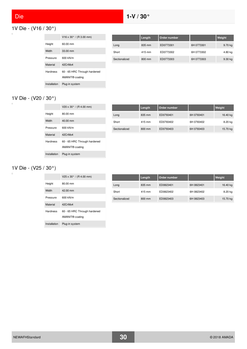$\Box$ 

## <span id="page-29-1"></span><span id="page-29-0"></span>1V Die - (V16 / 30°)

|              | $V16 \times 30^{\circ}$ / (R 3.00 mm)                       |
|--------------|-------------------------------------------------------------|
| Height       | 60.00 mm                                                    |
| Width        | 33.00 mm                                                    |
| Pressure     | 600 kN/m                                                    |
| Material     | 42CrMo4                                                     |
| Hardness     | 60 - 65 HRC Through hardened<br>AMANIT <sup>®</sup> coating |
| Installation | Plug-in system                                              |

|               | Length | Order number |            | Weight    |
|---------------|--------|--------------|------------|-----------|
| Long          | 835 mm | ED0773301    | 6H 0773301 | 9.70 kg   |
| Short         | 415 mm | ED0773302    | 6H 0773302 | 4.80 kg   |
| Sectionalized | 800 mm | ED0773303    | 6H 0773303 | $9.30$ kg |

#### 1V Die - (V20 / 30°)  $\Box$

|                 | $V20 \times 30^{\circ}$ / (R 4.00 mm)                       |
|-----------------|-------------------------------------------------------------|
| Height          | 80.00 mm                                                    |
| Width           | 40.00 mm                                                    |
| Pressure        | 600 kN/m                                                    |
| Material        | 42CrMo4                                                     |
| <b>Hardness</b> | 60 - 65 HRC Through hardened<br>AMANIT <sup>®</sup> coating |
| Installation    | Plug-in system                                              |

|               | Length | Order number |            | Weight   |
|---------------|--------|--------------|------------|----------|
| Long          | 835 mm | ED0793401    | 6H 0793401 | 16.40 kg |
| Short         | 415 mm | ED0793402    | 6H 0793402 | 8.20 kg  |
| Sectionalized | 800 mm | ED0793403    | 6H 0793403 | 15.70 kg |

## 1V Die - (V25 / 30°)

|              | $V25 \times 30^{\circ}$ / (R 4.00 mm)                       |
|--------------|-------------------------------------------------------------|
| Height       | 80.00 mm                                                    |
| Width        | 42.00 mm                                                    |
| Pressure     | 600 kN/m                                                    |
| Material     | 42CrMo4                                                     |
| Hardness     | 60 - 65 HRC Through hardened<br>AMANIT <sup>®</sup> coating |
| Installation | Plug-in system                                              |

|               | Length           | Order number |            | Weight   |
|---------------|------------------|--------------|------------|----------|
| Long          | 835 mm           | ED0823401    | 6H 0823401 | 16.40 kg |
| Short         | 415 mm           | ED0823402    | 6H 0823402 | 8.20 kg  |
| Sectionalized | $800 \text{ mm}$ | ED0823403    | 6H 0823403 | 15.70 kg |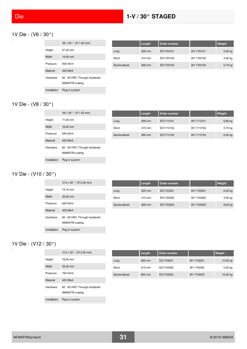## 1V Die - (V6 / 30°)

|                 | $V6 \times 30^{\circ}$ / (R 1.00 mm)                        |
|-----------------|-------------------------------------------------------------|
| Height          | 67.30 mm                                                    |
| Width           | 14.00 mm                                                    |
| Pressure        | 400 kN/m                                                    |
| Material        | 42CrMo4                                                     |
| <b>Hardness</b> | 60 - 65 HRC Through hardened<br>AMANIT <sup>®</sup> coating |
| Installation    | Plug-in system                                              |

|               | Length | Order number |            | Weight    |
|---------------|--------|--------------|------------|-----------|
| Long          | 835 mm | ED1703101    | 6H 1703101 | 5.90 kg   |
| Short         | 415 mm | ED1703102    | 6H 1703102 | $3.00$ kg |
| Sectionalized | 800 mm | ED1703103    | 6H 1703103 | 5.70 kg   |

#### 1V Die - (V8 / 30°)  $\Box$

|                 | $V8 \times 30^{\circ}$ / (R 1.50 mm)                        |
|-----------------|-------------------------------------------------------------|
| Height          | 71.00 mm                                                    |
| Width           | 16.00 mm                                                    |
| Pressure        | 500 kN/m                                                    |
| Material        | 42CrMo4                                                     |
| <b>Hardness</b> | 60 - 65 HRC Through hardened<br>AMANIT <sup>®</sup> coating |
| Installation    | Plug-in system                                              |

|               | Length | Order number |            | Weight    |
|---------------|--------|--------------|------------|-----------|
| Long          | 835 mm | ED1713151    | 6H 1713151 | 6.80 kg   |
| Short         | 415 mm | ED1713152    | 6H 1713152 | 3.70 kg   |
| Sectionalized | 800 mm | ED1713153    | 6H 1713153 | $6.50$ kg |

# 1V Die - (V10 / 30°)

|                 | $V10 \times 30^{\circ}$ / (R 2.00 mm) |
|-----------------|---------------------------------------|
| Height          | 74 70 mm                              |
| Width           | $20.00$ mm                            |
| Pressure        | 600 kN/m                              |
| Material        | 42CrM <sub>0</sub> 4                  |
| <b>Hardness</b> | 60 - 65 HRC Through hardened          |
|                 | AMANIT <sup>®</sup> coating           |
| Installation    | Plug-in system                        |

|               | Length | Order number |            | Weight  |
|---------------|--------|--------------|------------|---------|
| Long          | 835 mm | ED1723201    | 6H 1723201 | 8.30 kg |
| Short         | 415 mm | ED1723202    | 6H 1723202 | 4.20 kg |
| Sectionalized | 800 mm | ED1723203    | 6H 1723203 | 8.00 kg |

## 1V Die - (V12 / 30°)

 $\Box$ 

|                 | $V12 \times 30^{\circ}$ / (R 2.50 mm)                       |
|-----------------|-------------------------------------------------------------|
| Height          | 78.50 mm                                                    |
| Width           | $25.00$ mm                                                  |
| Pressure        | 700 kN/m                                                    |
| Material        | 42CrMo4                                                     |
| <b>Hardness</b> | 60 - 65 HRC Through hardened<br>AMANIT <sup>®</sup> coating |
| Installation    | Plug-in system                                              |

|               | Length | Order number |            | Weight     |
|---------------|--------|--------------|------------|------------|
| Long          | 835 mm | ED1743251    | 6H 1743251 | $10.50$ kg |
| Short         | 415 mm | ED1743252    | 6H 1743252 | 5.20 kg    |
| Sectionalized | 800 mm | ED1743253    | 6H 1743253 | 10.00 kg   |

 $\overline{a}$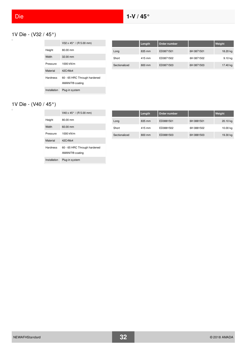# <span id="page-31-0"></span>1V Die - (V32 / 45°)

|                 | V32 x 45 $\degree$ / (R 5.00 mm)                            |
|-----------------|-------------------------------------------------------------|
| Height          | 80.00 mm                                                    |
| Width           | $32.00 \text{ mm}$                                          |
| Pressure        | 1000 kN/m                                                   |
| Material        | 42CrMo4                                                     |
| <b>Hardness</b> | 60 - 65 HRC Through hardened<br>AMANIT <sup>®</sup> coating |
| Installation    | Plug-in system                                              |

|               | Length | Order number |            | Weight    |
|---------------|--------|--------------|------------|-----------|
| Long          | 835 mm | ED0871501    | 6H 0871501 | 18.20 kg  |
| Short         | 415 mm | ED0871502    | 6H 0871502 | $9.10$ kg |
| Sectionalized | 800 mm | ED0871503    | 6H 0871503 | 17.40 kg  |

#### 1V Die - (V40 / 45°)  $\Box$

|              | V40 x 45 $\degree$ / (R 5.00 mm)                            |
|--------------|-------------------------------------------------------------|
| Height       | 80.00 mm                                                    |
| Width        | 60.00 mm                                                    |
| Pressure     | 1000 kN/m                                                   |
| Material     | 42CrM <sub>0</sub> 4                                        |
| Hardness     | 60 - 65 HRC Through hardened<br>AMANIT <sup>®</sup> coating |
| Installation | Plug-in system                                              |

|               | Length           | ⊦Order number ॑ |            | Weight   |
|---------------|------------------|-----------------|------------|----------|
| Long          | 835 mm           | ED0881501       | 6H 0881501 | 20.10 kg |
| Short         | 415 mm           | ED0881502       | 6H 0881502 | 10.00 kg |
| Sectionalized | $800 \text{ mm}$ | ED0881503       | 6H 0881503 | 19.30 kg |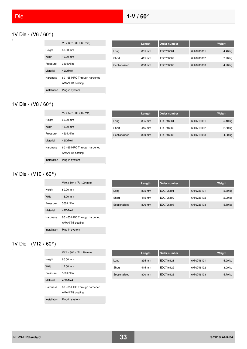## <span id="page-32-0"></span>1V Die - (V6 / 60°)

|                 | $V6 \times 60^{\circ}$ / (R 0.60 mm)                        |
|-----------------|-------------------------------------------------------------|
| Height          | 60.00 mm                                                    |
| Width           | 10.00 mm                                                    |
| Pressure        | 380 kN/m                                                    |
| Material        | 42CrMo4                                                     |
| <b>Hardness</b> | 60 - 65 HRC Through hardened<br>AMANIT <sup>®</sup> coating |
| Installation    | Plug-in system                                              |

|               | Length | Order number |            | Weight    |
|---------------|--------|--------------|------------|-----------|
| Long          | 835 mm | ED0706061    | 6H 0706061 | 4.40 kg   |
| Short         | 415 mm | ED0706062    | 6H 0706062 | $2.20$ kg |
| Sectionalized | 800 mm | ED0706063    | 6H 0706063 | 4.20 kg   |

#### 1V Die - (V8 / 60°)  $\Box$

|                 | $V8 \times 60^{\circ}$ / (R 0.80 mm) |
|-----------------|--------------------------------------|
| Height          | 60.00 mm                             |
| Width           | 13.00 mm                             |
| Pressure        | 450 kN/m                             |
| Material        | 42CrMo4                              |
| <b>Hardness</b> | 60 - 65 HRC Through hardened         |
|                 | AMANIT <sup>®</sup> coating          |
| Installation    | Plug-in system                       |

|               | Length | Order number |            | Weight  |
|---------------|--------|--------------|------------|---------|
| Long          | 835 mm | ED0716081    | 6H 0716081 | 5.10 kg |
| Short         | 415 mm | ED0716082    | 6H 0716082 | 2.50 kg |
| Sectionalized | 800 mm | ED0716083    | 6H 0716083 | 4.90 kg |

# 1V Die - (V10 / 60°)

|                 | $V10 \times 60^{\circ}$ / (R 1.00 mm)                       |
|-----------------|-------------------------------------------------------------|
| Height          | $60.00 \text{ mm}$                                          |
| Width           | 16.00 mm                                                    |
| Pressure        | 550 kN/m                                                    |
| Material        | 42CrMo4                                                     |
| <b>Hardness</b> | 60 - 65 HRC Through hardened<br>AMANIT <sup>®</sup> coating |
| Installation    | Plug-in system                                              |

|               | Length | Order number |            | Weight    |
|---------------|--------|--------------|------------|-----------|
| Long          | 835 mm | ED0726101    | 6H 0726101 | 5.80 kg   |
| Short         | 415 mm | ED0726102    | 6H 0726102 | $2.90$ kg |
| Sectionalized | 800 mm | ED0726103    | 6H 0726103 | 5.50 kg   |

#### 1V Die - (V12 / 60°)  $\Box$

|                 | $V12 \times 60^{\circ}$ / (R 1.20 mm)                       |
|-----------------|-------------------------------------------------------------|
| Height          | $60.00 \text{ mm}$                                          |
| Width           | 17.00 mm                                                    |
| Pressure        | 550 kN/m                                                    |
| Material        | 42CrMo4                                                     |
| <b>Hardness</b> | 60 - 65 HRC Through hardened<br>AMANIT <sup>®</sup> coating |
| Installation    | Plug-in system                                              |

|               | Length | Order number |            | Weight  |
|---------------|--------|--------------|------------|---------|
| Long          | 835 mm | ED0746121    | 6H 0746121 | 5.90 kg |
| Short         | 415 mm | ED0746122    | 6H 0746122 | 3.00 kg |
| Sectionalized | 800 mm | ED0746123    | 6H 0746123 | 5.70 kg |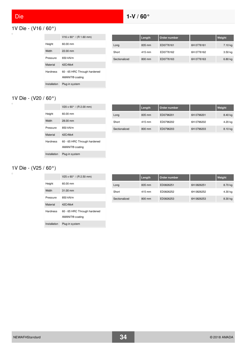$\Box$ 

## <span id="page-33-0"></span>1V Die - (V16 / 60°)

|                 | $V16 \times 60^{\circ}$ / (R 1.60 mm)                       |
|-----------------|-------------------------------------------------------------|
| Height          | 60.00 mm                                                    |
| Width           | $22.00$ mm                                                  |
| Pressure        | 650 kN/m                                                    |
| Material        | 42CrMo4                                                     |
| <b>Hardness</b> | 60 - 65 HRC Through hardened<br>AMANIT <sup>®</sup> coating |
| Installation    | Plug-in system                                              |

|               | Length | Order number |            | Weight    |
|---------------|--------|--------------|------------|-----------|
| Long          | 835 mm | ED0776161    | 6H 0776161 | 7.10 kg   |
| Short         | 415 mm | ED0776162    | 6H 0776162 | $3.50$ kg |
| Sectionalized | 800 mm | ED0776163    | 6H 0776163 | 6.80 kg   |

#### 1V Die - (V20 / 60°)  $\Box$

|                 | $V20 \times 60^{\circ}$ / (R 2.00 mm)                       |
|-----------------|-------------------------------------------------------------|
| Height          | $60.00 \text{ mm}$                                          |
| Width           | $28.00 \text{ mm}$                                          |
| Pressure        | 850 kN/m                                                    |
| Material        | 42CrM <sub>0</sub> 4                                        |
| <b>Hardness</b> | 60 - 65 HRC Through hardened<br>AMANIT <sup>®</sup> coating |
| Installation    | Plug-in system                                              |

|               | Length | Order number |            | Weight  |
|---------------|--------|--------------|------------|---------|
| Long          | 835 mm | ED0796201    | 6H 0796201 | 8.40 kg |
| Short         | 415 mm | ED0796202    | 6H 0796202 | 4.20 kg |
| Sectionalized | 800 mm | ED0796203    | 6H 0796203 | 8.10 kg |

## 1V Die - (V25 / 60°)

|                 | $V25 \times 60^{\circ}$ / (R 2.50 mm)                       |
|-----------------|-------------------------------------------------------------|
| Height          | $60.00 \text{ mm}$                                          |
| Width           | $31.00 \, \text{mm}$                                        |
| Pressure        | 850 kN/m                                                    |
| Material        | 42CrMo4                                                     |
| <b>Hardness</b> | 60 - 65 HRC Through hardened<br>AMANIT <sup>®</sup> coating |
| Installation    | Plug-in system                                              |

|               | Length | Order number |            | Weight  |
|---------------|--------|--------------|------------|---------|
| Long          | 835 mm | ED0826251    | 6H 0826251 | 8.70 kg |
| Short         | 415 mm | ED0826252    | 6H 0826252 | 4.30 kg |
| Sectionalized | 800 mm | ED0826253    | 6H 0826253 | 8.30 kg |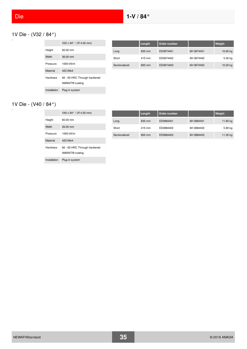# 1V Die - (V32 / 84°)

|                 | V32 x 84 $^{\circ}$ / (R 4.00 mm)                           |
|-----------------|-------------------------------------------------------------|
| Height          | 60.00 mm                                                    |
| Width           | 36.00 mm                                                    |
| Pressure        | 1000 kN/m                                                   |
| Material        | 42CrMo4                                                     |
| <b>Hardness</b> | 60 - 65 HRC Through hardened<br>AMANIT <sup>®</sup> coating |
| Installation    | Plug-in system                                              |

|               | Length | Order number |            | Weight   |
|---------------|--------|--------------|------------|----------|
| Long          | 835 mm | ED0874401    | 6H 0874401 | 10.60 kg |
| Short         | 415 mm | ED0874402    | 6H 0874402 | 5.30 kg  |
| Sectionalized | 800 mm | ED0874403    | 6H 0874403 | 10.20 kg |

## 1V Die - (V40 / 84°)

 $\Box$ 

|                 | $V40 \times 84^{\circ}$ / (R 4.00 mm)                       |
|-----------------|-------------------------------------------------------------|
| Height          | 60.00 mm                                                    |
| Width           | 26.00 mm                                                    |
| Pressure        | 1000 kN/m                                                   |
| Material        | 42CrMo4                                                     |
| <b>Hardness</b> | 60 - 65 HRC Through hardened<br>AMANIT <sup>®</sup> coating |
| Installation    | Plug-in system                                              |

|               | Length           | Order number |            | Weight   |
|---------------|------------------|--------------|------------|----------|
| Long          | 835 mm           | ED0884401    | 6H 0884401 | 11.80 kg |
| Short         | 415 mm           | ED0884402    | 6H 0884402 | 5.90 kg  |
| Sectionalized | $800 \text{ mm}$ | ED0884403    | 6H 0884403 | 11.30 kg |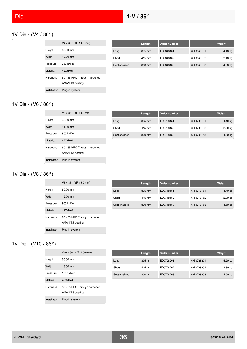## <span id="page-35-0"></span>1V Die - (V4 / 86°)

|                 | $V4 \times 86^{\circ}$ / (R 1.00 mm)                        |
|-----------------|-------------------------------------------------------------|
| Height          | 60.00 mm                                                    |
| Width           | 10.00 mm                                                    |
| Pressure        | 750 kN/m                                                    |
| Material        | 42CrMo4                                                     |
| <b>Hardness</b> | 60 - 65 HRC Through hardened<br>AMANIT <sup>®</sup> coating |
| Installation    | Plug-in system                                              |

|               | Length | Order number |            | Weight    |
|---------------|--------|--------------|------------|-----------|
| Long          | 835 mm | ED0848101    | 6H 0848101 | $4.10$ kg |
| Short         | 415 mm | ED0848102    | 6H 0848102 | 2.10 kg   |
| Sectionalized | 800 mm | ED0848103    | 6H 0848103 | $4.00$ kg |

#### 1V Die - (V6 / 86°)  $\Box$

|              | $V6 \times 86^{\circ}$ / (R 1.50 mm) |
|--------------|--------------------------------------|
| Height       | $60.00 \text{ mm}$                   |
| Width        | $11.00 \text{ mm}$                   |
| Pressure     | 800 kN/m                             |
| Material     | 42CrMo4                              |
| Hardness     | 60 - 65 HRC Through hardened         |
|              | AMANIT <sup>®</sup> coating          |
| Installation | Plug-in system                       |

|               | Length | Order number |            | Weight  |
|---------------|--------|--------------|------------|---------|
| Long          | 835 mm | ED0708151    | 6H 0708151 | 4.40 kg |
| Short         | 415 mm | ED0708152    | 6H 0708152 | 2.20 kg |
| Sectionalized | 800 mm | ED0708153    | 6H 0708153 | 4.20 kg |

# 1V Die - (V8 / 86°)

|                 | $V8 \times 86^{\circ}$ / (R 1.50 mm)                        |
|-----------------|-------------------------------------------------------------|
| Height          | 60.00 mm                                                    |
| Width           | $12.00 \text{ mm}$                                          |
| Pressure        | 900 kN/m                                                    |
| Material        | 42CrMo4                                                     |
| <b>Hardness</b> | 60 - 65 HRC Through hardened<br>AMANIT <sup>®</sup> coating |
| Installation    | Plug-in system                                              |

|               | Length | Order number |            | Weight    |
|---------------|--------|--------------|------------|-----------|
| Long          | 835 mm | ED0718151    | 6H 0718151 | 4.70 kg   |
| Short         | 415 mm | ED0718152    | 6H 0718152 | $2.30$ kg |
| Sectionalized | 800 mm | ED0718153    | 6H 0718153 | $4.50$ kg |

## 1V Die - (V10 / 86°)

 $\Box$ 

|                 | $V10 \times 86^{\circ}$ / (R 2.00 mm)                       |
|-----------------|-------------------------------------------------------------|
| Height          | $60.00 \text{ mm}$                                          |
| Width           | $13.50 \text{ mm}$                                          |
| Pressure        | 1000 kN/m                                                   |
| Material        | 42CrMo4                                                     |
| <b>Hardness</b> | 60 - 65 HRC Through hardened<br>AMANIT <sup>®</sup> coating |
| Installation    | Plug-in system                                              |

|               | Length | Order number |            | Weight    |
|---------------|--------|--------------|------------|-----------|
| Long          | 835 mm | ED0728201    | 6H 0728201 | 5.20 kg   |
| Short         | 415 mm | ED0728202    | 6H 0728202 | $2.60$ kg |
| Sectionalized | 800 mm | ED0728203    | 6H 0728203 | 4.90 kg   |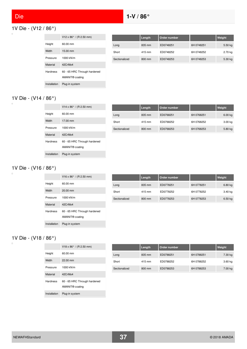$\Box$ 

# 1V Die - (V12 / 86°)

|                 | $V12 \times 86^{\circ}$ / (R 2.50 mm)                       |
|-----------------|-------------------------------------------------------------|
| Height          | $60.00 \text{ mm}$                                          |
| Width           | 15.00 mm                                                    |
| Pressure        | 1000 kN/m                                                   |
| Material        | 42CrMo4                                                     |
| <b>Hardness</b> | 60 - 65 HRC Through hardened<br>AMANIT <sup>®</sup> coating |
| Installation    | Plug-in system                                              |

|               | Length | Order number |            | Weight    |
|---------------|--------|--------------|------------|-----------|
| Long          | 835 mm | ED0748251    | 6H 0748251 | $5.50$ kg |
| Short         | 415 mm | ED0748252    | 6H 0748252 | 2.70 kg   |
| Sectionalized | 800 mm | ED0748253    | 6H 0748253 | $5.30$ kg |

#### 1V Die - (V14 / 86°)  $\Box$

|                 | $V14 \times 86^{\circ}$ / (R 2.50 mm)                       |
|-----------------|-------------------------------------------------------------|
| Height          | 60.00 mm                                                    |
| Width           | 17.00 mm                                                    |
| Pressure        | 1000 kN/m                                                   |
| Material        | 42CrMo4                                                     |
| <b>Hardness</b> | 60 - 65 HRC Through hardened<br>AMANIT <sup>®</sup> coating |
| Installation    | Plug-in system                                              |

|               | Length | Order number |            | Weight             |
|---------------|--------|--------------|------------|--------------------|
| Long          | 835 mm | ED0768251    | 6H 0768251 | 6.00 <sub>kg</sub> |
| Short         | 415 mm | ED0768252    | 6H 0768252 | 3.00 kg            |
| Sectionalized | 800 mm | ED0768253    | 6H 0768253 | 5.80 kg            |

# 1V Die - (V16 / 86°)

 $\Box$ 

|                 | $V16 \times 86^{\circ}$ / (R 2.50 mm)                       |
|-----------------|-------------------------------------------------------------|
| Height          | 60.00 mm                                                    |
| Width           | $20.00$ mm                                                  |
| Pressure        | 1000 kN/m                                                   |
| Material        | 42CrMo4                                                     |
| <b>Hardness</b> | 60 - 65 HRC Through hardened<br>AMANIT <sup>®</sup> coating |
| Installation    | Plug-in system                                              |

|               | Length | Order number |            | Weight    |
|---------------|--------|--------------|------------|-----------|
| Long          | 835 mm | ED0778251    | 6H 0778251 | 6.80 kg   |
| Short         | 415 mm | ED0778252    | 6H 0778252 | 3.40 kg   |
| Sectionalized | 800 mm | ED0778253    | 6H 0778253 | $6.50$ kg |

### 1V Die - (V18 / 86°)

|              | $V18 \times 86^{\circ}$ / (R 2.50 mm)                       |
|--------------|-------------------------------------------------------------|
| Height       | $60.00 \text{ mm}$                                          |
| Width        | $22.00 \text{ mm}$                                          |
| Pressure     | 1000 kN/m                                                   |
| Material     | 42CrMo4                                                     |
| Hardness     | 60 - 65 HRC Through hardened<br>AMANIT <sup>®</sup> coating |
| Installation | Plug-in system                                              |

|               | Length | Order number |            | Weight  |
|---------------|--------|--------------|------------|---------|
| Long          | 835 mm | ED0788251    | 6H 0788251 | 7.30 kg |
| Short         | 415 mm | ED0788252    | 6H 0788252 | 3.60 kg |
| Sectionalized | 800 mm | ED0788253    | 6H 0788253 | 7.00 kg |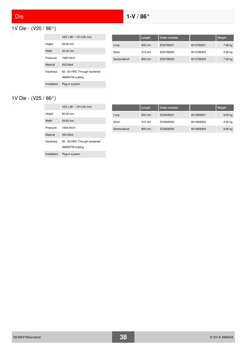$\Box$ 

# 1V Die - (V20 / 86°)

|                 | $V20 \times 86^{\circ}$ / (R 3.00 mm)                       |
|-----------------|-------------------------------------------------------------|
| Height          | 60.00 mm                                                    |
| Width           | 24.40 mm                                                    |
| Pressure        | 1000 kN/m                                                   |
| Material        | 42CrM <sub>0</sub> 4                                        |
| <b>Hardness</b> | 60 - 65 HRC Through hardened<br>AMANIT <sup>®</sup> coating |
| Installation    | Plug-in system                                              |

|               | Length | Order number |            | Weight    |
|---------------|--------|--------------|------------|-----------|
| Long          | 835 mm | ED0798301    | 6H 0798301 | 7.80 kg   |
| Short         | 415 mm | ED0798302    | 6H 0798302 | $3.90$ kg |
| Sectionalized | 800 mm | ED0798303    | 6H 0798303 | 7.50 kg   |

#### 1V Die - (V25 / 86°)  $\Box$

|                 | $V25 \times 86^{\circ}$ / (R 3.00 mm)                       |
|-----------------|-------------------------------------------------------------|
| Height          | $60.00 \text{ mm}$                                          |
| Width           | $29.60$ mm                                                  |
| Pressure        | 1000 kN/m                                                   |
| Material        | 42CrMo4                                                     |
| <b>Hardness</b> | 60 - 65 HRC Through hardened<br>AMANIT <sup>®</sup> coating |
| Installation    | Plug-in system                                              |

|               | Length | Order number |            | Weight  |
|---------------|--------|--------------|------------|---------|
| Long          | 835 mm | ED0828301    | 6H 0828301 | 9.00 kg |
| Short         | 415 mm | ED0828302    | 6H 0828302 | 4.50 kg |
| Sectionalized | 800 mm | ED0828303    | 6H 0828303 | 8.60 kg |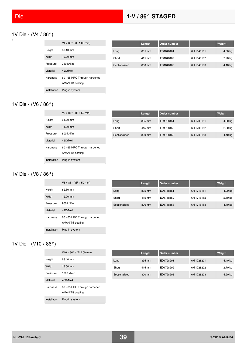### 1V Die - (V4 / 86°)

|              | $V4 \times 86^{\circ}$ / (R 1.00 mm)                        |
|--------------|-------------------------------------------------------------|
| Height       | 60 10 mm                                                    |
| Width        | $10.00 \text{ mm}$                                          |
| Pressure     | 750 kN/m                                                    |
| Material     | 42CrMo4                                                     |
| Hardness     | 60 - 65 HRC Through hardened<br>AMANIT <sup>®</sup> coating |
| Installation | Plug-in system                                              |

|               | Length | Order number |            | Weight    |
|---------------|--------|--------------|------------|-----------|
| Long          | 835 mm | ED1848101    | 6H 1848101 | 4.30 kg   |
| Short         | 415 mm | ED1848102    | 6H 1848102 | 2.20 kg   |
| Sectionalized | 800 mm | ED1848103    | 6H 1848103 | $4.10$ kg |

#### 1V Die - (V6 / 86°)  $\Box$

|              | $V6 \times 86^{\circ}$ / (R 1.50 mm)                        |
|--------------|-------------------------------------------------------------|
| Height       | 61.20 mm                                                    |
| Width        | $11.00 \text{ mm}$                                          |
| Pressure     | 800 kN/m                                                    |
| Material     | 42CrMo4                                                     |
| Hardness     | 60 - 65 HRC Through hardened<br>AMANIT <sup>®</sup> coating |
| Installation | Plug-in system                                              |

|               | Length | Order number |            | Weight  |
|---------------|--------|--------------|------------|---------|
| Long          | 835 mm | ED1708151    | 6H 1708151 | 4.60 kg |
| Short         | 415 mm | ED1708152    | 6H 1708152 | 2.30 kg |
| Sectionalized | 800 mm | ED1708153    | 6H 1708153 | 4.40 kg |

# 1V Die - (V8 / 86°)

|                 | $V8 \times 86^{\circ}$ / (R 1.50 mm)                        |
|-----------------|-------------------------------------------------------------|
| Height          | 62.30 mm                                                    |
| Width           | 12.00 mm                                                    |
| Pressure        | 900 kN/m                                                    |
| Material        | 42CrMo4                                                     |
| <b>Hardness</b> | 60 - 65 HRC Through hardened<br>AMANIT <sup>®</sup> coating |
| Installation    | Plug-in system                                              |

|               | Length | Order number |            | Weight    |
|---------------|--------|--------------|------------|-----------|
| Long          | 835 mm | ED1718151    | 6H 1718151 | 4.90 kg   |
| Short         | 415 mm | ED1718152    | 6H 1718152 | $2.50$ kg |
| Sectionalized | 800 mm | ED1718153    | 6H 1718153 | 4.70 kg   |

### 1V Die - (V10 / 86°)

 $\Box$ 

|                 | $V10 \times 86^{\circ}$ / (R 2.00 mm)                       |
|-----------------|-------------------------------------------------------------|
| Height          | 63.40 mm                                                    |
| Width           | 13.50 mm                                                    |
| Pressure        | 1000 kN/m                                                   |
| Material        | 42CrMo4                                                     |
| <b>Hardness</b> | 60 - 65 HRC Through hardened<br>AMANIT <sup>®</sup> coating |
| Installation    | Plug-in system                                              |

|               | Length | Order number |            | Weight  |
|---------------|--------|--------------|------------|---------|
| Long          | 835 mm | ED1728201    | 6H 1728201 | 5.40 kg |
| Short         | 415 mm | ED1728202    | 6H 1728202 | 2.70 kg |
| Sectionalized | 800 mm | ED1728203    | 6H 1728203 | 5.20 kg |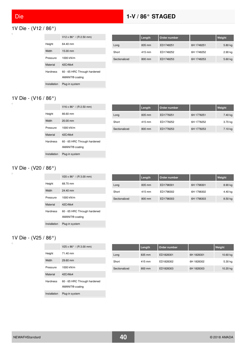# Die **1-V / 86° STAGED**

 $\Box$ 

# 1V Die - (V12 / 86°)

|                 | $V12 \times 86^{\circ}$ / (R 2.50 mm)                       |
|-----------------|-------------------------------------------------------------|
| Height          | 64.40 mm                                                    |
| Width           | $15.00 \text{ mm}$                                          |
| Pressure        | 1000 kN/m                                                   |
| Material        | 42CrMo4                                                     |
| <b>Hardness</b> | 60 - 65 HRC Through hardened<br>AMANIT <sup>®</sup> coating |
| Installation    | Plug-in system                                              |

|               | Length | Order number |            | Weight  |
|---------------|--------|--------------|------------|---------|
| Long          | 835 mm | ED1748251    | 6H 1748251 | 5.80 kg |
| Short         | 415 mm | ED1748252    | 6H 1748252 | 2.90 kg |
| Sectionalized | 800 mm | ED1748253    | 6H 1748253 | 5.60 kg |

#### 1V Die - (V16 / 86°)  $\Box$

|                 | $V16 \times 86^{\circ}$ / (R 2.50 mm)                       |
|-----------------|-------------------------------------------------------------|
| Height          | 66.60 mm                                                    |
| Width           | $20.00 \text{ mm}$                                          |
| Pressure        | 1000 kN/m                                                   |
| Material        | 42CrMo4                                                     |
| <b>Hardness</b> | 60 - 65 HRC Through hardened<br>AMANIT <sup>®</sup> coating |
| Installation    | Plug-in system                                              |

|               | Length | Order number |            | Weight  |
|---------------|--------|--------------|------------|---------|
| Long          | 835 mm | ED1778251    | 6H 1778251 | 7.40 kg |
| Short         | 415 mm | ED1778252    | 6H 1778252 | 3.70 kg |
| Sectionalized | 800 mm | ED1778253    | 6H 1778253 | 7.10 kg |

### 1V Die - (V20 / 86°)

 $\Box$ 

|                 | $V20 \times 86^{\circ}$ / (R 3.00 mm)                       |
|-----------------|-------------------------------------------------------------|
| Height          | 68.70 mm                                                    |
| Width           | 24.40 mm                                                    |
| Pressure        | 1000 kN/m                                                   |
| Material        | 42CrMo4                                                     |
| <b>Hardness</b> | 60 - 65 HRC Through hardened<br>AMANIT <sup>®</sup> coating |
| Installation    | Plug-in system                                              |

|               | Length | Order number |            | Weight  |
|---------------|--------|--------------|------------|---------|
| Long          | 835 mm | ED1798301    | 6H 1798301 | 8.90 kg |
| Short         | 415 mm | ED1798302    | 6H 1798302 | 4.40 kg |
| Sectionalized | 800 mm | ED1798303    | 6H 1798303 | 8.50 kg |

#### 1V Die - (V25 / 86°)

|                 | $V25 \times 86^{\circ}$ / (R 3.00 mm)                       |
|-----------------|-------------------------------------------------------------|
| Height          | 71 40 mm                                                    |
| Width           | 29.60 mm                                                    |
| Pressure        | 1000 kN/m                                                   |
| Material        | 42CrMo4                                                     |
| <b>Hardness</b> | 60 - 65 HRC Through hardened<br>AMANIT <sup>®</sup> coating |
| Installation    | Plug-in system                                              |

|               | Length | Order number |            | Weight   |
|---------------|--------|--------------|------------|----------|
| Long          | 835 mm | ED1828301    | 6H 1828301 | 10.60 kg |
| Short         | 415 mm | ED1828302    | 6H 1828302 | 5.30 kg  |
| Sectionalized | 800 mm | ED1828303    | 6H 1828303 | 10.20 kg |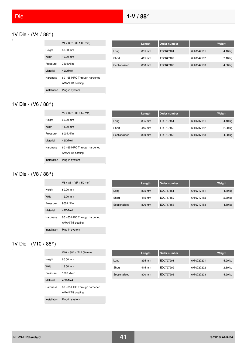$\overline{a}$ 

### 1V Die - (V4 / 88°)

|                 | $V4 \times 88^{\circ}$ / (R 1.00 mm)                        |
|-----------------|-------------------------------------------------------------|
| Height          | 60.00 mm                                                    |
| Width           | $10.00 \text{ mm}$                                          |
| Pressure        | 750 kN/m                                                    |
| Material        | 42CrMo4                                                     |
| <b>Hardness</b> | 60 - 65 HRC Through hardened<br>AMANIT <sup>®</sup> coating |
| Installation    | Plug-in system                                              |

|               | Length | Order number |            | Weight    |
|---------------|--------|--------------|------------|-----------|
| Long          | 835 mm | ED0847101    | 6H 0847101 | $4.10$ kg |
| Short         | 415 mm | ED0847102    | 6H 0847102 | 2.10 kg   |
| Sectionalized | 800 mm | ED0847103    | 6H 0847103 | $4.00$ kg |

#### 1V Die - (V6 / 88°)  $\Box$

|              | $V6 \times 88^{\circ}$ / (R 1.50 mm) |
|--------------|--------------------------------------|
| Height       | 60.00 mm                             |
| Width        | $11.00 \text{ mm}$                   |
| Pressure     | 800 kN/m                             |
| Material     | 42CrMo4                              |
| Hardness     | 60 - 65 HRC Through hardened         |
|              | AMANIT <sup>®</sup> coating          |
| Installation | Plug-in system                       |

|               | Length | Order number |            | Weight  |
|---------------|--------|--------------|------------|---------|
| Long          | 835 mm | ED0707151    | 6H 0707151 | 4.40 kg |
| Short         | 415 mm | ED0707152    | 6H 0707152 | 2.20 kg |
| Sectionalized | 800 mm | ED0707153    | 6H 0707153 | 4.20 kg |

# 1V Die - (V8 / 88°)

|                 | $V8 \times 88^{\circ}$ / (R 1.50 mm)                        |
|-----------------|-------------------------------------------------------------|
| Height          | 60.00 mm                                                    |
| Width           | 12.00 mm                                                    |
| Pressure        | 900 kN/m                                                    |
| Material        | 42CrMo4                                                     |
| <b>Hardness</b> | 60 - 65 HRC Through hardened<br>AMANIT <sup>®</sup> coating |
| Installation    | Plug-in system                                              |

|               | Length | Order number |            | Weight    |
|---------------|--------|--------------|------------|-----------|
| Long          | 835 mm | ED0717151    | 6H 0717151 | 4.70 kg   |
| Short         | 415 mm | ED0717152    | 6H 0717152 | $2.30$ kg |
| Sectionalized | 800 mm | ED0717153    | 6H 0717153 | $4.50$ kg |

#### 1V Die - (V10 / 88°)  $\Box$

|                 | $V10 \times 88^{\circ}$ / (R 2.00 mm)                       |
|-----------------|-------------------------------------------------------------|
| Height          | $60.00 \text{ mm}$                                          |
| Width           | 13.50 mm                                                    |
| Pressure        | 1000 kN/m                                                   |
| Material        | 42CrMo4                                                     |
| <b>Hardness</b> | 60 - 65 HRC Through hardened<br>AMANIT <sup>®</sup> coating |
| Installation    | Plug-in system                                              |

|               | Length | Order number |            | Weight    |
|---------------|--------|--------------|------------|-----------|
| Long          | 835 mm | ED0727201    | 6H 0727201 | 5.20 kg   |
| Short         | 415 mm | ED0727202    | 6H 0727202 | $2.60$ kg |
| Sectionalized | 800 mm | ED0727203    | 6H 0727203 | 4.90 kg   |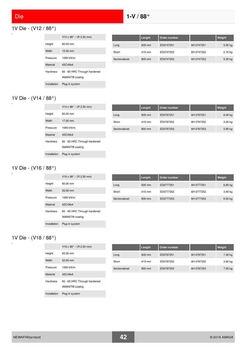$\Box$ 

# 1V Die - (V12 / 88°)

|              | V12 x 88 $^{\circ}$ / (R 2.50 mm)                           |
|--------------|-------------------------------------------------------------|
| Height       | 60.00 mm                                                    |
| Width        | 15.00 mm                                                    |
| Pressure     | 1000 kN/m                                                   |
| Material     | 42CrMo4                                                     |
| Hardness     | 60 - 65 HRC Through hardened<br>AMANIT <sup>®</sup> coating |
| Installation | Plug-in system                                              |

|               | Length | Order number |            | Weight  |
|---------------|--------|--------------|------------|---------|
| Long          | 835 mm | ED0747251    | 6H 0747251 | 5.50 kg |
| Short         | 415 mm | ED0747252    | 6H 0747252 | 2.70 kg |
| Sectionalized | 800 mm | ED0747253    | 6H 0747253 | 5.30 kg |

#### 1V Die - (V14 / 88°)  $\Box$

|              | $V14 \times 88^{\circ}$ / (R 2.50 mm)                       |
|--------------|-------------------------------------------------------------|
| Height       | $60.00 \text{ mm}$                                          |
| Width        | 17.00 mm                                                    |
| Pressure     | 1000 kN/m                                                   |
| Material     | 42CrMo4                                                     |
| Hardness     | 60 - 65 HRC Through hardened<br>AMANIT <sup>®</sup> coating |
| Installation | Plug-in system                                              |

|               | Length | Order number |            | Weight  |
|---------------|--------|--------------|------------|---------|
| Long          | 835 mm | ED0767251    | 6H 0767251 | 6.00 kg |
| Short         | 415 mm | ED0767252    | 6H 0767252 | 3.00 kg |
| Sectionalized | 800 mm | ED0767253    | 6H 0767253 | 5.80 kg |

### 1V Die - (V16 / 88°)

 $\Box$ 

|                 | $V16 \times 88^{\circ}$ / (R 2.50 mm)                       |
|-----------------|-------------------------------------------------------------|
| Height          | 60.00 mm                                                    |
| Width           | $20.00$ mm                                                  |
| Pressure        | 1000 kN/m                                                   |
| Material        | 42CrMo4                                                     |
| <b>Hardness</b> | 60 - 65 HRC Through hardened<br>AMANIT <sup>®</sup> coating |
| Installation    | Plug-in system                                              |

|               | Length | Order number |            | Weight    |
|---------------|--------|--------------|------------|-----------|
| Long          | 835 mm | ED0777251    | 6H 0777251 | 6.80 kg   |
| Short         | 415 mm | ED0777252    | 6H 0777252 | 3.40 kg   |
| Sectionalized | 800 mm | ED0777253    | 6H 0777253 | $6.50$ kg |

### 1V Die - (V18 / 88°)

|                 | $V18 \times 88^{\circ}$ / (R 2.50 mm)                       |
|-----------------|-------------------------------------------------------------|
| Height          | $60.00 \text{ mm}$                                          |
| Width           | $22.00 \text{ mm}$                                          |
| Pressure        | 1000 kN/m                                                   |
| Material        | 42CrMo4                                                     |
| <b>Hardness</b> | 60 - 65 HRC Through hardened<br>AMANIT <sup>®</sup> coating |
| Installation    | Plug-in system                                              |

|               | Length | Order number |            | Weight  |
|---------------|--------|--------------|------------|---------|
| Long          | 835 mm | ED0787251    | 6H 0787251 | 7.30 kg |
| Short         | 415 mm | ED0787252    | 6H 0787252 | 3.60 kg |
| Sectionalized | 800 mm | ED0787253    | 6H 0787253 | 7.00 kg |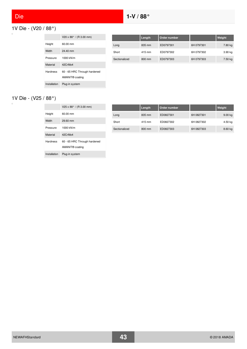$\Box$ 

# 1V Die - (V20 / 88°)

|                 | V20 x 88 $^{\circ}$ / (R 3.00 mm)                           |
|-----------------|-------------------------------------------------------------|
| Height          | 60.00 mm                                                    |
| Width           | 24.40 mm                                                    |
| Pressure        | 1000 kN/m                                                   |
| Material        | 42CrMo4                                                     |
| <b>Hardness</b> | 60 - 65 HRC Through hardened<br>AMANIT <sup>®</sup> coating |
| Installation    | Plug-in system                                              |

|               | Length           | Order number |            | Weight    |
|---------------|------------------|--------------|------------|-----------|
| Long          | 835 mm           | ED0797301    | 6H 0797301 | 7.80 kg   |
| Short         | 415 mm           | ED0797302    | 6H 0797302 | $3.90$ kg |
| Sectionalized | $800 \text{ mm}$ | ED0797303    | 6H 0797303 | 7.50 kg   |

#### 1V Die - (V25 / 88°)  $\Box$

|                 | $V25 \times 88^{\circ}$ / (R 3.00 mm)                       |
|-----------------|-------------------------------------------------------------|
| Height          | $60.00 \text{ mm}$                                          |
| Width           | $29.60$ mm                                                  |
| Pressure        | 1000 kN/m                                                   |
| Material        | 42CrMo4                                                     |
| <b>Hardness</b> | 60 - 65 HRC Through hardened<br>AMANIT <sup>®</sup> coating |
| Installation    | Plug-in system                                              |

|               | Length | Order number |            | Weight  |
|---------------|--------|--------------|------------|---------|
| Long          | 835 mm | ED0827301    | 6H 0827301 | 9.00 kg |
| Short         | 415 mm | ED0827302    | 6H 0827302 | 4.50 kg |
| Sectionalized | 800 mm | ED0827303    | 6H 0827303 | 8.60 kg |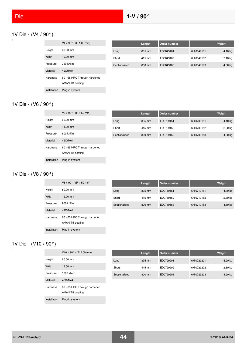$\overline{a}$ 

# 1V Die - (V4 / 90°)

|                 | $V4 \times 90^{\circ}$ / (R 1.00 mm)                        |
|-----------------|-------------------------------------------------------------|
| Height          | 60.00 mm                                                    |
| Width           | 10.00 mm                                                    |
| Pressure        | 750 kN/m                                                    |
| Material        | 42CrMo4                                                     |
| <b>Hardness</b> | 60 - 65 HRC Through hardened<br>AMANIT <sup>®</sup> coating |
| Installation    | Plug-in system                                              |

|               | Length | Order number |            | Weight    |
|---------------|--------|--------------|------------|-----------|
| Long          | 835 mm | ED0849101    | 6H 0849101 | $4.10$ kg |
| Short         | 415 mm | ED0849102    | 6H 0849102 | $2.10$ kg |
| Sectionalized | 800 mm | ED0849103    | 6H 0849103 | $4.00$ kg |

#### 1V Die - (V6 / 90°)  $\Box$

|                 | V6 x 90 $^{\circ}$ / (R 1.50 mm) |
|-----------------|----------------------------------|
| Height          | 60.00 mm                         |
| Width           | $11.00 \, \text{mm}$             |
| Pressure        | 800 kN/m                         |
| Material        | 42CrMo4                          |
| <b>Hardness</b> | 60 - 65 HRC Through hardened     |
|                 | AMANIT <sup>®</sup> coating      |
| Installation    | Plug-in system                   |

|               | Length | Order number |            | Weight  |
|---------------|--------|--------------|------------|---------|
| Long          | 835 mm | ED0709151    | 6H 0709151 | 4.40 kg |
| Short         | 415 mm | ED0709152    | 6H 0709152 | 2.20 kg |
| Sectionalized | 800 mm | ED0709153    | 6H 0709153 | 4.20 kg |

# 1V Die - (V8 / 90°)

|                 | $V8 \times 90^{\circ}$ / (R 1.50 mm)                        |
|-----------------|-------------------------------------------------------------|
| Height          | $60.00 \text{ mm}$                                          |
| Width           | $12.00 \text{ mm}$                                          |
| Pressure        | 900 kN/m                                                    |
| Material        | 42CrMo4                                                     |
| <b>Hardness</b> | 60 - 65 HRC Through hardened<br>AMANIT <sup>®</sup> coating |
| Installation    | Plug-in system                                              |

|               | Length | Order number |            | Weight    |
|---------------|--------|--------------|------------|-----------|
| Long          | 835 mm | ED0719151    | 6H 0719151 | 4.70 kg   |
| Short         | 415 mm | ED0719152    | 6H 0719152 | $2.30$ kg |
| Sectionalized | 800 mm | ED0719153    | 6H 0719153 | 4.50 kg   |

#### 1V Die - (V10 / 90°)  $\Box$

|                 | $V10 \times 90^{\circ}$ / (R 2.00 mm)                       |
|-----------------|-------------------------------------------------------------|
| Height          | $60.00 \text{ mm}$                                          |
| Width           | 13.50 mm                                                    |
| Pressure        | 1000 kN/m                                                   |
| Material        | 42CrMo4                                                     |
| <b>Hardness</b> | 60 - 65 HRC Through hardened<br>AMANIT <sup>®</sup> coating |
| Installation    | Plug-in system                                              |

|               | Length | Order number |            | Weight    |
|---------------|--------|--------------|------------|-----------|
| Long          | 835 mm | ED0729201    | 6H 0729201 | 5.20 kg   |
| Short         | 415 mm | ED0729202    | 6H 0729202 | $2.60$ kg |
| Sectionalized | 800 mm | ED0729203    | 6H 0729203 | 4.90 kg   |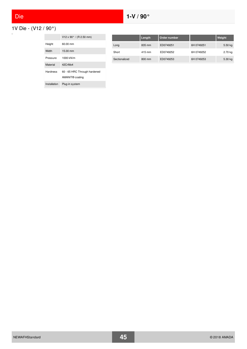1V Die - (V12 / 90°)  $\Box$ 

|                 | V12 x 90 $^{\circ}$ / (R 2.50 mm)                           |
|-----------------|-------------------------------------------------------------|
| Height          | 60.00 mm                                                    |
| Width           | $15.00 \text{ mm}$                                          |
| Pressure        | 1000 kN/m                                                   |
| Material        | 42CrMo4                                                     |
| <b>Hardness</b> | 60 - 65 HRC Through hardened<br>AMANIT <sup>®</sup> coating |
| Installation    | Plug-in system                                              |

|               | Length | Order number |            | Weight  |
|---------------|--------|--------------|------------|---------|
| Long          | 835 mm | ED0749251    | 6H 0749251 | 5.50 kg |
| Short         | 415 mm | ED0749252    | 6H 0749252 | 2.70 kg |
| Sectionalized | 800 mm | ED0749253    | 6H 0749253 | 5.30 kg |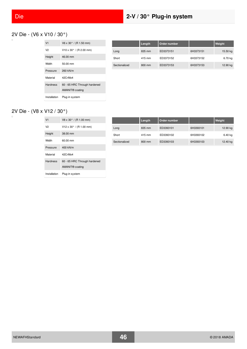# 2V Die - (V6 x V10 / 30°)

| V <sub>1</sub>  | $V6 \times 30^{\circ}$ / (R 1.50 mm)  |
|-----------------|---------------------------------------|
| V2              | $V10 \times 30^{\circ}$ / (R 2.00 mm) |
| Height          | 46.00 mm                              |
| Width           | 50.00 mm                              |
| Pressure        | 260 kN/m                              |
| Material        | 42CrMo4                               |
| <b>Hardness</b> | 60 - 65 HRC Through hardened          |
|                 | AMANIT <sup>®</sup> coating           |
| Installation    | Plug-in system                        |

|               | Length | Order number |           | Weight   |
|---------------|--------|--------------|-----------|----------|
| Long          | 835 mm | ED3373151    | 6H3373151 | 15.50 kg |
| Short         | 415 mm | ED3373152    | 6H3373152 | 6.70 kg  |
| Sectionalized | 800 mm | ED3373153    | 6H3373153 | 12.90 kg |

### 2V Die - (V8 x V12 / 30°)

| V <sub>1</sub>  | $V8 \times 30^{\circ}$ / (R 1.00 mm)  |
|-----------------|---------------------------------------|
| V2              | $V12 \times 30^{\circ}$ / (R 1.00 mm) |
| Height          | 38.00 mm                              |
| Width           | 60.00 mm                              |
| Pressure        | 400 kN/m                              |
| Material        | 42CrMo4                               |
| <b>Hardness</b> | 60 - 65 HRC Through hardened          |
|                 | AMANIT <sup>®</sup> coating           |
| Installation    | Plug-in system                        |

|               | Length | Order number |           | Weight   |
|---------------|--------|--------------|-----------|----------|
| Long          | 835 mm | ED3393101    | 6H3393101 | 12.90 kg |
| Short         | 415 mm | ED3393102    | 6H3393102 | 6.40 kg  |
| Sectionalized | 800 mm | ED3393103    | 6H3393103 | 12.40 kg |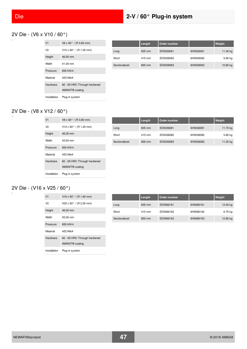### 2V Die - (V6 x V10 / 60°)

| V <sub>1</sub>  | $V6 \times 60^{\circ}$ / (R 0.60 mm)  |
|-----------------|---------------------------------------|
| V2              | $V10 \times 60^{\circ}$ / (R 1.00 mm) |
| Height          | 46.00 mm                              |
| Width           | 41.00 mm                              |
| Pressure        | 600 kN/m                              |
| Material        | 42CrMo4                               |
| <b>Hardness</b> | 60 - 65 HRC Through hardened          |
|                 | AMANIT <sup>®</sup> coating           |
| Installation    | Plug-in system                        |

|               | Length | Order number |           | Weight   |
|---------------|--------|--------------|-----------|----------|
| Long          | 835 mm | ED5026061    | 6H5026061 | 11.30 kg |
| Short         | 415 mm | ED5026062    | 6H5026062 | 5.60 kg  |
| Sectionalized | 800 mm | ED5026063    | 6H5026063 | 10.80 kg |

### 2V Die - (V8 x V12 / 60°)

| V <sub>1</sub>  | $V8 \times 60^{\circ}$ / (R 0.80 mm)  |
|-----------------|---------------------------------------|
| V2              | $V12 \times 60^{\circ}$ / (R 1.20 mm) |
| Height          | 46.00 mm                              |
| Width           | 43.00 mm                              |
| Pressure        | 600 kN/m                              |
| Material        | 42CrMo4                               |
| <b>Hardness</b> | 60 - 65 HRC Through hardened          |
|                 | AMANIT <sup>®</sup> coating           |
| Installation    | Plug-in system                        |

|               | Length | Order number |           | Weight   |
|---------------|--------|--------------|-----------|----------|
| Long          | 835 mm | ED5036081    | 6H5036081 | 11.70 kg |
| Short         | 415 mm | ED5036082    | 6H5036082 | 5.80 kg  |
| Sectionalized | 800 mm | ED5036083    | 6H5036083 | 11.20 kg |

### 2V Die - (V16 x V25 / 60°)

| V <sub>1</sub>  | $V16 \times 60^{\circ}$ / (R 1.60 mm)                       |
|-----------------|-------------------------------------------------------------|
| V2              | $V25 \times 60^{\circ}$ / (R 2.00 mm)                       |
| Height          | 46.00 mm                                                    |
| Width           | 55.00 mm                                                    |
| Pressure        | 600 kN/m                                                    |
| Material        | 42CrMo4                                                     |
| <b>Hardness</b> | 60 - 65 HRC Through hardened<br>AMANIT <sup>®</sup> coating |
| Installation    | Plug-in system                                              |

|               | Length | Order number |           | Weight   |
|---------------|--------|--------------|-----------|----------|
| Long          | 835 mm | ED5066161    | 6H5066161 | 13.40 kg |
| Short         | 415 mm | ED5066162    | 6H5066162 | 6.70 kg  |
| Sectionalized | 800 mm | ED5066163    | 6H5066163 | 12.80 kg |

 $\Box$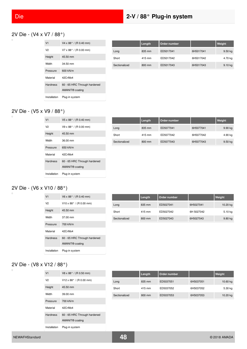#### 2V Die - (V4 x V7 / 88°)

| V <sub>1</sub>  | $V4 \times 88^{\circ}$ / (R 0.40 mm) |
|-----------------|--------------------------------------|
| V <sub>2</sub>  | $V7 \times 88^{\circ}$ / (R 0.00 mm) |
| Height          | $45.50$ mm                           |
| Width           | 34.50 mm                             |
| Pressure        | 600 kN/m                             |
| Material        | 42CrMo4                              |
| <b>Hardness</b> | 60 - 65 HRC Through hardened         |
|                 | AMANIT <sup>®</sup> coating          |
| Installation    | Plug-in system                       |

|               | Length | Order number |           | Weight    |
|---------------|--------|--------------|-----------|-----------|
| Long          | 835 mm | ED5017041    | 6H5017041 | $9.50$ kg |
| Short         | 415 mm | ED5017042    | 6H5017042 | 4.70 kg   |
| Sectionalized | 800 mm | ED5017043    | 6H5017043 | 9.10 kg   |

#### 2V Die - (V5 x V9 / 88°)

| V <sub>1</sub>  | $V5 \times 88^{\circ}$ / (R 0.40 mm) |
|-----------------|--------------------------------------|
| V2              | $V9 \times 88^{\circ}$ / (R 0.00 mm) |
| Height          | $45.50$ mm                           |
| Width           | 36.00 mm                             |
| Pressure        | 650 kN/m                             |
| Material        | 42CrMo4                              |
| <b>Hardness</b> | 60 - 65 HRC Through hardened         |
|                 | AMANIT <sup>®</sup> coating          |
| Installation    | Plug-in system                       |

|               | Length | Order number |           | <b>Weight</b> |
|---------------|--------|--------------|-----------|---------------|
| Long          | 835 mm | ED5077041    | 6H5077041 | $9.90$ kg     |
| Short         | 415 mm | ED5077042    | 6H5077042 | 4.90 kg       |
| Sectionalized | 800 mm | ED5077043    | 6H5077043 | $9.50$ kg     |

#### 2V Die - (V6 x V10 / 88°)

| V <sub>1</sub>  | $V6 \times 88^{\circ}$ / (R 0.40 mm)                        |
|-----------------|-------------------------------------------------------------|
| V2              | $V10 \times 88^{\circ}$ / (R 0.00 mm)                       |
| Height          | 45.50 mm                                                    |
| Width           | $37.00 \text{ mm}$                                          |
| Pressure        | 700 kN/m                                                    |
| Material        | 42CrMo4                                                     |
| <b>Hardness</b> | 60 - 65 HRC Through hardened<br>AMANIT <sup>®</sup> coating |
| Installation    | Plug-in system                                              |

|               | Length | Order number |            | Weight    |
|---------------|--------|--------------|------------|-----------|
| Long          | 835 mm | ED5027041    | 6H5027041  | 10.20 kg  |
| Short         | 415 mm | ED5027042    | 6H 5027042 | 5.10 kg   |
| Sectionalized | 800 mm | ED5027043    | 6H5027043  | $9.80$ kg |

#### 2V Die - (V8 x V12 / 88°)

| V <sub>1</sub>  | $V8 \times 88^{\circ}$ / (R 0.50 mm)                        |
|-----------------|-------------------------------------------------------------|
| V2              | $V12 \times 88^{\circ}$ / (R 0.00 mm)                       |
| Height          | 45.50 mm                                                    |
| Width           | 39.00 mm                                                    |
| Pressure        | 700 kN/m                                                    |
| Material        | 42CrMo4                                                     |
| <b>Hardness</b> | 60 - 65 HRC Through hardened<br>AMANIT <sup>®</sup> coating |
| Installation    | Plug-in system                                              |

|               | Length | Order number |           | Weight   |
|---------------|--------|--------------|-----------|----------|
| Long          | 835 mm | ED5037051    | 6H5037051 | 10.60 kg |
| Short         | 415 mm | ED5037052    | 6H5037052 | 5.30 kg  |
| Sectionalized | 800 mm | ED5037053    | 6H5037053 | 10.20 kg |

 $\overline{a}$ 

 $\overline{a}$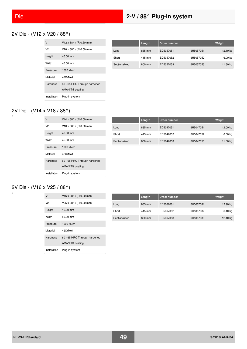### 2V Die - (V12 x V20 / 88°)

| V <sub>1</sub>  | V12 x 88 $^{\circ}$ / (R 0.50 mm)     |
|-----------------|---------------------------------------|
| V2              | $V20 \times 88^{\circ}$ / (R 0.00 mm) |
| Height          | 46.00 mm                              |
| Width           | 45.50 mm                              |
| Pressure        | 1000 kN/m                             |
| Material        | 42CrMo4                               |
| <b>Hardness</b> | 60 - 65 HRC Through hardened          |
|                 | AMANIT <sup>®</sup> coating           |
| Installation    | Plug-in system                        |

|               | Length | Order number |           | Weight   |
|---------------|--------|--------------|-----------|----------|
| Long          | 835 mm | ED5057051    | 6H5057051 | 12.10 kg |
| Short         | 415 mm | ED5057052    | 6H5057052 | 6.00 kg  |
| Sectionalized | 800 mm | ED5057053    | 6H5057053 | 11.60 kg |

### 2V Die - (V14 x V18 / 88°)

| V <sub>1</sub>  | $V14 \times 88^{\circ}$ / (R 0.50 mm) |
|-----------------|---------------------------------------|
| V2              | $V18 \times 88^{\circ}$ / (R 0.00 mm) |
| Height          | 46.00 mm                              |
| Width           | 45.00 mm                              |
| Pressure        | 1000 kN/m                             |
| Material        | 42CrMo4                               |
| <b>Hardness</b> | 60 - 65 HRC Through hardened          |
|                 | AMANIT <sup>®</sup> coating           |
| Installation    | Plug-in system                        |

|               | Length | Order number |           | Weight    |
|---------------|--------|--------------|-----------|-----------|
| Long          | 835 mm | ED5047051    | 6H5047051 | 12.00 kg  |
| Short         | 415 mm | ED5047052    | 6H5047052 | $6.00$ kg |
| Sectionalized | 800 mm | ED5047053    | 6H5047053 | 11.50 kg  |

#### 2V Die - (V16 x V25 / 88°)

| V <sub>1</sub>  | $V16 \times 88^{\circ}$ / (R 0.80 mm)                       |
|-----------------|-------------------------------------------------------------|
| V2              | $V25 \times 88^{\circ}$ / (R 0.00 mm)                       |
| Height          | 46.00 mm                                                    |
| Width           | $50.00 \text{ mm}$                                          |
| Pressure        | 1000 kN/m                                                   |
| Material        | 42CrMo4                                                     |
| <b>Hardness</b> | 60 - 65 HRC Through hardened<br>AMANIT <sup>®</sup> coating |
| Installation    | Plug-in system                                              |

|               | Length | Order number |           | Weight   |
|---------------|--------|--------------|-----------|----------|
| Long          | 835 mm | ED5067081    | 6H5067081 | 12.90 kg |
| Short         | 415 mm | ED5067082    | 6H5067082 | 6.40 kg  |
| Sectionalized | 800 mm | ED5067083    | 6H5067083 | 12.40 kg |

 $\Box$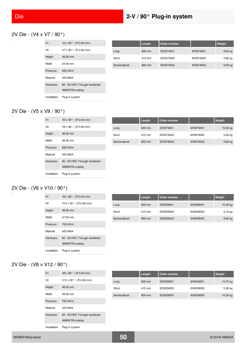#### 2V Die - (V4 x V7 / 90°)

| V <sub>1</sub>  | $V4 \times 90^{\circ}$ / (R 0.40 mm) |
|-----------------|--------------------------------------|
| V <sub>2</sub>  | $V7 \times 90^{\circ}$ / (R 0.00 mm) |
| Height          | 46.00 mm                             |
| Width           | $34.50$ mm                           |
| Pressure        | 600 kN/m                             |
| Material        | 42CrMo4                              |
| <b>Hardness</b> | 60 - 65 HRC Through hardened         |
|                 | AMANIT <sup>®</sup> coating          |
| Installation    | Plug-in system                       |

|               | Length | Order number |           | Weight    |
|---------------|--------|--------------|-----------|-----------|
| Long          | 835 mm | ED5019041    | 6H5019041 | 9.60 kg   |
| Short         | 415 mm | ED5019042    | 6H5019042 | 4.80 kg   |
| Sectionalized | 800 mm | ED5019043    | 6H5019043 | $9.20$ kg |

#### 2V Die - (V5 x V9 / 90°)

| V <sub>1</sub>  | $V5 \times 90^{\circ}$ / (R 0.40 mm) |
|-----------------|--------------------------------------|
| V2              | $V9 \times 90^{\circ}$ / (R 0.00 mm) |
| Height          | 46.00 mm                             |
| Width           | 36.00 mm                             |
| Pressure        | 650 kN/m                             |
| Material        | 42CrMo4                              |
| <b>Hardness</b> | 60 - 65 HRC Through hardened         |
|                 | AMANIT <sup>®</sup> coating          |
| Installation    | Plug-in system                       |

|               | Length | Order number |           | Weight    |
|---------------|--------|--------------|-----------|-----------|
| Long          | 835 mm | ED5079041    | 6H5079041 | 10.00 kg  |
| Short         | 415 mm | ED5079042    | 6H5079042 | 5.00 kg   |
| Sectionalized | 800 mm | ED5079043    | 6H5079043 | $9.60$ kg |

#### 2V Die - (V6 x V10 / 90°)

| V <sub>1</sub>  | $V6 \times 90^{\circ}$ / (R 0.40 mm)                        |
|-----------------|-------------------------------------------------------------|
| V2              | $V10 \times 90^{\circ}$ / (R 0.00 mm)                       |
| Height          | 46.00 mm                                                    |
| Width           | $37.00 \text{ mm}$                                          |
| Pressure        | 700 kN/m                                                    |
| Material        | 42CrMo4                                                     |
| <b>Hardness</b> | 60 - 65 HRC Through hardened<br>AMANIT <sup>®</sup> coating |
| Installation    | Plug-in system                                              |

|               | Length | Order number |           | Weight   |
|---------------|--------|--------------|-----------|----------|
| Long          | 835 mm | ED5029041    | 6H5029041 | 10.30 kg |
| Short         | 415 mm | ED5029042    | 6H5029042 | 5.10 kg  |
| Sectionalized | 800 mm | ED5029043    | 6H5029043 | 9.90 kg  |

#### 2V Die - (V8 x V12 / 90°)  $\overline{a}$

| V <sub>1</sub>  | V8 x 90° / (R 0.50 mm)                                      |
|-----------------|-------------------------------------------------------------|
| V2              | $V12 \times 90^{\circ}$ / (R 0.00 mm)                       |
| Height          | 46.00 mm                                                    |
| Width           | 39.00 mm                                                    |
| Pressure        | 700 kN/m                                                    |
| Material        | 42CrMo4                                                     |
| <b>Hardness</b> | 60 - 65 HRC Through hardened<br>AMANIT <sup>®</sup> coating |
| Installation    | Plug-in system                                              |

|               | Length | Order number |           | Weight   |
|---------------|--------|--------------|-----------|----------|
| Long          | 835 mm | ED5039051    | 6H5039051 | 10.70 kg |
| Short         | 415 mm | ED5039052    | 6H5039052 | 5.30 kg  |
| Sectionalized | 800 mm | ED5039053    | 6H5039053 | 10.30 kg |

 $\Box$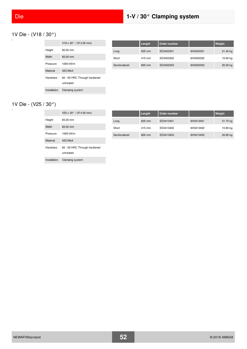# 1V Die - (V18 / 30°)

|                 | V18 x 30 $^{\circ}$ / (R 3.00 mm)         |
|-----------------|-------------------------------------------|
| Height          | 60.00 mm                                  |
| Width           | $60.00 \, \text{mm}$                      |
| Pressure        | 1000 kN/m                                 |
| Material        | 42CrMo4                                   |
| <b>Hardness</b> | 60 - 65 HRC Through hardened<br>untreated |
| Installation    | Clamping system                           |

|               | Length | Order number |           | Weight   |
|---------------|--------|--------------|-----------|----------|
| Long          | 835 mm | ED3403301    | 6H3403301 | 21.40 kg |
| Short         | 415 mm | ED3403302    | 6H3403302 | 10.60 kg |
| Sectionalized | 800 mm | ED3403303    | 6H3403303 | 20.50 kg |

#### 1V Die - (V25 / 30°)  $\Box$

|                 | $V25 \times 30^{\circ}$ / (R 4.00 mm)     |
|-----------------|-------------------------------------------|
| Height          | 65.00 mm                                  |
| Width           | 60.00 mm                                  |
| Pressure        | 1000 kN/m                                 |
| Material        | 42CrMo4                                   |
| <b>Hardness</b> | 60 - 65 HRC Through hardened<br>untreated |
| Installation    | Clamping system                           |

|               | Length | Order number |           | Weight   |
|---------------|--------|--------------|-----------|----------|
| Long          | 835 mm | ED3413401    | 6H3413401 | 21.70 kg |
| Short         | 415 mm | ED3413402    | 6H3413402 | 10.80 kg |
| Sectionalized | 800 mm | ED3413403    | 6H3413403 | 20.80 kg |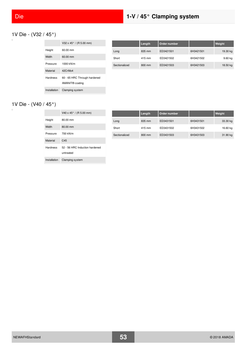### 1V Die - (V32 / 45°)

|              | V32 x 45 $\degree$ / (R 5.00 mm) |
|--------------|----------------------------------|
| Height       | $60.00 \text{ mm}$               |
| Width        | $60.00 \, \text{mm}$             |
| Pressure     | 1000 kN/m                        |
| Material     | 42CrMo4                          |
| Hardness     | 60 - 65 HRC Through hardened     |
|              | AMANIT <sup>®</sup> coating      |
| Installation | Clamping system                  |

Installation Clamping system

|               | Length | Order number |           | Weight    |
|---------------|--------|--------------|-----------|-----------|
| Long          | 835 mm | ED3421501    | 6H3421501 | 19.30 kg  |
| Short         | 415 mm | ED3421502    | 6H3421502 | $9.60$ kg |
| Sectionalized | 800 mm | ED3421503    | 6H3421503 | 18.50 kg  |

#### 1V Die - (V40 / 45°)  $\overline{a}$

|          | V40 x 45 $\degree$ / (R 5.00 mm) |               | Length | Order number |           | Weight   |
|----------|----------------------------------|---------------|--------|--------------|-----------|----------|
| Height   | 80.00 mm                         | Long          | 835 mm | ED3431501    | 6H3431501 | 33.30 kg |
| Width    | 80.00 mm                         | Short         | 415 mm | ED3431502    | 6H3431502 | 16.60 kg |
| Pressure | 700 kN/m                         | Sectionalized | 800 mm | ED3431503    | 6H3431503 | 31.90 kg |
| Material | C45                              |               |        |              |           |          |
| Hardness | 52 - 56 HRC Induction hardened   |               |        |              |           |          |
|          | untreated                        |               |        |              |           |          |

| <b>Service Service</b><br><b>Service Service Service Service Service</b>                                                                                                | and the state of the state of the state of the state of the state of the state of the state of the state of th |
|-------------------------------------------------------------------------------------------------------------------------------------------------------------------------|----------------------------------------------------------------------------------------------------------------|
|                                                                                                                                                                         |                                                                                                                |
|                                                                                                                                                                         |                                                                                                                |
| <b>Contract Contract Contract Contract Contract Contract Contract Contract Contract Contract Contract Contract Co</b><br><b>Service Service Service Service Service</b> | <b>Service Service</b>                                                                                         |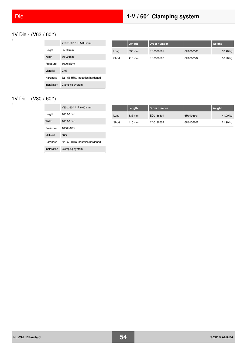# Die **1-V / 60° Clamping system**

# 1V Die - (V63 / 60°)

|              | V63 x 60 $^{\circ}$ / (R 5.00 mm) |
|--------------|-----------------------------------|
| Height       | 85.00 mm                          |
| Width        | 80.00 mm                          |
| Pressure     | 1000 kN/m                         |
| Material     | C45                               |
| Hardness     | 52 - 56 HRC Induction hardened    |
| Installation | Clamping system                   |

|       | Length | Order number |           | Weight   |
|-------|--------|--------------|-----------|----------|
| Long  | 835 mm | ED0386501    | 6H0386501 | 32.40 kg |
| Short | 415 mm | ED0386502    | 6H0386502 | 16.20 kg |

# 1V Die - (V80 / 60°)

|                 | $V80 \times 60^{\circ}$ / (R 6.00 mm) |
|-----------------|---------------------------------------|
| Height          | 100.00 mm                             |
| Width           | 100.00 mm                             |
| Pressure        | $1000$ kN/m                           |
| Material        | C45                                   |
| <b>Hardness</b> | 52 - 56 HRC Induction hardened        |
| Installation    | Clamping system                       |

|       | Length | Order number |           | Weight   |
|-------|--------|--------------|-----------|----------|
| Long  | 835 mm | ED0136601    | 6H0136601 | 41.90 kg |
| Short | 415 mm | ED0136602    | 6H0136602 | 21.90 kg |

 $\overline{a}$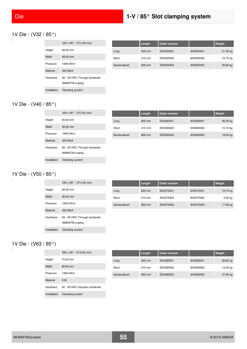### 1V Die - (V32 / 85°)

|                 | V32 x $85^{\circ}$ / (R 2.00 mm)                            |
|-----------------|-------------------------------------------------------------|
| Height          | 60.00 mm                                                    |
| Width           | 60.00 mm                                                    |
| Pressure        | 1000 kN/m                                                   |
| Material        | 42CrMo4                                                     |
| <b>Hardness</b> | 60 - 65 HRC Through hardened<br>AMANIT <sup>®</sup> coating |
| Installation    | Clamping system                                             |

|               | Length | Order number |           | Weight   |
|---------------|--------|--------------|-----------|----------|
| Long          | 835 mm | ED0355401    | 6H0355401 | 21.50 kg |
| Short         | 415 mm | ED0355402    | 6H0355402 | 10.70 kg |
| Sectionalized | 800 mm | ED0355403    | 6H0355403 | 20.60 kg |

### 1V Die - (V40 / 85°)

|                 | V40 x $85^{\circ}$ / (R 2.50 mm)                            |
|-----------------|-------------------------------------------------------------|
| Height          | 60.00 mm                                                    |
| Width           | $60.00 \, \text{mm}$                                        |
| Pressure        | 1000 kN/m                                                   |
| Material        | 42CrMo4                                                     |
| <b>Hardness</b> | 60 - 65 HRC Through hardened<br>AMANIT <sup>®</sup> coating |
| Installation    | Clamping system                                             |

|               | Length | Order number |           | Weight   |
|---------------|--------|--------------|-----------|----------|
| Long          | 835 mm | ED0365401    | 6H0365401 | 20.40 kg |
| Short         | 415 mm | ED0365402    | 6H0365402 | 10.10 kg |
| Sectionalized | 800 mm | ED0365403    | 6H0365403 | 19.50 kg |

#### 1V Die - (V50 / 85°)  $\Box$

|                 | $V50 \times 85^{\circ}$ / (R 4.00 mm)                       |
|-----------------|-------------------------------------------------------------|
| Height          | $60.00 \text{ mm}$                                          |
| Width           | 60.00 mm                                                    |
| Pressure        | 1000 kN/m                                                   |
| Material        | 42CrMo4                                                     |
| <b>Hardness</b> | 60 - 65 HRC Through hardened<br>AMANIT <sup>®</sup> coating |
| Installation    | Clamping system                                             |

|               | Length | Order number |           | Weight   |
|---------------|--------|--------------|-----------|----------|
| Long          | 835 mm | ED0375401    | 6H0375401 | 18.70 kg |
| Short         | 415 mm | ED0375402    | 6H0375402 | 9.30 kg  |
| Sectionalized | 800 mm | ED0375403    | 6H0375403 | 17.90 kg |

### 1V Die - (V63 / 85°)

 $\Box$ 

|                 | $V63 \times 85^{\circ}$ / (R 5.00 mm) |
|-----------------|---------------------------------------|
| Height          | 75.00 mm                              |
| Width           | 80.00 mm                              |
| Pressure        | 1000 kN/m                             |
| Material        | C <sub>45</sub>                       |
| <b>Hardness</b> | 52 - 56 HRC Induction hardened        |
| Installation    | Clamping system                       |

|               | Length | Order number |           | Weight   |
|---------------|--------|--------------|-----------|----------|
| Long          | 835 mm | ED0385501    | 6H0385501 | 28.80 kg |
| Short         | 415 mm | ED0385502    | 6H0385502 | 14.40 kg |
| Sectionalized | 800 mm | ED0385503    | 6H0385503 | 27.60 kg |

 $\overline{a}$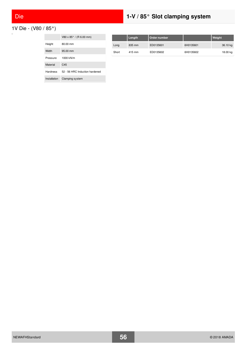# Die **1-V / 85° Slot clamping system**



|                 | V80 x 85° / (R 6.00 mm)        |
|-----------------|--------------------------------|
| Height          | 80.00 mm                       |
| Width           | 95.00 mm                       |
| Pressure        | 1000 kN/m                      |
| Material        | C <sub>45</sub>                |
| <b>Hardness</b> | 52 - 56 HRC Induction hardened |
| Installation    | Clamping system                |

|       | Length | Order number |           | Weight   |
|-------|--------|--------------|-----------|----------|
| Long  | 835 mm | ED0135601    | 6H0135601 | 36.10 kg |
| Short | 415 mm | ED0135602    | 6H0135602 | 18.00 kg |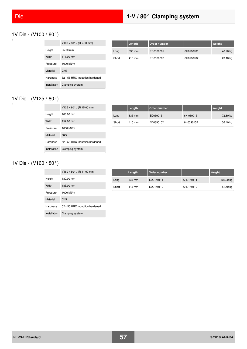# Die **1-V / 80° Clamping system**

### 1V Die - (V100 / 80°)

|              | V100 x 80 $^{\circ}$ / (R 7.00 mm) |
|--------------|------------------------------------|
| Height       | $95.00 \, \text{mm}$               |
| Width        | 115.00 mm                          |
| Pressure     | 1000 kN/m                          |
| Material     | C <sub>45</sub>                    |
| Hardness     | 52 - 56 HRC Induction hardened     |
| Installation | Clamping system                    |

|       | Length | Order number |           | Weight   |
|-------|--------|--------------|-----------|----------|
| Long  | 835 mm | ED0180701    | 6H0180701 | 46.20 kg |
| Short | 415 mm | ED0180702    | 6H0180702 | 23.10 kg |

# 1V Die - (V125 / 80°)

|                 | V125 x 80 $^{\circ}$ / (R 15.00 mm) |
|-----------------|-------------------------------------|
| Height          | 103.00 mm                           |
| Width           | 154.00 mm                           |
| Pressure        | 1000 kN/m                           |
| Material        | C <sub>45</sub>                     |
| <b>Hardness</b> | 52 - 56 HRC Induction hardened      |
| Installation    | Clamping system                     |

|       | Length | Order number |            | Weight   |
|-------|--------|--------------|------------|----------|
| Long  | 835 mm | ED0390151    | 6H 0390151 | 72.80 kg |
| Short | 415 mm | ED0390152    | 6H0390152  | 36.40 kg |

# 1V Die - (V160 / 80°)

|                 | V160 x 80 $^{\circ}$ / (R 11.00 mm) |
|-----------------|-------------------------------------|
| Height          | 130.00 mm                           |
| Width           | 185.00 mm                           |
| Pressure        | 1000 kN/m                           |
| Material        | C45                                 |
| <b>Hardness</b> | 52 - 56 HRC Induction hardened      |
| Installation    | Clamping system                     |

|       | Length | Order number |           | Weight    |
|-------|--------|--------------|-----------|-----------|
| Long  | 835 mm | ED0140111    | 6H0140111 | 102.80 kg |
| Short | 415 mm | ED0140112    | 6H0140112 | 51.40 kg  |

 $\overline{a}$ 

 $\Box$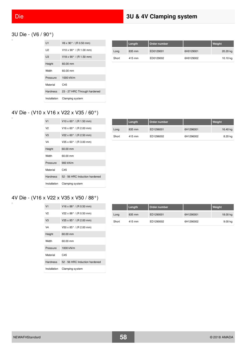### 3U Die - (V6 / 90°)

| U1              | $V6 \times 90^{\circ}$ / (R 0.50 mm)  |
|-----------------|---------------------------------------|
| 112             | $V10 \times 90^{\circ}$ / (R 1.00 mm) |
| U <sub>3</sub>  | $V18 \times 90^{\circ}$ / (R 1.50 mm) |
| Height          | 60.00 mm                              |
| Width           | 60.00 mm                              |
| Pressure        | 1000 kN/m                             |
| Material        | C <sub>45</sub>                       |
| <b>Hardness</b> | 23 - 27 HRC Through hardened          |
| Installation    | Clamping system                       |

|       | Length | Order number |           | Weight   |
|-------|--------|--------------|-----------|----------|
| Long  | 835 mm | ED0129001    | 6H0129001 | 20.20 kg |
| Short | 415 mm | ED0129002    | 6H0129002 | 10.10 kg |

# 4V Die - (V10 x V16 x V22 x V35 / 60°)

| V <sub>1</sub>  | $V10 \times 60^{\circ}$ / (R 1.50 mm) |
|-----------------|---------------------------------------|
| V2              | $V16 \times 60^{\circ}$ / (R 2.00 mm) |
| V <sub>3</sub>  | $V22 \times 60^{\circ}$ / (R 2.50 mm) |
| V <sub>4</sub>  | $V35 \times 60^{\circ}$ / (R 3.00 mm) |
| Height          | 60.00 mm                              |
| Width           | $60.00 \text{ mm}$                    |
| Pressure        | 900 kN/m                              |
| Material        | C <sub>45</sub>                       |
| <b>Hardness</b> | 52 - 56 HRC Induction hardened        |
| Installation    | Clamping system                       |

|       | Length | Order number |           | Weight   |
|-------|--------|--------------|-----------|----------|
| Long  | 835 mm | ED1296001    | 6H1296001 | 16.40 kg |
| Short | 415 mm | ED1296002    | 6H1296002 | 8.20 kg  |

### 4V Die - (V16 x V22 x V35 x V50 / 88°)

| V <sub>1</sub>  | $V16 \times 88^{\circ}$ / (R 0.50 mm) |
|-----------------|---------------------------------------|
| V2              | V22 x 88 $^{\circ}$ / (R 0.50 mm)     |
| V <sub>3</sub>  | V35 x $85^{\circ}$ / (R 2.00 mm)      |
| V4              | V50 x 85° / (R 2.00 mm)               |
| Height          | 60.00 mm                              |
| Width           | 60.00 mm                              |
| Pressure        | 1000 kN/m                             |
| Material        | C45                                   |
| <b>Hardness</b> | 52 - 56 HRC Induction hardened        |
| Installation    | Clamping system                       |

|       | Length | Order number |           | Weight   |
|-------|--------|--------------|-----------|----------|
| Long  | 835 mm | ED1290001    | 6H1290001 | 18.00 kg |
| Short | 415 mm | ED1290002    | 6H1290002 | 9.00 kg  |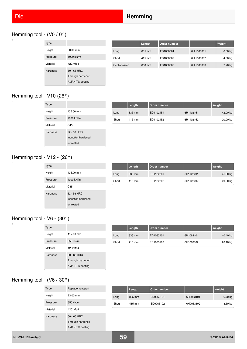# Hemming tool - (V0 / 0°)

| Type            |                             |
|-----------------|-----------------------------|
| Height          | 60.00 mm                    |
| Pressure        | 1000 kN/m                   |
| Material        | 42CrMo4                     |
| <b>Hardness</b> | $60 - 65$ HRC               |
|                 | Through hardened            |
|                 | AMANIT <sup>®</sup> coating |

|               | Length | Order number |            | Weight  |
|---------------|--------|--------------|------------|---------|
| Long          | 835 mm | ED1600001    | 6H 1600001 | 8.00 kg |
| Short         | 415 mm | ED1600002    | 6H 1600002 | 4.00 kg |
| Sectionalized | 800 mm | ED1600003    | 6H 1600003 | 7.70 kg |

### Hemming tool - V10 (26°)

 $\Box$ 

 $\overline{a}$ 

| Type            |                    |
|-----------------|--------------------|
| Height          | 135.00 mm          |
| Pressure        | 1000 kN/m          |
| Material        | C45                |
| <b>Hardness</b> | 52 - 56 HRC        |
|                 | Induction hardened |
|                 | untreated          |

|       | Length | Order number |           | Weight   |
|-------|--------|--------------|-----------|----------|
| Long  | 835 mm | ED1102151    | 6H1102151 | 42.00 kg |
| Short | 415 mm | ED1102152    | 6H1102152 | 20.90 kg |

# Hemming tool - V12 - (26°)

| Type<br>Height<br>135.00 mm<br>1000 kN/m<br>Pressure |  |
|------------------------------------------------------|--|
|                                                      |  |
|                                                      |  |
|                                                      |  |
| Material<br>C <sub>45</sub>                          |  |
| 52 - 56 HRC<br><b>Hardness</b>                       |  |
| Induction hardened                                   |  |
| untreated                                            |  |

|       | Length | Order number |           | Weight   |
|-------|--------|--------------|-----------|----------|
| Long  | 835 mm | ED1122201    | 6H1122201 | 41.80 kg |
| Short | 415 mm | ED1122202    | 6H1122202 | 20.80 kg |

#### Hemming tool - V6 - (30°)  $\Box$

| <b>Type</b>     |                             |
|-----------------|-----------------------------|
| Height          | 117.00 mm                   |
| Pressure        | 650 kN/m                    |
| Material        | 42CrMo4                     |
| <b>Hardness</b> | $60 - 65$ HRC               |
|                 | Through hardened            |
|                 | AMANIT <sup>®</sup> coating |

|       | Length | Order number |           | Weight   |
|-------|--------|--------------|-----------|----------|
| Long  | 835 mm | ED1063101    | 6H1063101 | 40.40 kg |
| Short | 415 mm | ED1063102    | 6H1063102 | 20.10 kg |

#### Hemming tool - (V6 / 30°)  $\overline{a}$

| Type            | Replacement part            |
|-----------------|-----------------------------|
| Height          | 23.00 mm                    |
| Pressure        | 650 kN/m                    |
| Material        | 42CrMo4                     |
| <b>Hardness</b> | $60 - 65$ HRC               |
|                 | Through hardened            |
|                 | AMANIT <sup>®</sup> coating |

|       | Length | Order number |           | Weight    |
|-------|--------|--------------|-----------|-----------|
| Long  | 835 mm | ED0063101    | 6H0063101 | $6.70$ kg |
| Short | 415 mm | ED0063102    | 6H0063102 | $3.30$ kg |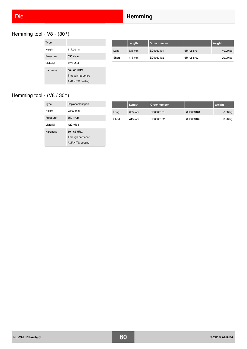# Die **Hemming**

# Hemming tool - V8 - (30°)

| Type            |                             |
|-----------------|-----------------------------|
| Height          | 117.00 mm                   |
| Pressure        | 650 kN/m                    |
| Material        | 42CrMo4                     |
| <b>Hardness</b> | $60 - 65$ HRC               |
|                 | Through hardened            |
|                 | AMANIT <sup>®</sup> coating |

|       | Length | Order number |           | <b>Weight</b> |
|-------|--------|--------------|-----------|---------------|
| Long  | 835 mm | ED1083101    | 6H1083101 | 40.20 kg      |
| Short | 415 mm | ED1083102    | 6H1083102 | 20.00 kg      |

# Hemming tool - (V8 / 30°)

 $\Box$ 

| Type            | Replacement part            |
|-----------------|-----------------------------|
| Height          | 23.00 mm                    |
| Pressure        | 650 kN/m                    |
| Material        | 42CrMo4                     |
| <b>Hardness</b> | $60 - 65$ HRC               |
|                 | Through hardened            |
|                 | AMANIT <sup>®</sup> coating |

|       | Length | Order number |           | Weight    |
|-------|--------|--------------|-----------|-----------|
| Long  | 835 mm | ED0083101    | 6H0083101 | $6.50$ kg |
| Short | 415 mm | ED0083102    | 6H0083102 | 3.20 kg   |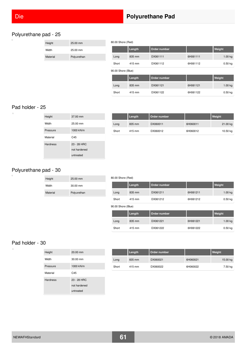### Polyurethane pad - 25

Height 25.00 mm Width 25.00 mm Material **Polyurethan** 

| 80.00 Shore (Red)  |        |              |          |                    |  |
|--------------------|--------|--------------|----------|--------------------|--|
|                    | Length | Order number |          | Weight             |  |
| Long               | 835 mm | DX061111     | 6H061111 | 1.00 kg            |  |
| Short              | 415 mm | DX061112     | 6H061112 | $0.50$ kg          |  |
| 90.00 Shore (Blue) |        |              |          |                    |  |
|                    | Length | Order number |          | Weight             |  |
| Long               | 835 mm | DX061121     | 6H061121 | 1.00 <sub>kq</sub> |  |
| Short              | 415 mm | DX061122     | 6H061122 | $0.50$ kg          |  |

### Pad holder - 25

 $\overline{\square}$ 

 $\Box$ 

| Height          | 37.00 mm                                 |
|-----------------|------------------------------------------|
| Width           | 25.00 mm                                 |
| Pressure        | 1000 kN/m                                |
| Material        | C <sub>45</sub>                          |
| <b>Hardness</b> | 23 - 28 HRC<br>not hardened<br>untreated |

|       | Length | Order number |          | Weight   |
|-------|--------|--------------|----------|----------|
| Long  | 835 mm | DX060011     | 6H060011 | 21.00 kg |
| Short | 415 mm | DX060012     | 6H060012 | 10.50 kg |

#### Polyurethane pad - 30

| Height   | $25.00 \text{ mm}$ |
|----------|--------------------|
| Width    | $30.00 \text{ mm}$ |
| Material | Polyurethan        |

#### 80.00 Shore (Red)

|       | Length | Order number |          | Weight    |
|-------|--------|--------------|----------|-----------|
| Long  | 835 mm | DX061211     | 6H061211 | 1.00 kg   |
| Short | 415 mm | DX061212     | 6H061212 | $0.50$ kg |

#### 90.00 Shore (Blue)

|       | Length | Order number |          | Weight    |
|-------|--------|--------------|----------|-----------|
| Long  | 835 mm | DX061221     | 6H061221 | 1.00 kg   |
| Short | 415 mm | DX061222     | 6H061222 | $0.50$ kg |

#### Pad holder - 30

| -- |  |
|----|--|
|    |  |
|    |  |
|    |  |

| Height          | $20.00 \text{ mm}$                       |
|-----------------|------------------------------------------|
| Width           | 30.00 mm                                 |
| Pressure        | 1000 kN/m                                |
| Material        | C45                                      |
| <b>Hardness</b> | 23 - 28 HRC<br>not hardened<br>untreated |

|       | Length | Order number |          | Weight   |
|-------|--------|--------------|----------|----------|
| Long  | 835 mm | DX060021     | 6H060021 | 15.00 kg |
| Short | 415 mm | DX060022     | 6H060022 | 7.50 kg  |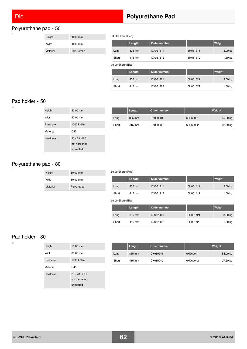# Polyurethane pad - 50

| Height   | $50.00 \text{ mm}$ |
|----------|--------------------|
| Width    | $50.00 \text{ mm}$ |
| Material | Polyurethan        |

# Die **Polyurethane Pad**

80.00 Shore (Red)

|       | Length | Order number |          | Weight  |
|-------|--------|--------------|----------|---------|
| Long  | 835 mm | DX061311     | 6H061311 | 3.00 kg |
| Short | 415 mm | DX061312     | 6H061312 | 1.50 kg |

90.00 Shore (Blue)

|       | Length | Order number |          | Weight    |
|-------|--------|--------------|----------|-----------|
| Long  | 835 mm | DX061321     | 6H061321 | $3.00$ kg |
| Short | 415 mm | DX061322     | 6H061322 | 1.50 kg   |

#### Pad holder - 50

 $\Box$ 

| Height          | $52.00 \, \text{mm}$ |
|-----------------|----------------------|
| Width           | 50.00 mm             |
| Pressure        | 1000 kN/m            |
| Material        | C45                  |
| <b>Hardness</b> | 23 - 28 HRC          |
|                 | not hardened         |
|                 | untreated            |

|       | Length | Order number |          | Weight   |
|-------|--------|--------------|----------|----------|
| Long  | 835 mm | DX060031     | 6H060031 | 45.00 kg |
| Short | 415 mm | DX060032     | 6H060032 | 22.50 kg |

# Polyurethane pad - 80

| Height   | $30.00 \text{ mm}$ |
|----------|--------------------|
| Width    | 80.00 mm           |
| Material | Polyurethan        |

#### 80.00 Shore (Red)

|       | Length | Order number |          | Weight             |
|-------|--------|--------------|----------|--------------------|
| Long  | 835 mm | DX061411     | 6H061411 | 3.00 <sub>kg</sub> |
| Short | 415 mm | DX061412     | 6H061412 | 1.50 kg            |

90.00 Shore (Blue)

|       | Length | Order number |          | Weight  |
|-------|--------|--------------|----------|---------|
| Long  | 835 mm | DX061421     | 6H061421 | 3.00 kg |
| Short | 415 mm | DX061422     | 6H061422 | 1.50 kg |

#### Pad holder - 80

| Height          | 55.00 mm                                 |
|-----------------|------------------------------------------|
| Width           | 80.00 mm                                 |
| Pressure        | 1000 kN/m                                |
| Material        | C45                                      |
| <b>Hardness</b> | 23 - 28 HRC<br>not hardened<br>untreated |

|       | Length | Order number |          | Weight   |
|-------|--------|--------------|----------|----------|
| Long  | 835 mm | DX060041     | 6H060041 | 55.00 kg |
| Short | 415 mm | DX060042     | 6H060042 | 27.50 kg |

| NEWAFHStandard | 62 | © 2018 AMADA |
|----------------|----|--------------|
|                |    |              |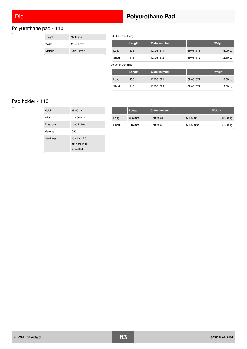$\overline{a}$ 

 $\Box$ 

# Polyurethane pad - 110

| Height   | $45.00 \text{ mm}$ |
|----------|--------------------|
| Width    | 110.00 mm          |
| Material | Polyurethan        |

# Die **Polyurethane Pad**

80.00 Shore (Red)

|       | Length | Order number |          | Weight    |
|-------|--------|--------------|----------|-----------|
| Long  | 835 mm | DX061511     | 6H061511 | $5.00$ kg |
| Short | 415 mm | DX061512     | 6H061512 | $2.50$ kg |

90.00 Shore (Blue)

|       | Length | Order number |          | Weight    |
|-------|--------|--------------|----------|-----------|
| Long  | 835 mm | DX061521     | 6H061521 | 5.00 kg   |
| Short | 415 mm | DX061522     | 6H061522 | $2.50$ kg |

### Pad holder - 110

| Height          | 65.00 mm     |
|-----------------|--------------|
| Width           | 110.00 mm    |
| Pressure        | 1000 kN/m    |
| Material        | C45          |
| <b>Hardness</b> | 23 - 28 HRC  |
|                 | not hardened |
|                 | untreated    |

|       | Length | Order number |          | Weight   |
|-------|--------|--------------|----------|----------|
| Long  | 835 mm | DX060051     | 6H060051 | 62.00 kg |
| Short | 415 mm | DX060052     | 6H060052 | 31.00 kg |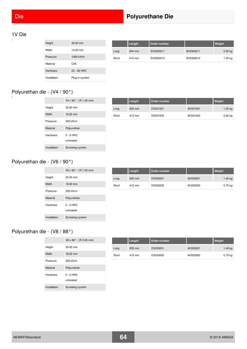# Die **Polyurethane Die**

#### 1V Die

 $\overline{a}$ 

| Height          | 30.00 mm       |
|-----------------|----------------|
| Width           | 14.00 mm       |
| Pressure        | 1000 kN/m      |
| Material        | C45            |
| <b>Hardness</b> | $23 - 28$ HRC  |
| Installation    | Plug-in system |

|       | Length | Order number |           | Weight    |
|-------|--------|--------------|-----------|-----------|
| Long  | 834 mm | EH3300011    | 6H3300011 | $2.50$ kg |
| Short | 414 mm | EH3300012    | 6H3300012 | 1.20 kg   |

#### Polyurethan die - (V4 / 90°)  $\Box$

|              | $V4 \times 90^{\circ}$ / (R 1.00 mm) |
|--------------|--------------------------------------|
| Height       | 35.00 mm                             |
| Width        | 16.00 mm                             |
| Pressure     | 320 kN/m                             |
| Material     | Polyurethan                          |
| Hardness     | $0 - 0$ HRC                          |
|              | untreated                            |
| Installation | Screwing system                      |

|       | Length | Order number |          | Weight    |
|-------|--------|--------------|----------|-----------|
| Long  | 835 mm | DX331001     | 6H331001 | $1.20$ kg |
| Short | 415 mm | DX331002     | 6H331002 | $0.60$ kg |

#### Polyurethan die - (V6 / 90°)  $\bar{a}$

|                 | V6 x 90 $^{\circ}$ / (R 1.50 mm) |
|-----------------|----------------------------------|
| Height          | 35.00 mm                         |
| Width           | 18.00 mm                         |
| Pressure        | 320 kN/m                         |
| Material        | Polyurethan                      |
| <b>Hardness</b> | $0 - 0$ HRC<br>untreated         |
| Installation    | Screwing system                  |

|       | Length | Order number |          | Weight    |
|-------|--------|--------------|----------|-----------|
| Long  | 835 mm | DX332001     | 6H332001 | 1.40 kg   |
| Short | 415 mm | DX332002     | 6H332002 | $0.70$ kg |

# Polyurethan die - (V8 / 88°)

|                 | $V8 \times 88^{\circ}$ / (R 2.00 mm) |
|-----------------|--------------------------------------|
| Height          | 35.00 mm                             |
| Width           | 18.00 mm                             |
| Pressure        | 320 kN/m                             |
| Material        | Polyurethan                          |
| <b>Hardness</b> | $0 - 0$ HRC<br>untreated             |
| Installation    | Screwing system                      |

|       | Length | Order number |          | Weight    |
|-------|--------|--------------|----------|-----------|
| Long  | 835 mm | DX333001     | 6H333001 | 1.40 kg   |
| Short | 415 mm | DX333002     | 6H333002 | $0.70$ kg |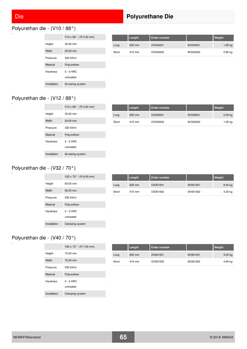i.

 $\overline{\phantom{a}}$ 

 $\overline{a}$ 

# Polyurethan die - (V10 / 88°)

|                 | $V10 \times 88^{\circ}$ / (R 2.50 mm) |
|-----------------|---------------------------------------|
| Height          | 35.00 mm                              |
| Width           | $20.00$ mm                            |
| Pressure        | 320 kN/m                              |
| Material        | Polyurethan                           |
| <b>Hardness</b> | $0 - 0$ HRC<br>untreated              |
| Installation    | Screwing system                       |

| Die | <b>Polyurethane Die</b> |
|-----|-------------------------|
|     |                         |

|       | Length | Drder number |          | Weight    |
|-------|--------|--------------|----------|-----------|
| Long  | 835 mm | DX334001     | 6H334001 | 1.60 kg   |
| Short | 415 mm | DX334002     | 6H334002 | $0.80$ kg |

# Polyurethan die - (V12 / 88°)

|              | $V12 \times 88^{\circ}$ / (R 3.00 mm) |
|--------------|---------------------------------------|
| Height       | 35.00 mm                              |
| Width        | 24.00 mm                              |
| Pressure     | 320 kN/m                              |
| Material     | Polyurethan                           |
| Hardness     | $0 - 0$ HRC<br>untreated              |
| Installation | Screwing system                       |

|       | Length | Order number |          | Weight    |
|-------|--------|--------------|----------|-----------|
| Long  | 835 mm | DX335001     | 6H335001 | $2.00$ kg |
| Short | 415 mm | DX335002     | 6H335002 | 1.00 kg   |

# Polyurethan die - (V32 / 70°)

|              | V32 x 70 $^{\circ}$ / (R 6.00 mm) |
|--------------|-----------------------------------|
| Height       | 60.00 mm                          |
| Width        | 60.00 mm                          |
| Pressure     | 500 kN/m                          |
| Material     | Polyurethan                       |
| Hardness     | $0 - 0$ HRC<br>untreated          |
| Installation | Clamping system                   |

|       | Length | Order number |          | Weight  |
|-------|--------|--------------|----------|---------|
| Long  | 835 mm | DX351001     | 6H351001 | 8.40 kg |
| Short | 415 mm | DX351002     | 6H351002 | 4.20 kg |

# Polyurethan die - (V40 / 70°)

|              | V40 x 70° / (R 7.00 mm)  |
|--------------|--------------------------|
| Height       | 70.00 mm                 |
| Width        | 70.00 mm                 |
| Pressure     | 500 kN/m                 |
| Material     | Polyurethan              |
| Hardness     | $0 - 0$ HRC<br>untreated |
| Installation | Clamping system          |

|       | Length | Order number |          | Weight    |
|-------|--------|--------------|----------|-----------|
| Long  | 835 mm | DX361001     | 6H361001 | $9.20$ kg |
| Short | 415 mm | DX361002     | 6H361002 | 4.60 kg   |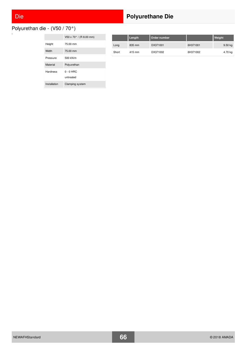# Die **Polyurethane Die**

Polyurethan die - (V50 / 70°)  $\Box$ 

|              | $V50 \times 70^{\circ}$ / (R 8.00 mm) |
|--------------|---------------------------------------|
| Height       | 75.00 mm                              |
| Width        | 75.00 mm                              |
| Pressure     | 500 kN/m                              |
| Material     | Polyurethan                           |
| Hardness     | $0 - 0$ HRC<br>untreated              |
| Installation | Clamping system                       |

|       | Length | Order number |          | Weight    |
|-------|--------|--------------|----------|-----------|
| Long  | 835 mm | DX371001     | 6H371001 | $9.50$ kg |
| Short | 415 mm | DX371002     | 6H371002 | 4.70 kg   |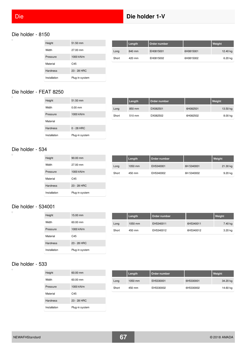i.

# Die **Die holder 1-V**

#### Die holder - 8150

| Height          | 51.50 mm       |
|-----------------|----------------|
| Width           | 27.00 mm       |
| Pressure        | 1000 kN/m      |
| Material        | C45            |
| <b>Hardness</b> | 23 - 28 HRC    |
| Installation    | Plug-in system |

|       | Length | Order number |           | Weight   |
|-------|--------|--------------|-----------|----------|
| Long  | 840 mm | EH0815001    | 6H0815001 | 12.40 kg |
| Short | 420 mm | EH0815002    | 6H0815002 | 6.20 kg  |

#### Die holder - FEAT 8250  $\overline{a}$

| Height          | 51.50 mm            |
|-----------------|---------------------|
| Width           | $0.00 \, \text{mm}$ |
| Pressure        | 1000 kN/m           |
| Material        |                     |
| <b>Hardness</b> | $0 - 28$ HRC        |
| Installation    | Plug-in system      |

|       | Length | Order number |          | Weight   |
|-------|--------|--------------|----------|----------|
| Long  | 850 mm | DX082501     | 6H082501 | 13.50 kg |
| Short | 510 mm | DX082502     | 6H082502 | 8.00 kg  |

#### Die holder - 534

 $\Box$ 

 $\Box$ 

| Height          | 90.00 mm       |
|-----------------|----------------|
| Width           | 27.00 mm       |
| Pressure        | 1000 kN/m      |
| Material        | C45            |
| <b>Hardness</b> | $23 - 28$ HRC  |
| Installation    | Plug-in system |

|       | Length  | Order number |            | Weight    |
|-------|---------|--------------|------------|-----------|
| Long  | 1050 mm | EH5340001    | 6H 5340001 | 21.30 kg  |
| Short | 450 mm  | EH5340002    | 6H 5340002 | $9.20$ kg |

#### Die holder - 534001

| Height          | 15.00 mm       |
|-----------------|----------------|
| Width           | 60.00 mm       |
| Pressure        | 1000 kN/m      |
| Material        | C45            |
| <b>Hardness</b> | 23 - 28 HRC    |
| Installation    | Plug-in system |

|       | Length  | Order number |           | Weight  |
|-------|---------|--------------|-----------|---------|
| Long  | 1050 mm | EH5340011    | 6H5340011 | 7.40 kg |
| Short | 450 mm  | EH5340012    | 6H5340012 | 3.20 kg |

#### Die holder - 533  $\Box$

| Height          | 60.00 mm       |
|-----------------|----------------|
| Width           | 60.00 mm       |
| Pressure        | 1000 kN/m      |
| Material        | C45            |
| <b>Hardness</b> | $23 - 28$ HRC  |
| Installation    | Plug-in system |

|       | Length  | Order number |           | Weight   |
|-------|---------|--------------|-----------|----------|
| Long  | 1050 mm | EH5330001    | 6H5330001 | 34.20 kg |
| Short | 450 mm  | EH5330002    | 6H5330002 | 14.60 kg |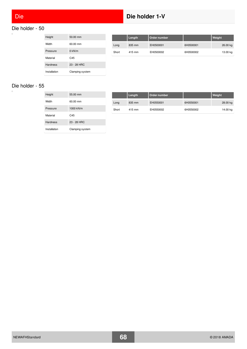#### Die holder - 50  $\Box$

| Height          | $50.00 \, \text{mm}$ |
|-----------------|----------------------|
| Width           | 60.00 mm             |
| Pressure        | $0$ kN/m             |
| Material        | C <sub>45</sub>      |
| <b>Hardness</b> | $23 - 28$ HRC        |
| Installation    | Clamping system      |

|       | Length | Order number |           | Weight   |
|-------|--------|--------------|-----------|----------|
| Long  | 835 mm | EH0500001    | 6H0500001 | 26.00 kg |
| Short | 415 mm | EH0500002    | 6H0500002 | 13.00 kg |

Die holder - 55

| Height          | 55.00 mm        |
|-----------------|-----------------|
| Width           | 60.00 mm        |
| Pressure        | 1000 kN/m       |
| Material        | C45             |
| <b>Hardness</b> | $23 - 28$ HRC   |
| Installation    | Clamping system |

|       | Length | Order number |           | Weight   |
|-------|--------|--------------|-----------|----------|
| Long  | 835 mm | EH0550001    | 6H0550001 | 28.00 kg |
| Short | 415 mm | EH0550002    | 6H0550002 | 14.00 kg |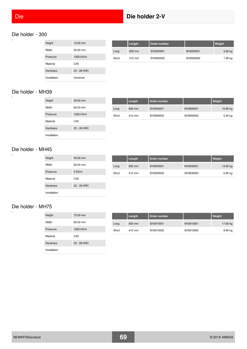$\overline{a}$ 

# Die **Die holder 2-V**

#### Die holder - 300

| Height          | $10.00 \, \text{mm}$ |
|-----------------|----------------------|
| Width           | 50.00 mm             |
| Pressure        | 1000 kN/m            |
| Material        | C <sub>45</sub>      |
| <b>Hardness</b> | $23 - 28$ HRC        |
| Installation    | Centrical            |

|       | Length | Order number |           | Weight  |
|-------|--------|--------------|-----------|---------|
| Long  | 835 mm | EH3000001    | 6H3000001 | 3.80 kg |
| Short | 415 mm | EH3000002    | 6H3000002 | 1.90 kg |

#### Die holder - MH39  $\overline{a}$

| Height          | 39.00 mm        |
|-----------------|-----------------|
| Width           | 60.00 mm        |
| Pressure        | 1000 kN/m       |
| Material        | C <sub>45</sub> |
| <b>Hardness</b> | $23 - 28$ HRC   |
| Installation    |                 |

|       | Length | Order number |           | Weight   |
|-------|--------|--------------|-----------|----------|
| Long  | 830 mm | EH2900001    | 6H2900001 | 10.80 kg |
| Short | 412 mm | EH2900002    | 6H2900002 | 5.40 kg  |

#### Die holder - MH45

 $\Box$ 

 $\Box$ 

| Height          | 45.00 mm        |
|-----------------|-----------------|
| Width           | 60.00 mm        |
| Pressure        | $0$ kN/m        |
| Material        | C <sub>45</sub> |
| <b>Hardness</b> | $23 - 28$ HRC   |
| Installation    |                 |

|       | Length | Order number |           | Weight   |
|-------|--------|--------------|-----------|----------|
| Long  | 830 mm | EH2930001    | 6H2930001 | 13.80 kg |
| Short | 412 mm | EH2930002    | 6H2930002 | 6.90 kg  |

### Die holder - MH75

| Height          | 75.00 mm        |
|-----------------|-----------------|
| Width           | 60.00 mm        |
| Pressure        | 1000 kN/m       |
| Material        | C <sub>45</sub> |
| <b>Hardness</b> | $23 - 28$ HRC   |
| Installation    |                 |

|       | Length | Order number |           | Weight   |
|-------|--------|--------------|-----------|----------|
| Long  | 830 mm | EH2910001    | 6H2910001 | 17.60 kg |
| Short | 412 mm | EH2910002    | 6H2910002 | 8.80 kg  |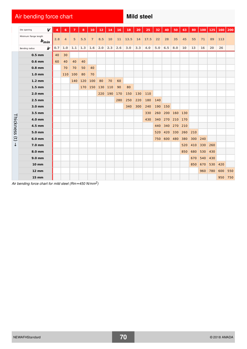# Air bending force chart **Mild steel** Mild steel

|                        | V<br>Die opening                   |     | 6              |     | 8   | 10             | 12  | 14  | 16  | 18   | 20  | 25   | 32  | 40      | 50  | 63    | 80  | 100 | 125 | 160 | 200 |
|------------------------|------------------------------------|-----|----------------|-----|-----|----------------|-----|-----|-----|------|-----|------|-----|---------|-----|-------|-----|-----|-----|-----|-----|
|                        | Minimum flange length<br>$b_{min}$ | 2.8 | $\overline{4}$ | 5   | 5.5 | $\overline{7}$ | 8.5 | 10  | 11  | 13.5 | 14  | 17.5 | 22  | 28      | 35  | 45    | 55  | 71  | 89  | 113 |     |
|                        | ir<br>Bending radius               | 0.7 | 1.0            | 1.1 | 1.3 | 1.6            | 2.0 | 2.3 | 2.6 | 3.0  | 3.3 | 4.0  | 5.0 | 6.5     | 8.0 | 10    | 13  | 16  | 20  | 26  |     |
|                        | $0.5$ mm                           | 40  | 30             |     |     |                |     |     |     |      |     |      |     |         |     |       |     |     |     |     |     |
|                        | $0.6$ mm                           | 60  | 40             | 40  | 40  |                |     |     |     |      |     |      |     |         |     |       |     |     |     |     |     |
|                        | $0.8$ mm                           |     | 70             | 70  | 50  | 40             |     |     |     |      |     |      |     |         |     |       |     |     |     |     |     |
|                        | 1.0 <sub>mm</sub>                  |     | 110            | 100 | 80  | 70             |     |     |     |      |     |      |     |         |     |       |     |     |     |     |     |
|                        | $1.2 \text{ mm}$                   |     |                | 140 | 120 | 100            | 80  | 70  | 60  |      |     |      |     |         |     |       |     |     |     |     |     |
|                        | $1.5 \text{ mm}$                   |     |                |     | 170 | 150            | 130 | 110 | 90  | 80   |     |      |     |         |     |       |     |     |     |     |     |
|                        | $2.0$ mm                           |     |                |     |     |                | 220 | 190 | 170 | 150  | 130 | 110  |     |         |     |       |     |     |     |     |     |
|                        | $2.5$ mm                           |     |                |     |     |                |     |     | 280 | 250  | 220 | 180  | 140 |         |     |       |     |     |     |     |     |
|                        | 3.0 mm                             |     |                |     |     |                |     |     |     | 340  | 300 | 240  | 190 | 150     |     |       |     |     |     |     |     |
|                        | 3.5 mm                             |     |                |     |     |                |     |     |     |      |     | 330  | 260 | 200 160 |     | $130$ |     |     |     |     |     |
| Thickness              | 4.0 mm                             |     |                |     |     |                |     |     |     |      |     | 430  | 340 | 270     |     | 170   |     |     |     |     |     |
|                        | 4.5 mm                             |     |                |     |     |                |     |     |     |      |     |      | 440 | 340     | 270 | 210   |     |     |     |     |     |
|                        | 5.0 mm                             |     |                |     |     |                |     |     |     |      |     |      | 520 | 420     | 330 | 260   | 210 |     |     |     |     |
| $\widehat{\mathbf{t}}$ | 6.0 mm                             |     |                |     |     |                |     |     |     |      |     |      | 750 | 600 480 |     | 380   | 300 | 240 |     |     |     |
| ↓                      | 7.0 mm                             |     |                |     |     |                |     |     |     |      |     |      |     |         |     | 520   | 410 | 330 | 260 |     |     |
|                        | 8.0 mm                             |     |                |     |     |                |     |     |     |      |     |      |     |         |     | 850   | 680 | 530 | 430 |     |     |
|                        | 9.0 mm                             |     |                |     |     |                |     |     |     |      |     |      |     |         |     |       | 670 | 540 | 430 |     |     |
|                        | $10 \text{ mm}$                    |     |                |     |     |                |     |     |     |      |     |      |     |         |     |       | 850 | 670 | 530 | 420 |     |
|                        | <b>12 mm</b>                       |     |                |     |     |                |     |     |     |      |     |      |     |         |     |       |     | 960 | 780 | 600 | 550 |
|                        | <b>15 mm</b>                       |     |                |     |     |                |     |     |     |      |     |      |     |         |     |       |     |     |     | 950 |     |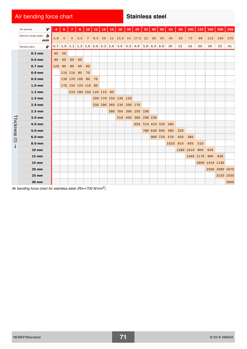# Air bending force chart **Stainless steel**

|                        | V<br>Die opening                                                                  |     | 6              |                    | 8                   | 10             | 12  | 14 | 16 | <b>18</b>                                           | 20 | 25                | 32 | 40          | 50              | 63   | 80  | 100           | 125           | 160            | 200            | 250  |
|------------------------|-----------------------------------------------------------------------------------|-----|----------------|--------------------|---------------------|----------------|-----|----|----|-----------------------------------------------------|----|-------------------|----|-------------|-----------------|------|-----|---------------|---------------|----------------|----------------|------|
|                        | Minimum flange length $\bigtriangledown$<br>min                                   | 2.8 | $\overline{4}$ | 5                  | 5.5                 | $\overline{7}$ | 8.5 | 10 |    | $11 \mid 13.5 \mid 14 \mid 17.5 \mid 22$            |    |                   |    | 28          | 35              | 45   | 55  | 71            | 89            | 113            | 140            | 175  |
|                        | ir<br>Bending radius                                                              | 0.7 |                |                    |                     |                |     |    |    | 1.0   1.1   1.3   1.6   2.0   2.3   2.6   3.0   3.3 |    | 4.0 $5.0$ 6.5 8.0 |    |             |                 | 10   | 13  | 16            | 20            | 26             | 33             | 41   |
|                        | $0.5$ mm                                                                          | 60  | 50             |                    |                     |                |     |    |    |                                                     |    |                   |    |             |                 |      |     |               |               |                |                |      |
|                        | $0.6$ mm                                                                          | 90  | 60             | 60                 | 60                  |                |     |    |    |                                                     |    |                   |    |             |                 |      |     |               |               |                |                |      |
|                        | $0.7$ mm                                                                          | 120 | 80             | 80                 | 60                  | 60             |     |    |    |                                                     |    |                   |    |             |                 |      |     |               |               |                |                |      |
|                        | $0.8$ mm                                                                          |     |                | 110 110 80         |                     | 70             |     |    |    |                                                     |    |                   |    |             |                 |      |     |               |               |                |                |      |
|                        | $0.9$ mm                                                                          |     |                | 130 120 100 80     |                     |                | 70  |    |    |                                                     |    |                   |    |             |                 |      |     |               |               |                |                |      |
|                        | 1.0 <sub>mm</sub>                                                                 |     |                | 170 150 120 110 80 |                     |                |     |    |    |                                                     |    |                   |    |             |                 |      |     |               |               |                |                |      |
|                        | $1.2 \text{ mm}$                                                                  |     |                |                    | 210 180 150 120 110 |                |     |    | 90 |                                                     |    |                   |    |             |                 |      |     |               |               |                |                |      |
|                        | $1.5 \text{ mm}$                                                                  |     |                |                    |                     |                |     |    |    | 200 170 150 130 120                                 |    |                   |    |             |                 |      |     |               |               |                |                |      |
|                        | $2.0$ mm                                                                          |     |                |                    |                     |                |     |    |    | 330 290 260 230 200 170                             |    |                   |    |             |                 |      |     |               |               |                |                |      |
|                        | $2.5$ mm                                                                          |     |                |                    |                     |                |     |    |    | 390 350 300 250 190                                 |    |                   |    |             |                 |      |     |               |               |                |                |      |
|                        | 3.0 mm                                                                            |     |                |                    |                     |                |     |    |    | 510 450                                             |    | 360 290 230       |    |             |                 |      |     |               |               |                |                |      |
| Thickness              | 4.0 mm                                                                            |     |                |                    |                     |                |     |    |    |                                                     |    | 650               |    |             | 510 410 320 260 |      |     |               |               |                |                |      |
|                        | 5.0 mm                                                                            |     |                |                    |                     |                |     |    |    |                                                     |    |                   |    | 780 630 500 |                 | 390  | 320 |               |               |                |                |      |
| $\widehat{\mathbf{d}}$ | 6.0 mm                                                                            |     |                |                    |                     |                |     |    |    |                                                     |    |                   |    |             | 900 720         | 570  | 450 | 360           |               |                |                |      |
| ↓                      | 8.0 mm                                                                            |     |                |                    |                     |                |     |    |    |                                                     |    |                   |    |             |                 | 1020 | 810 | 650           | 510           |                |                |      |
|                        | <b>10 mm</b>                                                                      |     |                |                    |                     |                |     |    |    |                                                     |    |                   |    |             |                 |      |     | 1280 1010 800 |               | 630            |                |      |
|                        | <b>12 mm</b>                                                                      |     |                |                    |                     |                |     |    |    |                                                     |    |                   |    |             |                 |      |     |               | 1440 1170 900 |                | 830            |      |
|                        | $15 \, \text{mm}$                                                                 |     |                |                    |                     |                |     |    |    |                                                     |    |                   |    |             |                 |      |     |               |               | 1800 1410 1140 |                |      |
|                        | <b>20 mm</b>                                                                      |     |                |                    |                     |                |     |    |    |                                                     |    |                   |    |             |                 |      |     |               |               |                | 2500 2080 1670 |      |
|                        | <b>25 mm</b>                                                                      |     |                |                    |                     |                |     |    |    |                                                     |    |                   |    |             |                 |      |     |               |               |                | 3150 2550      |      |
|                        | 30 mm                                                                             |     |                |                    |                     |                |     |    |    |                                                     |    |                   |    |             |                 |      |     |               |               |                |                | 3600 |
|                        | Air bending force chart for stainless steel (Rm $\approx$ 700 N/mm <sup>2</sup> ) |     |                |                    |                     |                |     |    |    |                                                     |    |                   |    |             |                 |      |     |               |               |                |                |      |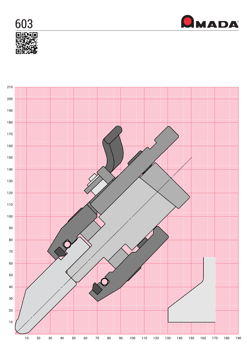



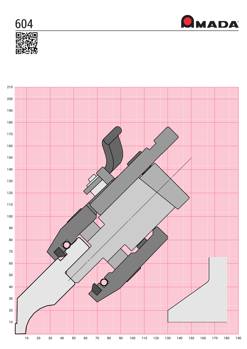



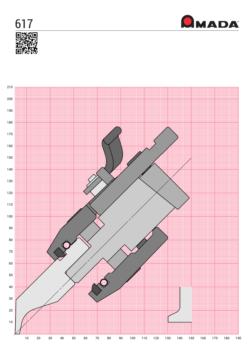



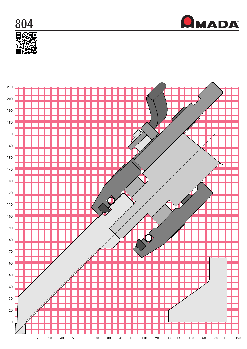



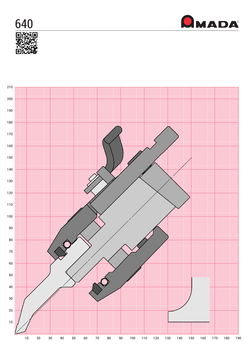



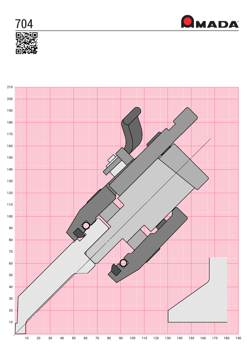



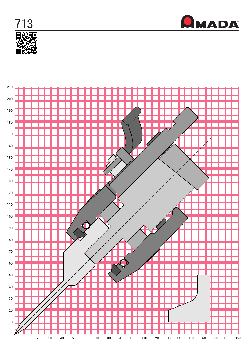



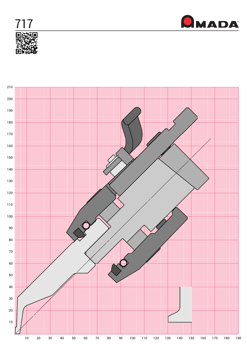



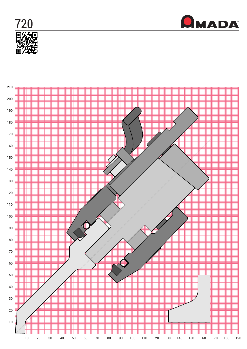



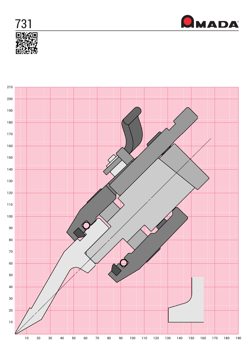



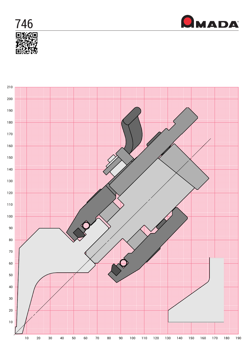



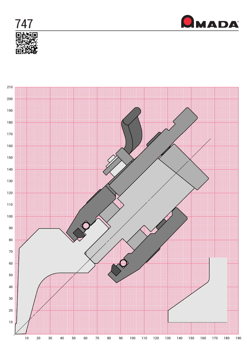



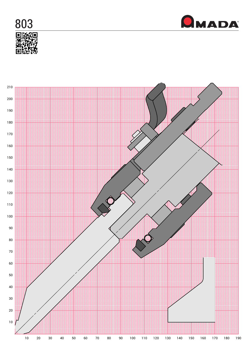



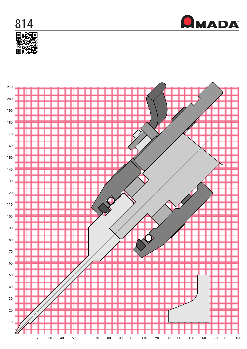



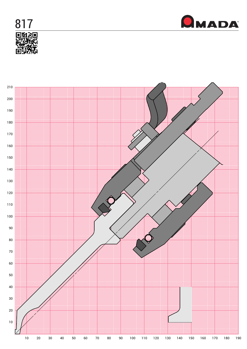



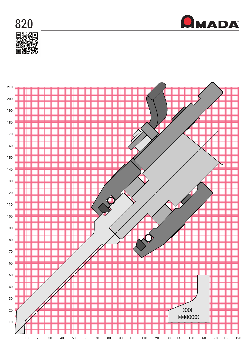



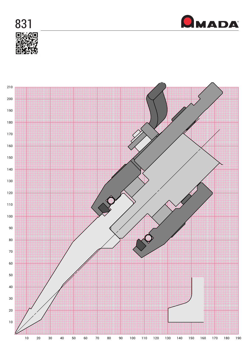



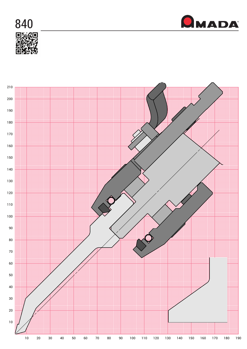



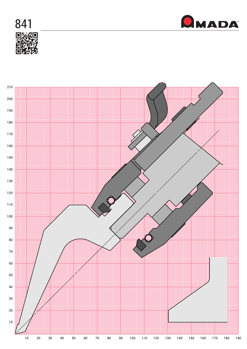



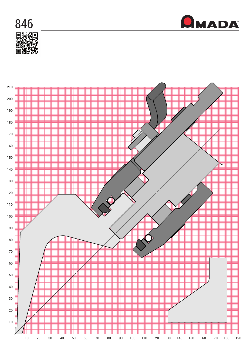



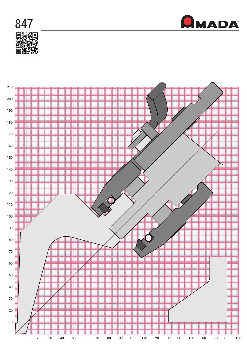



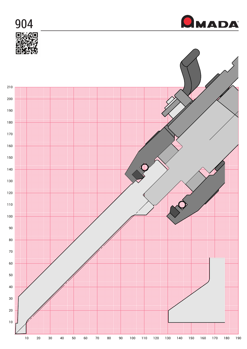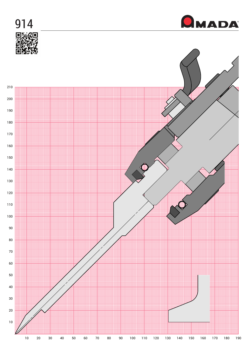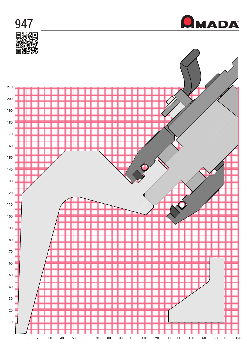